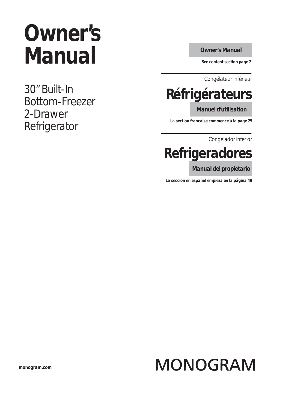# **Owner's Manual**

30" Built-In Bottom-Freezer 2-Drawer Refrigerator

*Owner's Manual*

*See content section page 2*

Congélateur inférieur

# **Réfrigérateurs**

*Manuel d'utilisation* 

*La section française commence à la page 25*

Congelador inferior

**Refrigeradores**

*Manual del propietario* 

*La sección en español empieza en la página 49*

# **MONOGRAM**

**monogram.com**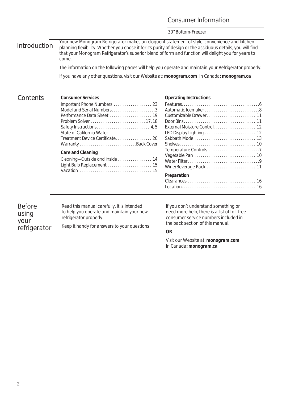## Consumer Information

*30" Bottom-Freezer*

#### *Introduction*<br>*Introduction* planning flovibility Whather you choose it for its purity of design or the assiduous details you will fin planning flexibility. Whether you chose it for its purity of design or the assiduous details, you will find that your Monogram Refrigerator's superior blend of form and function will delight you for years to come.

The information on the following pages will help you operate and maintain your Refrigerator properly.

If you have any other questions, visit our Website at: **monogram.com** In Canada**: monogram.ca**

#### *Contents* **Consumer Services**

| UUTILUTILJ |  |  |  |
|------------|--|--|--|
|            |  |  |  |
|            |  |  |  |

| Important Phone Numbers  23<br>Model and Serial Numbers3<br>State of California Water |
|---------------------------------------------------------------------------------------|
| Care and Cleaning                                                                     |

#### **Operating Instructions**

| Preparation |
|-------------|
|             |
|             |

## *Before using your refrigerator*

Read this manual carefully. It is intended to help you operate and maintain your new refrigerator properly.

Keep it handy for answers to your questions.

If you don't understand something or need more help, there is a list of toll-free consumer service numbers included in the back section of this manual.

#### **OR**

Visit our Website at: **monogram.com**  In Canada**: monogram.ca**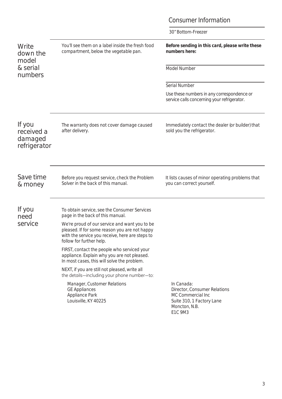## Consumer Information

|                                                 |                                                                                                                                                                               | 30" Bottom-Freezer                                                                                                       |
|-------------------------------------------------|-------------------------------------------------------------------------------------------------------------------------------------------------------------------------------|--------------------------------------------------------------------------------------------------------------------------|
| Write<br>down the<br>model                      | You'll see them on a label inside the fresh food<br>compartment, below the vegetable pan.                                                                                     | Before sending in this card, please write these<br>numbers here:                                                         |
| & serial<br>numbers                             |                                                                                                                                                                               | Model Number                                                                                                             |
|                                                 |                                                                                                                                                                               | Serial Number                                                                                                            |
|                                                 |                                                                                                                                                                               | Use these numbers in any correspondence or<br>service calls concerning your refrigerator.                                |
| If you<br>received a<br>damaged<br>refrigerator | The warranty does not cover damage caused<br>after delivery.                                                                                                                  | Immediately contact the dealer (or builder) that<br>sold you the refrigerator.                                           |
| Save time<br>& money                            | Before you request service, check the Problem<br>Solver in the back of this manual.                                                                                           | It lists causes of minor operating problems that<br>you can correct yourself.                                            |
| If you<br>need                                  | To obtain service, see the Consumer Services<br>page in the back of this manual.                                                                                              |                                                                                                                          |
| service                                         | We're proud of our service and want you to be<br>pleased. If for some reason you are not happy<br>with the service you receive, here are steps to<br>follow for further help. |                                                                                                                          |
|                                                 | FIRST, contact the people who serviced your<br>appliance. Explain why you are not pleased.<br>In most cases, this will solve the problem.                                     |                                                                                                                          |
|                                                 | NEXT, if you are still not pleased, write all<br>the details-including your phone number-to:                                                                                  |                                                                                                                          |
|                                                 | Manager, Customer Relations<br><b>GE Appliances</b><br>Appliance Park<br>Louisville, KY 40225                                                                                 | In Canada:<br>Director, Consumer Relations<br>MC Commercial Inc<br>Suite 310, 1 Factory Lane<br>Moncton, N.B.<br>E1C 9M3 |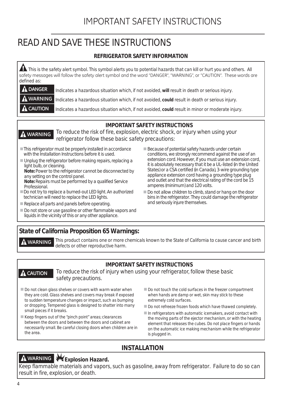## IMPORTANT SAFFTY INSTRUCTIONS

# *READ AND SAVE THESE INSTRUCTIONS*

## **REFRIGERATOR SAFETY INFORMATION**

**A** This is the safety alert symbol. This symbol alerts you to potential hazards that can kill or hurt you and others. All safety messages will follow the safety alert symbol and the word "DANGER", "WARNING", or "CAUTION". These words are defined as: Indicates a hazardous situation which, if not avoided, **will** result in death or serious injury. Indicates a hazardous situation which, if not avoided, **could** result in death or serious injury. Indicates a hazardous situation which, if not avoided, **could** result in minor or moderate injury. **WARNING DANGER A** CAUTION

## **IMPORTANT SAFETY INSTRUCTIONS**

 To reduce the risk of fire, explosion, electric shock, or injury when using your refrigerator follow these basic safety precautions:

- This refrigerator must be properly installed in accordance with the Installation Instructions before it is used.
- Unplug the refrigerator before making repairs, replacing a light bulb, or cleaning. **Note:** Power to the refrigerator cannot be disconnected by
- any setting on the control panel. **Note:** Repairs must be performed by a qualified Service Professional.
- Do not try to replace a burned-out LED light. An authorized technician will need to replace the LED lights.
- Replace all parts and panels before operating.
- Do not store or use gasoline or other flammable vapors and liquids in the vicinity of this or any other appliance.
- **Because of potential safety hazards under certain** conditions, we strongly recommend against the use of an extension cord. However, if you must use an extension cord, it is absolutely necessary that it be a UL-listed (in the United States) or a CSA certified (in Canada), 3-wire grounding type appliance extension cord having a grounding type plug and outlet and that the electrical rating of the cord be 15 amperes (minimum) and 120 volts.
- Do not allow children to climb, stand or hang on the door bins in the refrigerator. They could damage the refrigerator and seriously injure themselves.

## **State of California Proposition 65 Warnings:**

**WARNING** This product contains one or more chemicals known to the State of California to cause cancer and birth defects or other reproductive harm.

## **A** CAUTION

**WARNING**

## **IMPORTANT SAFETY INSTRUCTIONS**

 To reduce the risk of injury when using your refrigerator, follow these basic safety precautions.

- $\Box$  Do not clean glass shelves or covers with warm water when they are cold. Glass shelves and covers may break if exposed to sudden temperature changes or impact, such as bumping or dropping. Tempered glass is designed to shatter into many small pieces if it breaks.
- $\blacksquare$  Keep fingers out of the "pinch point" areas; clearances between the doors and between the doors and cabinet are necessarily small. Be careful closing doors when children are in the area.
- Do not touch the cold surfaces in the freezer compartment when hands are damp or wet, skin may stick to these extremely cold surfaces.
- Do not refreeze frozen foods which have thawed completely.
- $\blacksquare$  In refrigerators with automatic icemakers, avoid contact with the moving parts of the ejector mechanism, or with the heating element that releases the cubes. Do not place fingers or hands on the automatic ice making mechanism while the refrigerator is plugged in.

## **INSTALLATION**

## **A** WARNING WExplosion Hazard.

Keep flammable materials and vapors, such as gasoline, away from refrigerator. Failure to do so can result in fire, explosion, or death.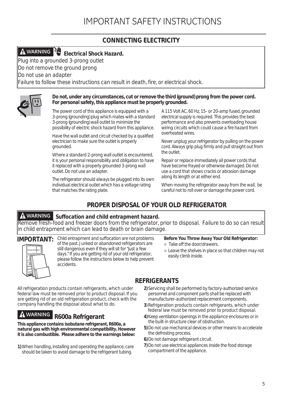## **CONNECTING ELECTRICITY**

# **WARNING Electrical Shock Hazard.**

Plug into a grounded 3-prong outlet

Do not remove the ground prong

Do not use an adapter

Failure to follow these instructions can result in death, fire, or electrical shock.



#### **Do not, under any circumstances, cut or remove the third (ground) prong from the power cord. For personal safety, this appliance must be properly grounded.**

The power cord of this appliance is equipped with a 3-prong (grounding) plug which mates with a standard 3-prong (grounding) wall outlet to minimize the possibility of electric shock hazard from this appliance.

Have the wall outlet and circuit checked by a qualified electrician to make sure the outlet is properly grounded.

Where a standard 2-prong wall outlet is encountered, it is your personal responsibility and obligation to have it replaced with a properly grounded 3-prong wall outlet. Do not use an adapter.

The refrigerator should always be plugged into its own individual electrical outlet which has a voltage rating that matches the rating plate.

A 115 Volt AC, 60 Hz, 15- or 20-amp fused, grounded electrical supply is required. This provides the best performance and also prevents overloading house wiring circuits which could cause a fire hazard from overheated wires.

Never unplug your refrigerator by pulling on the power cord. Always grip plug firmly and pull straight out from the outlet.

Repair or replace immediately all power cords that have become frayed or otherwise damaged. Do not use a cord that shows cracks or abrasion damage along its length or at either end.

When moving the refrigerator away from the wall, be careful not to roll over or damage the power cord.

## **PROPER DISPOSAL OF YOUR OLD REFRIGERATOR**

## **WARNING Suffocation and child entrapment hazard.**

Remove fresh-food and freezer doors from the refrigerator, prior to disposal. Failure to do so can result in child entrapment which can lead to death or brain damage.

## **IMPORTANT:**



Child entrapment and suffocation are not problems of the past. Junked or abandoned refrigerators are still dangerous even if they will sit for "just a few days." If you are getting rid of your old refrigerator, please follow the instructions below to help prevent accidents.

#### **Before You Throw Away Your Old Refrigerator:**

- Take off the door/drawers.
- Leave the shelves in place so that children may not easily climb inside.

## **REFRIGERANTS**

All refrigeration products contain refrigerants, which under federal law must be removed prior to product disposal. If you are getting rid of an old refrigeration product, check with the company handling the disposal about what to do.

## **WARNING R600a Refrigerant**

**This appliance contains isobutane refrigerant, R600a, a natural gas with high environmental compatibility. However it is also combustible. Please adhere to the warnings below:**

**1)** When handling, installing and operating the appliance, care should be taken to avoid damage to the refrigerant tubing.

- **2)** Servicing shall be performed by factory-authorized service personnel and component parts shall be replaced with manufacturer-authorized replacement components.
- **3**) Refrigeration products contain refrigerants, which under federal law must be removed prior to product disposal.
- **4)** Keep ventilation openings in the appliance enclosures or in the built-in structure clear of obstruction.
- **5)** Do not use mechanical devices or other means to accelerate the defrosting process.
- **6)** Do not damage refrigerant circuit.
- **7)** Do not use electrical appliances inside the food storage compartment of the appliance.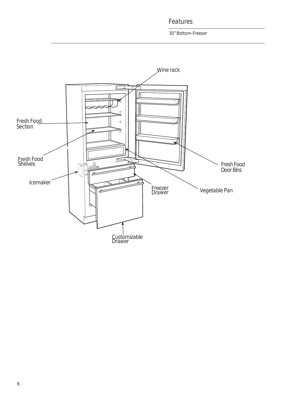Features

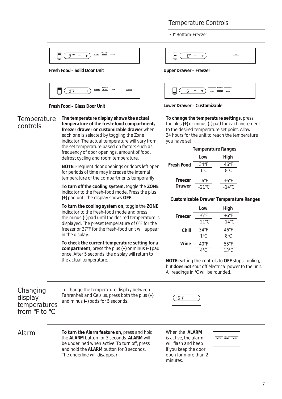## Temperature Controls

*30" Bottom-Freezer*



**Fresh Food – Solid Door Unit**



**Fresh Food – Glass Door Unit**

*Temperature controls*

**The temperature display shows the actual temperature of the fresh-food compartment, freezer drawer or customizable drawer** when each one is selected by toggling the Zone indicator. The actual temperature will vary from the set temperature based on factors such as frequency of door openings, amount of food, defrost cycling and room temperature.

**NOTE:** Frequent door openings or doors left open for periods of time may increase the internal temperature of the compartments temporarily.

**To turn off the cooling system,** toggle the **ZONE** indicator to the fresh-food mode. Press the plus **(+)** pad until the display shows **OFF**.

**To turn the cooling system on,** toggle the **ZONE** indicator to the fresh-food mode and press the minus **(–)** pad until the desired temperature is displayed. The preset temperature of 0°F for the freezer or 37°F for the fresh-food unit will appear in the display.

**To check the current temperature setting for a compartment,** press the plus **(+)** or minus **(–)** pad once. After 5 seconds, the display will return to the actual temperature.

| ZONE |
|------|
|------|





**Lower Drawer – Customizable**

**To change the temperature settings,** press the plus **(+)** or minus **(–)** pad for each increment to the desired temperature set point. Allow 24 hours for the unit to reach the temperature you have set.

| <b>Temperature Ranges</b> |  |
|---------------------------|--|
|                           |  |

|                   | Low                    | High                           |
|-------------------|------------------------|--------------------------------|
| Fresh Food        | 34°F                   | 46°F                           |
|                   | $1^{\circ}$ C          | 8°C                            |
| Freezer<br>Drawer | 6°F<br>$-21^{\circ}$ C | $+6^\circ$ F<br>$-14\degree$ C |
|                   |                        |                                |

#### **Customizable Drawer Temperature Ranges**

|         | Low             | High            |
|---------|-----------------|-----------------|
| Freezer | -6°F            | $+6°$ F         |
|         | $-21^{\circ}$ C | $-14^{\circ}$ C |
| Chill   | $34^{\circ}F$   | $46^{\circ}$ F  |
|         | $1^{\circ}$ C   | $8^{\circ}$ C   |
| Wine    | $40^{\circ}$ F  | $55^{\circ}$ F  |
|         | $4^{\circ}$ C   | $13^{\circ}$ C  |

**NOTE:** Setting the controls to **OFF** stops cooling, but **does not** shut off electrical power to the unit. All readings in °C will be rounded.

*Changing display temperatures from °F to °C*

To change the temperature display between Fahrenheit and Celsius, press both the plus **(+)**  and minus **(–)** pads for 5 seconds.

*Alarm* **To turn the Alarm feature on**, press and hold the **ALARM** button for 3 seconds. **ALARM** will be underlined when active. To turn off, press and hold the **ALARM** button for 3 seconds. The underline will disappear.

When the **ALARM**  is active, the alarm will flash and beep if you keep the door open for more than 2 minutes.

ALARM FILTER LOCK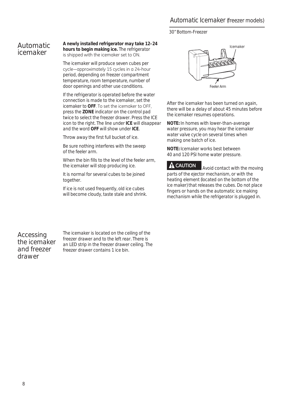## Automatic Icemaker (freezer models)

*30" Bottom-Freezer*

## *Automatic icemaker*

**A newly installed refrigerator may take 12–24 hours to begin making ice.** The refrigerator is shipped with the icemaker set to ON.

The icemaker will produce seven cubes per cycle-approximately 15 cycles in a 24-hour period, depending on freezer compartment temperature, room temperature, number of door openings and other use conditions.

If the refrigerator is operated before the water connection is made to the icemaker, set the icemaker to OFF. To set the icemaker to OFF. press the **ZONE** indicator on the control pad twice to select the freezer drawer. Press the ICE icon to the right. The line under **ICE** will disappear and the word **OFF** will show under **ICE**.

Throw away the first full bucket of ice.

Be sure nothing interferes with the sweep of the feeler arm.

When the bin fills to the level of the feeler arm, the icemaker will stop producing ice.

It is normal for several cubes to be joined together.

If ice is not used frequently, old ice cubes will become cloudy, taste stale and shrink.



After the icemaker has been turned on again, there will be a delay of about 45 minutes before the icemaker resumes operations.

**NOTE:** In homes with lower-than-average water pressure, you may hear the icemaker water valve cycle on several times when making one batch of ice.

**NOTE:** Icemaker works best between 40 and 120 PSI home water pressure.

**A CAUTION** Avoid contact with the moving parts of the ejector mechanism, or with the heating element (located on the bottom of the ice maker) that releases the cubes. Do not place fingers or hands on the automatic ice making mechanism while the refrigerator is plugged in.

*Accessing the icemaker and freezer drawer*

The icemaker is located on the ceiling of the freezer drawer and to the left rear. There is an LED strip in the freezer drawer ceiling. The freezer drawer contains 1 ice bin.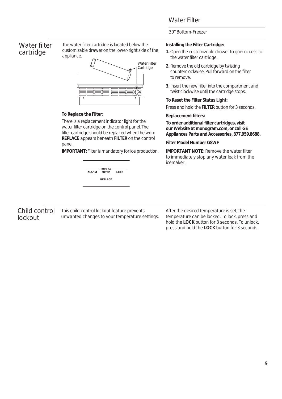## Water Filter

## *Water filter cartridge*

The water filter cartridge is located below the customizable drawer on the lower-right side of the appliance.



#### **To Replace the Filter:**

There is a replacement indicator light for the water filter cartridge on the control panel. The filter cartridge should be replaced when the word **REPLACE** appears beneath **FILTER** on the control panel.

**IMPORTANT:** Filter is mandatory for ice production.

| $-$ HOLD 3 SEC $-$<br>ALARM FILTER | LOCK |
|------------------------------------|------|
| <b>REPLACE</b>                     |      |
|                                    |      |

#### *30" Bottom-Freezer*

#### **Installing the Filter Cartridge:**

- 1. Open the customizable drawer to agin access to the water filter cartridge.
- **2.** Remove the old cartridge by twisting counterclockwise. Pull forward on the filter to remove.
- **3.** Insert the new filter into the compartment and twist clockwise until the cartridge stops.

**To Reset the Filter Status Light:**

Press and hold the **FILTER** button for 3 seconds.

#### **Replacement filters:**

**To order additional filter cartridges, visit our Website at monogram.com, or call GE Appliances Parts and Accessories, 877.959.8688.**

#### **Filter Model Number GSWF**

**IMPORTANT NOTE:** Remove the water filter to immediately stop any water leak from the icemaker.

*Child control lockout*

This child control lockout feature prevents unwanted changes to your temperature settings. After the desired temperature is set, the temperature can be locked. To lock, press and hold the **LOCK** button for 3 seconds. To unlock, press and hold the **LOCK** button for 3 seconds.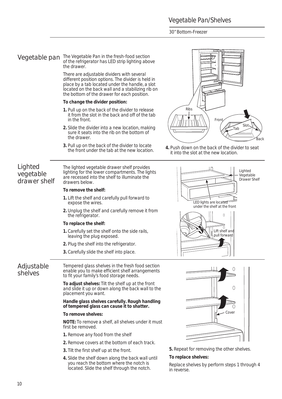## Vegetable Pan/Shelves

*30" Bottom-Freezer*

*Vegetable pan* The Vegetable Pan in the fresh-food section of the refrigerator has LED strip lighting above the drawer.

> There are adjustable dividers with several different position options. The divider is held in place by a tab located under the handle, a slot located on the back wall and a stabilizing rib on the bottom of the drawer for each position.

#### **To change the divider position:**

- **1.** Pull up on the back of the divider to release it from the slot in the back and off of the tab in the front.
- **2.** Slide the divider into a new location, making sure it seats into the rib on the bottom of the drawer.
- **3.** Pull up on the back of the divider to locate the front under the tab at the new location.

*Lighted vegetable drawer shelf*

The lighted vegetable drawer shelf provides lighting for the lower compartments. The lights are recessed into the shelf to illuminate the drawers below.

#### **To remove the shelf:**

- **1.** Lift the shelf and carefully pull forward to expose the wires.
- **2.** Unplug the shelf and carefully remove it from the refrigerator.

#### **To replace the shelf:**

- **1.** Carefully set the shelf onto the side rails, leaving the plug exposed.
- **2.** Plug the shelf into the refrigerator.
- **3.** Carefully slide the shelf into place.

*Adjustable shelves*

Tempered glass shelves in the fresh food section enable you to make efficient shelf arrangements to fit your family's food storage needs.

> **To adjust shelves:** Tilt the shelf up at the front and slide it up or down along the back wall to the placement you want.

#### **Handle glass shelves carefully. Rough handling of tempered glass can cause it to shatter.**

#### **To remove shelves:**

**NOTE:** To remove a shelf, all shelves under it must first be removed.

- **1.** Remove any food from the shelf
- **2.** Remove covers at the bottom of each track.
- **3.** Tilt the first shelf up at the front.
- **4.** Slide the shelf down along the back wall until you reach the bottom where the notch is located. Slide the shelf through the notch.



**4.** Push down on the back of the divider to seat it into the slot at the new location.





**5.** Repeat for removing the other shelves.

#### **To replace shelves:**

Replace shelves by perform steps 1 through 4 in reverse.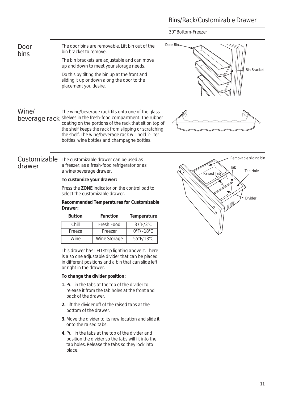## Bins/Rack/Customizable Drawer

*30" Bottom-Freezer*

#### *Door bins* The door bins are removable. Lift bin out of the bin bracket to remove.

The bin brackets are adjustable and can move up and down to meet your storage needs.

Do this by tilting the bin up at the front and sliding it up or down along the door to the placement you desire.



*Wine/* 

beverage rack shelves in the fresh-food compartment. The rubber The wine/beverage rack fits onto one of the glass coating on the portions of the rack that sit on top of the shelf keeps the rack from slipping or scratching the shelf. The wine/beverage rack will hold 2-liter bottles, wine bottles and champagne bottles.



# *drawer*

Customizable The customizable drawer can be used as a freezer, as a fresh-food refrigerator or as a wine/beverage drawer.

#### **To customize your drawer:**

Press the **ZONE** indicator on the control pad to select the customizable drawer.

#### **Recommended Temperatures for Customizable Drawer:**

| <b>Button</b> | <b>Function</b> | Temperature                    |
|---------------|-----------------|--------------------------------|
| Chill         | Fresh Food      | $37^{\circ}F/3^{\circ}C$       |
| Freeze        | Freezer         | $0^{\circ}$ F/ $-18^{\circ}$ C |
| Wine          | Wine Storage    | $55^{\circ}$ F/13 $^{\circ}$ C |

This drawer has LED strip lighting above it. There is also one adjustable divider that can be placed in different positions and a bin that can slide left or right in the drawer.

#### **To change the divider position:**

- **1.** Pull in the tabs at the top of the divider to release it from the tab holes at the front and back of the drawer.
- **2.** Lift the divider off of the raised tabs at the bottom of the drawer.
- **3.** Move the divider to its new location and slide it onto the raised tabs.
- **4.** Pull in the tabs at the top of the divider and position the divider so the tabs will fit into the tab holes. Release the tabs so they lock into place.

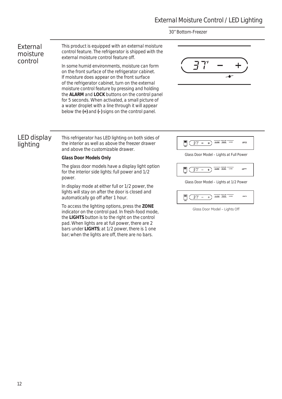*30" Bottom-Freezer*

*External moisture control*

This product is equipped with an external moisture control feature. The refrigerator is shipped with the external moisture control feature off.

In some humid environments, moisture can form on the front surface of the refrigerator cabinet. If moisture does appear on the front surface of the refrigerator cabinet, turn on the external moisture control feature by pressing and holding the **ALARM** and **LOCK** buttons on the control panel for 5 seconds. When activated, a small picture of a water droplet with a line through it will appear below the **(+)** and **(–)** signs on the control panel.



*LED display lighting*

This refrigerator has LED lighting on both sides of the interior as well as above the freezer drawer and above the customizable drawer.

#### **Glass Door Models Only**

The glass door models have a display light option for the interior side lights: full power and 1/2 power.

In display mode at either full or 1/2 power, the lights will stay on after the door is closed and automatically go off after 1 hour.

To access the lighting options, press the **ZONE** indicator on the control pad. In fresh-food mode, the **LIGHTS** button is to the right on the control pad. When lights are at full power, there are 2 bars under **LIGHTS**; at 1/2 power, there is 1 one bar; when the lights are off, there are no bars.



Glass Door Model - Lights Off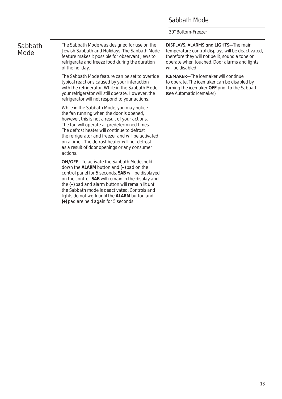## Sabbath Mode

*30" Bottom-Freezer*

## *Sabbath Mode*

The Sabbath Mode was designed for use on the Jewish Sabbath and Holidays. The Sabbath Mode feature makes it possible for observant Jews to refrigerate and freeze food during the duration of the holiday.

The Sabbath Mode feature can be set to override typical reactions caused by your interaction with the refrigerator. While in the Sabbath Mode, your refrigerator will still operate. However, the refrigerator will not respond to your actions.

While in the Sabbath Mode, you may notice the fan running when the door is opened, however, this is not a result of your actions. The fan will operate at predetermined times. The defrost heater will continue to defrost the refrigerator and freezer and will be activated on a timer. The defrost heater will not defrost as a result of door openings or any consumer actions.

**212 2212 2212 2212 222 222 222 222 222 222 222 222 222 222 222 222 222 222 222 222 222 222 222 222 222 222 222 222 222 222 222 222 222 222 222 222 22** down the **ALARM** button and **(+)** pad on the control panel for 5 seconds. **SAB** will be displayed on the control. **SAB** will remain in the display and the **(+)** pad and alarm button will remain lit until the Sabbath mode is deactivated. Controls and lights do not work until the **ALARM** button and **(+)** pad are held again for 5 seconds.

**DISPLAYS, ALARMS and LIGHTS-The main** temperature control displays will be deactivated, therefore they will not be lit, sound a tone or operate when touched. Door alarms and lights will be disabled.

**ICEMAKER-The icemaker will continue** to operate. The icemaker can be disabled by turning the icemaker **OFF** prior to the Sabbath (see *Automatic Icemaker*).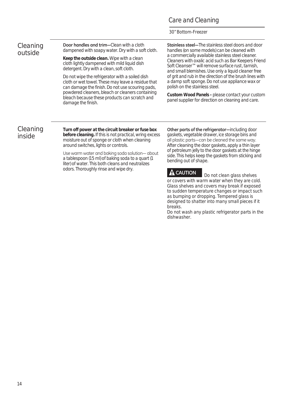## Care and Cleaning

*30" Bottom-Freezer*

## *Cleaning outside*

**Door handles and trim-Clean with a cloth** dampened with soapy water. Dry with a soft cloth.

**Keep the outside clean.** Wipe with a clean cloth lightly dampened with mild liquid dish detergent. Dry with a clean, soft cloth.

Do not wipe the refrigerator with a soiled dish cloth or wet towel. These may leave a residue that can damage the finish. Do not use scouring pads, powdered cleaners, bleach or cleaners containing bleach because these products can scratch and damage the finish.

**Stainless steel-The stainless steel doors and door** handles (on some models) can be cleaned with a commercially available stainless steel cleaner. Cleaners with oxalic acid such as Bar Keepers Friend Soft Cleanser™ will remove surface rust, tarnish, and small blemishes. Use only a liquid cleaner free of grit and rub in the direction of the brush lines with a damp soft sponge. Do not use appliance wax or polish on the stainless steel.

**Custom Wood Panels -** please contact your custom panel supplier for direction on cleaning and care.

## *Cleaning inside*

**Turn off power at the circuit breaker or fuse box before cleaning.** If this is not practical, wring excess moisture out of sponge or cloth when cleaning around switches, lights or controls.

Use warm water and baking soda solution-about a tablespoon (15 ml) of baking soda to a quart (1 liter) of water. This both cleans and neutralizes odors. Thoroughly rinse and wipe dry.

**2 Other parts of the refrigerator-including door** gaskets, vegetable drawer, ice storage bins and all plastic parts-can be cleaned the same way. After cleaning the door gaskets, apply a thin layer of petroleum jelly to the door gaskets at the hinge side. This helps keep the gaskets from sticking and bending out of shape.

**A CAUTION** Do not clean glass shelves or covers with warm water when they are cold. Glass shelves and covers may break if exposed to sudden temperature changes or impact such as bumping or dropping. Tempered glass is designed to shatter into many small pieces if it breaks.

Do not wash any plastic refrigerator parts in the dishwasher.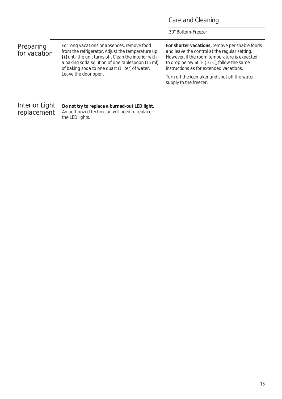## Care and Cleaning

*30" Bottom-Freezer*

## *Preparing for vacation*

For long vacations or absences, remove food from the refrigerator. Adjust the temperature up **(+)** until the unit turns off. Clean the interior with a baking soda solution of one tablespoon (15 ml) of baking soda to one quart (1 liter) of water. Leave the door open.

**For shorter vacations,** remove perishable foods and leave the control at the regular setting. However, if the room temperature is expected to drop below 60°F (16°C), follow the same instructions as for extended vacations.

Turn off the icemaker and shut off the water supply to the freezer.

*Interior Light replacement*

**Do not try to replace a burned-out LED light.**  An authorized technician will need to replace the LED lights.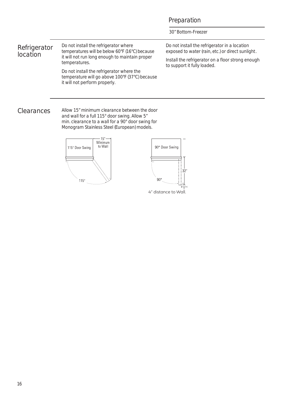## Preparation

#### *30" Bottom-Freezer*

*Refrigerator location*

Do not install the refrigerator where temperatures will be below 60°F (16°C) because it will not run long enough to maintain proper temperatures.

Do not install the refrigerator where the temperature will go above 100°F (37°C) because it will not perform properly.

Do not install the refrigerator in a location exposed to water (rain, etc.) or direct sunlight.

Install the refrigerator on a floor strong enough to support it fully loaded.

*Clearances* Allow 15" minimum clearance between the door and wall for a full 115° door swing. Allow 5" min. clearance to a wall for a 90° door swing for Monogram Stainless Steel (European) models.



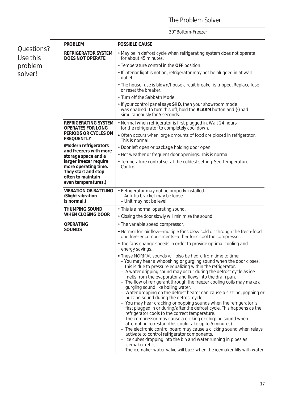## The Problem Solver

| Questions?                     | <b>PROBLEM</b>                                                                             | <b>POSSIBLE CAUSE</b>                                                                                                                                                                                                                                                                                                                                                                                                                                                                                                                                                                                                                                                                                                                                                                                                                                                                                                                                                                                                                                                                                                                                                                               |
|--------------------------------|--------------------------------------------------------------------------------------------|-----------------------------------------------------------------------------------------------------------------------------------------------------------------------------------------------------------------------------------------------------------------------------------------------------------------------------------------------------------------------------------------------------------------------------------------------------------------------------------------------------------------------------------------------------------------------------------------------------------------------------------------------------------------------------------------------------------------------------------------------------------------------------------------------------------------------------------------------------------------------------------------------------------------------------------------------------------------------------------------------------------------------------------------------------------------------------------------------------------------------------------------------------------------------------------------------------|
| Use this<br>problem<br>solver! | REFRIGERATOR SYSTEM<br><b>DOES NOT OPERATE</b>                                             | . May be in defrost cycle when refrigerating system does not operate<br>for about 45 minutes.                                                                                                                                                                                                                                                                                                                                                                                                                                                                                                                                                                                                                                                                                                                                                                                                                                                                                                                                                                                                                                                                                                       |
|                                |                                                                                            | • Temperature control in the OFF position.                                                                                                                                                                                                                                                                                                                                                                                                                                                                                                                                                                                                                                                                                                                                                                                                                                                                                                                                                                                                                                                                                                                                                          |
|                                |                                                                                            | • If interior light is not on, refrigerator may not be plugged in at wall<br>outlet.                                                                                                                                                                                                                                                                                                                                                                                                                                                                                                                                                                                                                                                                                                                                                                                                                                                                                                                                                                                                                                                                                                                |
|                                |                                                                                            | • The house fuse is blown/house circuit breaker is tripped. Replace fuse<br>or reset the breaker.                                                                                                                                                                                                                                                                                                                                                                                                                                                                                                                                                                                                                                                                                                                                                                                                                                                                                                                                                                                                                                                                                                   |
|                                |                                                                                            | • Turn off the Sabbath Mode.                                                                                                                                                                                                                                                                                                                                                                                                                                                                                                                                                                                                                                                                                                                                                                                                                                                                                                                                                                                                                                                                                                                                                                        |
|                                |                                                                                            | . If your control panel says SHO, then your showroom mode<br>was enabled. To turn this off, hold the ALARM button and (-) pad<br>simultaneously for 5 seconds.                                                                                                                                                                                                                                                                                                                                                                                                                                                                                                                                                                                                                                                                                                                                                                                                                                                                                                                                                                                                                                      |
|                                | REFRIGERATING SYSTEM<br><b>OPERATES FOR LONG</b>                                           | . Normal when refrigerator is first plugged in. Wait 24 hours<br>for the refrigerator to completely cool down.                                                                                                                                                                                                                                                                                                                                                                                                                                                                                                                                                                                                                                                                                                                                                                                                                                                                                                                                                                                                                                                                                      |
|                                | PERIODS OR CYCLES ON<br><b>FREQUENTLY</b>                                                  | . Often occurs when large amounts of food are placed in refrigerator.<br>This is normal.                                                                                                                                                                                                                                                                                                                                                                                                                                                                                                                                                                                                                                                                                                                                                                                                                                                                                                                                                                                                                                                                                                            |
|                                | (Modern refrigerators<br>and freezers with more                                            | • Door left open or package holding door open.                                                                                                                                                                                                                                                                                                                                                                                                                                                                                                                                                                                                                                                                                                                                                                                                                                                                                                                                                                                                                                                                                                                                                      |
|                                | storage space and a                                                                        | • Hot weather or frequent door openings. This is normal.                                                                                                                                                                                                                                                                                                                                                                                                                                                                                                                                                                                                                                                                                                                                                                                                                                                                                                                                                                                                                                                                                                                                            |
|                                | larger freezer require<br>more operating time.<br>They start and stop<br>often to maintain | • Temperature control set at the coldest setting. See Temperature<br>Control.                                                                                                                                                                                                                                                                                                                                                                                                                                                                                                                                                                                                                                                                                                                                                                                                                                                                                                                                                                                                                                                                                                                       |
|                                | even temperatures.)                                                                        |                                                                                                                                                                                                                                                                                                                                                                                                                                                                                                                                                                                                                                                                                                                                                                                                                                                                                                                                                                                                                                                                                                                                                                                                     |
|                                | <b>VIBRATION OR RATTLING</b><br>(Slight vibration<br>is normal.)                           | • Refrigerator may not be properly installed.<br>- Anti-tip bracket may be loose.<br>- Unit may not be level.                                                                                                                                                                                                                                                                                                                                                                                                                                                                                                                                                                                                                                                                                                                                                                                                                                                                                                                                                                                                                                                                                       |
|                                | <b>THUMPING SOUND</b><br><b>WHEN CLOSING DOOR</b>                                          | • This is a normal operating sound.                                                                                                                                                                                                                                                                                                                                                                                                                                                                                                                                                                                                                                                                                                                                                                                                                                                                                                                                                                                                                                                                                                                                                                 |
|                                |                                                                                            | • Closing the door slowly will minimize the sound.                                                                                                                                                                                                                                                                                                                                                                                                                                                                                                                                                                                                                                                                                                                                                                                                                                                                                                                                                                                                                                                                                                                                                  |
|                                | OPERATING<br><b>SOUNDS</b>                                                                 | • The variable speed compressor.                                                                                                                                                                                                                                                                                                                                                                                                                                                                                                                                                                                                                                                                                                                                                                                                                                                                                                                                                                                                                                                                                                                                                                    |
|                                |                                                                                            | . Normal fan air flow-multiple fans blow cold air through the fresh-food<br>and freezer compartments-other fans cool the compressor.                                                                                                                                                                                                                                                                                                                                                                                                                                                                                                                                                                                                                                                                                                                                                                                                                                                                                                                                                                                                                                                                |
|                                |                                                                                            | • The fans change speeds in order to provide optimal cooling and<br>energy savings.                                                                                                                                                                                                                                                                                                                                                                                                                                                                                                                                                                                                                                                                                                                                                                                                                                                                                                                                                                                                                                                                                                                 |
|                                |                                                                                            | . These NORMAL sounds will also be heard from time to time:<br>- You may hear a whooshing or gurgling sound when the door closes.<br>This is due to pressure equalizing within the refrigerator.<br>- A water dripping sound may occur during the defrost cycle as ice<br>melts from the evaporator and flows into the drain pan.<br>- The flow of refrigerant through the freezer cooling coils may make a<br>gurgling sound like boiling water.<br>- Water dropping on the defrost heater can cause a sizzling, popping or<br>buzzing sound during the defrost cycle.<br>- You may hear cracking or popping sounds when the refrigerator is<br>first plugged in or during/after the defrost cycle. This happens as the<br>refrigerator cools to the correct temperature.<br>- The compressor may cause a clicking or chirping sound when<br>attempting to restart (this could take up to 5 minutes).<br>- The electronic control board may cause a clicking sound when relays<br>activate to control refrigerator components.<br>- Ice cubes dropping into the bin and water running in pipes as<br>icemaker refills.<br>- The icemaker water valve will buzz when the icemaker fills with water. |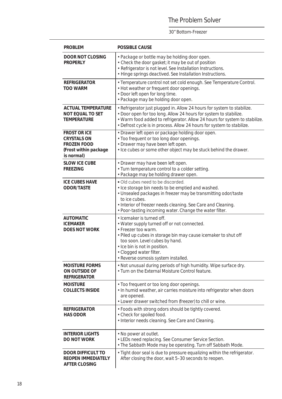## The Problem Solver

| <b>PROBLEM</b>                                                                                         | <b>POSSIBLE CAUSE</b>                                                                                                                                                                                                                                                                                  |
|--------------------------------------------------------------------------------------------------------|--------------------------------------------------------------------------------------------------------------------------------------------------------------------------------------------------------------------------------------------------------------------------------------------------------|
| DOOR NOT CLOSING<br><b>PROPERLY</b>                                                                    | • Package or bottle may be holding door open.<br>• Check the door gasket; it may be out of position<br>• Refrigerator is not level. See Installation Instructions.<br>• Hinge springs deactived. See Installation Instructions.                                                                        |
| <b>REFRIGERATOR</b><br><b>TOO WARM</b>                                                                 | • Temperature control not set cold enough. See Temperature Control.<br>• Hot weather or frequent door openings.<br>• Door left open for long time.<br>• Package may be holding door open.                                                                                                              |
| <b>ACTUAL TEMPERATURE</b><br>NOT EQUAL TO SET<br><b>TEMPERATURE</b>                                    | . Refrigerator just plugged in. Allow 24 hours for system to stabilize.<br>. Door open for too long. Allow 24 hours for system to stabilize.<br>. Warm food added to refrigerator. Allow 24 hours for system to stabilize.<br>• Defrost cycle is in process. Allow 24 hours for system to stabilize.   |
| <b>FROST OR ICE</b><br><b>CRYSTALS ON</b><br><b>FROZEN FOOD</b><br>(Frost within package<br>is normal) | • Drawer left open or package holding door open.<br>• Too frequent or too long door openings.<br>• Drawer may have been left open.<br>. Ice cubes or some other object may be stuck behind the drawer.                                                                                                 |
| <b>SLOW ICE CUBE</b><br><b>FREEZING</b>                                                                | • Drawer may have been left open.<br>• Turn temperature control to a colder setting.<br>• Package may be holding drawer open.                                                                                                                                                                          |
| <b>ICE CUBES HAVE</b><br>ODOR/TASTE                                                                    | · Old cubes need to be discarded.<br>. Ice storage bin needs to be emptied and washed.<br>· Unsealed packages in freezer may be transmitting odor/taste<br>to ice cubes.<br>• Interior of freezer needs cleaning. See Care and Cleaning.<br>. Poor-tasting incoming water. Change the water filter.    |
| <b>AUTOMATIC</b><br><b>ICEMAKER</b><br><b>DOES NOT WORK</b>                                            | · Icemaker is turned off.<br>. Water supply turned off or not connected.<br>• Freezer too warm.<br>. Piled up cubes in storage bin may cause icemaker to shut off<br>too soon. Level cubes by hand.<br>• Ice bin is not in position.<br>· Clogged water filter.<br>· Reverse osmosis system installed. |
| <b>MOISTURE FORMS</b><br>ON OUTSIDE OF<br><b>REFRIGERATOR</b>                                          | . Not unusual during periods of high humidity. Wipe surface dry.<br>. Turn on the External Moisture Control feature.                                                                                                                                                                                   |
| <b>MOISTURE</b><br><b>COLLECTS INSIDE</b>                                                              | • Too frequent or too long door openings.<br>. In humid weather, air carries moisture into refrigerator when doors<br>are opened.<br>• Lower drawer switched from (freezer) to chill or wine.                                                                                                          |
| <b>REFRIGERATOR</b><br><b>HAS ODOR</b>                                                                 | • Foods with strong odors should be tightly covered.<br>• Check for spoiled food.<br>• Interior needs cleaning. See Care and Cleaning.                                                                                                                                                                 |
| <b>INTERIOR LIGHTS</b><br>DO NOT WORK                                                                  | . No power at outlet.<br>• LEDs need replacing. See Consumer Service Section.<br>. The Sabbath Mode may be operating. Turn off Sabbath Mode.                                                                                                                                                           |
| <b>DOOR DIFFICULT TO</b><br><b>REOPEN IMMEDIATELY</b><br><b>AFTER CLOSING</b>                          | . Tight door seal is due to pressure equalizing within the refrigerator.<br>After closing the door, wait 5-30 seconds to reopen.                                                                                                                                                                       |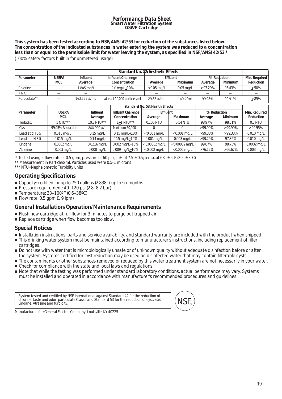## *Performance Data Sheet SmartWater Filtration System GSWF Cartridge*

#### *This system has been tested according to NSF/ANSI 42/53 for reduction of the substances listed below. The concentration of the indicated substances in water entering the system was reduced to a concentration less than or equal to the permissible limit for water leaving the system, as specified in NSF/ANSI 42/53.\* (100% safety factors built in for unmetered usage)*

|               |                                 | Standard No. 42: Aesthetic Effects |                                     |                     |             |            |                        |                            |
|---------------|---------------------------------|------------------------------------|-------------------------------------|---------------------|-------------|------------|------------------------|----------------------------|
| Parameter     | USEPA<br><b>MCL</b>             | Influent<br>Average                | Influent Challenge<br>Concentration | Effluent<br>Average | Maximum     | Average    | % Reduction<br>Minimum | Min. Required<br>Reduction |
| Chlorine      |                                 | 1.845 mg/L                         | 2.0 mg/L+10%                        | $< 0.05$ mg/L       | $0.05$ mg/L | $>97.29\%$ | 96.43%                 | >50%                       |
| T&O           |                                 |                                    |                                     |                     |             |            |                        |                            |
| Particulate** |                                 | 143.333 #/mL                       | at least 10.000 particles/mL        | 29.83 #/mL          | 140 #/mL    | 99.98%     | 99.91%                 | >85%                       |
|               |                                 |                                    |                                     |                     |             |            |                        |                            |
|               | Standard No. 53: Health Effects |                                    |                                     |                     |             |            |                        |                            |

| Parameter      | <b>USEPA</b>     | Influent      | Influent Challenge | Effluent         |                  | % Reduction |            | Min. Required |
|----------------|------------------|---------------|--------------------|------------------|------------------|-------------|------------|---------------|
|                | <b>MCL</b>       | Average       | Concentration      | Average          | Maximum          | Average     | Minimum    | Reduction     |
| Turbidity      | $1$ NTU***       | $10.3$ NTU*** | $1+1$ NTU***       | 0.106 NTU        | 0.14 NTU         | 98.97%      | 98.61%     | 0.5 NTU       |
| Cysts          | 99.95% Reduction | 200,000 #/L   | Minimum 50,000 L   |                  |                  | $>99.99\%$  | $>99.99\%$ | >99.95%       |
| Lead at pH 6.5 | $0.015$ mg/L     | $0.15$ mg/L   | $0.15$ mg/L+10%    | $< 0.001$ mg/L   | $< 0.001$ mg/L   | $>99.33\%$  | $>99.33\%$ | $0.010$ mg/L  |
| Lead at pH 8.5 | $0.015$ mg/L     | $0.14$ mg/L   | $0.15$ mg/L+10%    | $0.001$ mg/L     | $0.003$ mg/L     | $>99.29\%$  | 97.86%     | $0.010$ mg/L  |
| Lindane        | $0.0002$ mg/L    | $0.0216$ mg/L | $0.002$ mg/L+10%   | $< 0.00002$ mg/L | $< 0.00002$ mg/L | 99.07%      | 98.75%     | 0.0002 mg/L   |
| Atrazine       | $0.003$ mg/L     | $0.008$ mg/L  | $0.009$ mg/L+10%   | $< 0.002$ mg/L   | $< 0.002$ mg/L   | $>76.12\%$  | $>66.67\%$ | $0.003$ mg/L  |

*\* Tested using a flow rate of 0.5 gpm; pressure of 60 psig; pH of 7.5 ± 0.5; temp. of 68° ± 5°F (20° ± 3°C)*

*\*\* Measurement in Particles/ml. Particles used were 0.5-1 microns*

*\*\*\* NTU=Nephelometric Turbidity units*

#### *Operating Specifications*

- Capacity: certified for up to 750 gallons (2,838 l); up to six months
- Pressure requirement: 40-120 psi (2.8-8.2 bar)
- Temperature:  $33-100^{\circ}F(0.6-38^{\circ}C)$
- Flow rate:  $0.5$  gpm  $(1.9$  lpm)

#### *General Installation/Operation/Maintenance Requirements*

**Flush new cartridge at full flow for 3 minutes to purge out trapped air.** 

Replace cartridge when flow becomes too slow.

### *Special Notices*

- Installation instructions, parts and service availability, and standard warranty are included with the product when shipped.
- This drinking water system must be maintained according to manufacturer's instructions, including replacement of filter cartridges.
- Do not use with water that is microbiologically unsafe or of unknown quality without adequate disinfection before or after the system. Systems certified for cyst reduction may be used on disinfected water that may contain filterable cysts.
- **The contaminants or other substances removed or reduced by this water treatment system are not necessarily in your water.** ■ Check for compliance with the state and local laws and regulations.
- Note that while the testing was performed under standard laboratory conditions, actual performance may vary. Systems must be installed and operated in accordance with manufacturer's recommended procedures and guidelines.

System tested and certified by NSF International against Standard 42 for the reduction of chlorine, taste and odor, particulate Class I and Standard 53 for the reduction of cyst, lead, Lindane, Atrazine and turbidity.



Manufactured for: General Electric Company, Louisville, KY 40225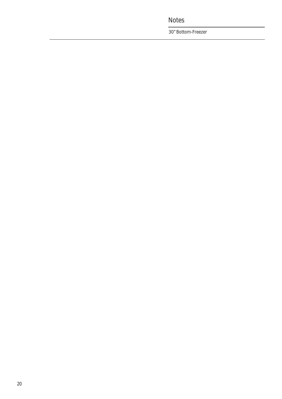Notes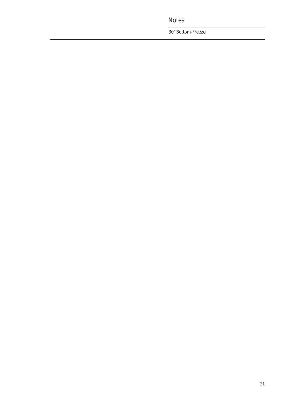Notes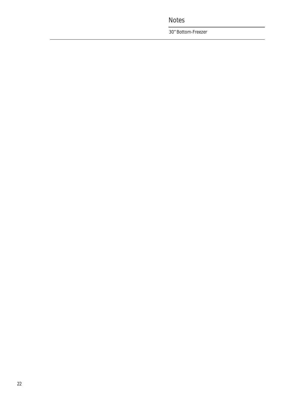Notes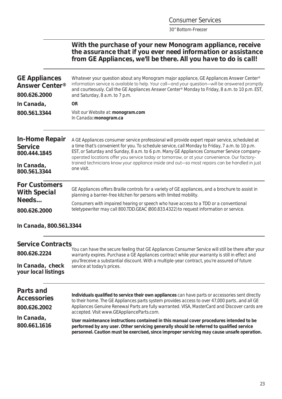#### Consumer Services

*30" Bottom-Freezer*

## *With the purchase of your new Monogram appliance, receive the assurance that if you ever need information or assistance from GE Appliances, we'll be there. All you have to do is call!*

| <b>GE Appliances</b><br>Answer Center®<br>800.626.2000<br>In Canada,<br>800.561.3344 | Whatever your question about any Monogram major appliance, GE Appliances Answer Center®<br>information service is available to help. Your call-and your question-will be answered promptly<br>and courteously. Call the GE Appliances Answer Center® Monday to Friday, 8 a.m. to 10 p.m. EST,<br>and Saturday, 8 a.m. to 7 p.m.<br><b>OR</b><br>Visit our Website at: monogram.com<br>In Canada: monogram.ca                                                                                                   |
|--------------------------------------------------------------------------------------|----------------------------------------------------------------------------------------------------------------------------------------------------------------------------------------------------------------------------------------------------------------------------------------------------------------------------------------------------------------------------------------------------------------------------------------------------------------------------------------------------------------|
| In-Home Repair<br>Service<br>800.444.1845<br>In Canada,<br>800.561.3344              | A GE Appliances consumer service professional will provide expert repair service, scheduled at<br>a time that's convenient for you. To schedule service, call Monday to Friday, 7 a.m. to 10 p.m.<br>EST, or Saturday and Sunday, 8 a.m. to 6 p.m. Many GE Appliances Consumer Service company-<br>operated locations offer you service today or tomorrow, or at your convenience. Our factory-<br>trained technicians know your appliance inside and out-so most repairs can be handled in just<br>one visit. |
| <b>For Customers</b><br><b>With Special</b><br>Needs<br>800.626.2000                 | GE Appliances offers Braille controls for a variety of GE appliances, and a brochure to assist in<br>planning a barrier-free kitchen for persons with limited mobility.<br>Consumers with impaired hearing or speech who have access to a TDD or a conventional<br>teletypewriter may call 800.TDD.GEAC (800.833.4322) to request information or service.                                                                                                                                                      |

*In Canada, 800.561.3344*

| <b>Service Contracts</b> | You can have the secure feeling that GE Appliances Consumer Service will still be there after your |
|--------------------------|----------------------------------------------------------------------------------------------------|
| 800.626.2224             | warranty expires. Purchase a GE Appliances contract while your warranty is still in effect and     |
| In Canada, check         | you'llreceive a substantial discount. With a multiple-year contract, you're assured of future      |
| your local listings      | service at today's prices.                                                                         |
| Parts and                | Individuals qualified to service their own appliances can have parts or accessories sent directly  |
| <b>Accessories</b>       | to their home. The GE Appliances parts system provides access to over 47,000 partsand all GE       |
| 800 626 2002             | Appliances Genuine Renewal Parts are fully warranted. VISA, MasterCard and Discover cards are      |

*800.626.2002 In Canada, 800.661.1616* accepted. VIsit www.GEApplianceParts.com. **User maintenance instructions contained in this manual cover procedures intended to be performed by any user. Other servicing generally should be referred to qualified service personnel. Caution must be exercised, since improper servicing may cause unsafe operation.**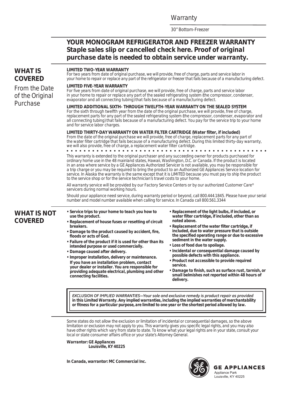**Warranty** 

*30" Bottom-Freezer*

## *YOUR MONOGRAM REFRIGERATOR AND FREEZER WARRANTY Staple sales slip or cancelled check here. Proof of original purchase date is needed to obtain service under warranty.*

| <b>WHAT IS</b><br><b>COVERED</b><br>From the Date<br>of the Original | LIMITED TWO-YEAR WARRANTY<br>For two years from date of original purchase, we will provide, free of charge, parts and service labor in<br>your home to repair or replace any part of the refrigerator or freezer that fails because of a manufacturing defect.<br>LIMITED FIVE-YEAR WARRANTY<br>For five years from date of original purchase, we will provide, free of charge, parts and service labor<br>in your home to repair or replace any part of the sealed refrigerating system (the compressor, condenser,<br>evaporator and all connecting tubing) that fails because of a manufacturing defect.                                                                                                                                                                                                                                                                                                                 |                                                                                                                                                                                                                                                                                                                                                                                                                                                                                                                                                                                                                                        |  |  |
|----------------------------------------------------------------------|-----------------------------------------------------------------------------------------------------------------------------------------------------------------------------------------------------------------------------------------------------------------------------------------------------------------------------------------------------------------------------------------------------------------------------------------------------------------------------------------------------------------------------------------------------------------------------------------------------------------------------------------------------------------------------------------------------------------------------------------------------------------------------------------------------------------------------------------------------------------------------------------------------------------------------|----------------------------------------------------------------------------------------------------------------------------------------------------------------------------------------------------------------------------------------------------------------------------------------------------------------------------------------------------------------------------------------------------------------------------------------------------------------------------------------------------------------------------------------------------------------------------------------------------------------------------------------|--|--|
| Purchase                                                             | LIMITED ADDITIONAL SIXTH- THROUGH TWELFTH-YEAR WARRANTY ON THE SEALED SYSTEM<br>For the sixth through twelfth year from the date of the original purchase, we will provide, free of charge,<br>replacement parts for any part of the sealed refrigerating system (the compressor, condenser, evaporator and<br>all connecting tubing) that fails because of a manufacturing defect. You pay for the service trip to your home<br>and for service labor charges.                                                                                                                                                                                                                                                                                                                                                                                                                                                             |                                                                                                                                                                                                                                                                                                                                                                                                                                                                                                                                                                                                                                        |  |  |
|                                                                      | LIMITED THIRTY-DAY WARRANTY ON WATER FILTER CARTRIDGE (Water filter, if included)<br>From the date of the original purchase we will provide, free of charge, replacement parts for any part of<br>the water filter cartridge that fails because of a manufacturing defect. During this limited thirty-day warranty,<br>we will also provide, free of charge, a replacement water filter cartridge.                                                                                                                                                                                                                                                                                                                                                                                                                                                                                                                          |                                                                                                                                                                                                                                                                                                                                                                                                                                                                                                                                                                                                                                        |  |  |
|                                                                      | This warranty is extended to the original purchaser and any succeeding owner for products purchased for<br>ordinary home use in the 48 mainland states, Hawaii, Washington, D.C. or Canada. If the product is located<br>in an area where service by a GE Appliances Authorized Servicer is not available, you may be responsible for<br>a trip charge or you may be required to bring the product to an Authorized GE Appliances Service location for<br>service. In Alaska the warranty is the same except that it is LIMITED because you must pay to ship the product<br>to the service shop or for the service technician's travel costs to your home.                                                                                                                                                                                                                                                                  |                                                                                                                                                                                                                                                                                                                                                                                                                                                                                                                                                                                                                                        |  |  |
|                                                                      | All warranty service will be provided by our Factory Service Centers or by our authorized Customer Care®<br>servicers during normal working hours.                                                                                                                                                                                                                                                                                                                                                                                                                                                                                                                                                                                                                                                                                                                                                                          |                                                                                                                                                                                                                                                                                                                                                                                                                                                                                                                                                                                                                                        |  |  |
|                                                                      | Should your appliance need service, during warranty period or beyond, call 800.444.1845. Please have your serial<br>number and model number available when calling for service. In Canada call 800.561.3344                                                                                                                                                                                                                                                                                                                                                                                                                                                                                                                                                                                                                                                                                                                 |                                                                                                                                                                                                                                                                                                                                                                                                                                                                                                                                                                                                                                        |  |  |
| <b>WHAT IS NOT</b><br><b>COVERED</b>                                 | • Service trips to your home to teach you how to<br>use the product.<br>• Replacement of house fuses or resetting of circuit<br>breakers.<br>• Damage to the product caused by accident, fire,<br>floods or acts of God.<br>• Failure of the product if it is used for other than its<br>intended purpose or used commercially.<br>• Damage caused after delivery.<br>• Improper installation, delivery or maintenance.<br>If you have an installation problem, contact<br>your dealer or installer. You are responsible for<br>providing adequate electrical, plumbing and other<br>connecting facilities.<br>EXCLUSION OF IMPLIED WARRANTIES-Your sole and exclusive remedy is product repair as provided<br>in this Limited Warranty. Any implied warranties, including the implied warranties of merchantability<br>or fitness for a particular purpose, are limited to one year or the shortest period allowed by law. | • Replacement of the light bulbs, if included, or<br>water filter cartridge, if included, other than as<br>noted above.<br>• Replacement of the water filter cartridge, if<br>included, due to water pressure that is outside<br>the specified operating range or due to excessive<br>sediment in the water supply.<br>• Loss of food due to spoilage.<br>• Incidental or consequential damage caused by<br>possible defects with this appliance.<br>• Product not accessible to provide required<br>service.<br>• Damage to finish, such as surface rust, tarnish, or<br>small belmishes not reported within 48 hours of<br>delivery. |  |  |
|                                                                      | Some states do not allow the exclusion or limitation of incidental or consequential damages, so the above<br>limitation or exclusion may not apply to you. This warranty gives you specific legal rights, and you may also                                                                                                                                                                                                                                                                                                                                                                                                                                                                                                                                                                                                                                                                                                  |                                                                                                                                                                                                                                                                                                                                                                                                                                                                                                                                                                                                                                        |  |  |

**Warrantor: GE Appliances Louisville, KY 40225**

**In Canada, warrantor: MC Commercial Inc.**

local or state consumer affairs office or your state's Attorney General.



Appliance Park Louisville, KY 40225

**GE APPLIANCES** 

have other rights which vary from state to state. To know what your legal rights are in your state, consult your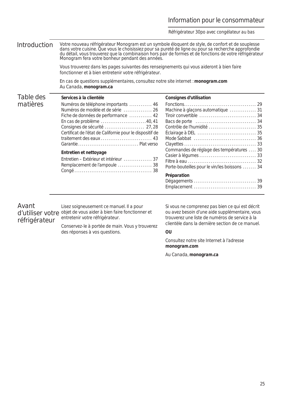## Information pour le consommateur

*Réfrigérateur 30po avec congélateur au bas*

*Introduction* Votre nouveau réfrigérateur Monogram est un symbole éloquent de style, de confort et de souplesse dans votre cuisine. Que vous le choisissiez pour sa pureté de ligne ou pour sa recherche approfondie du détail, vous trouverez que la combinaison hors pair de formes et de fonctions de votre réfrigérateur Monogram fera votre bonheur pendant des années.

> Vous trouverez dans les pages suivantes des renseignements qui vous aideront à bien faire fonctionner et à bien entretenir votre réfrigérateur.

En cas de questions supplémentaires, consultez notre site internet : **monogram.com**  Au Canada, **monogram.ca**

| Table des | Services à la clientèle                                                  | Consignes d'utilisation                       |
|-----------|--------------------------------------------------------------------------|-----------------------------------------------|
| matières  | Numéros de téléphone importants  46<br>Numéros de modèle et de série  26 |                                               |
|           | Fiche de données de performance  42                                      |                                               |
|           | En cas de problème  40, 41                                               |                                               |
|           |                                                                          |                                               |
|           | Certificat de l'état de Californie pour le dispositif de                 |                                               |
|           |                                                                          |                                               |
|           |                                                                          |                                               |
|           | Entretien et nettoyage                                                   | Commandes de réglage des températures  30     |
|           |                                                                          | Porte-bouteilles pour le vin/les boissons  34 |
|           |                                                                          | Préparation                                   |

*Avant réfrigérateur* 

d'utiliser votre objet de vous aider à bien faire fonctionner et Lisez soigneusement ce manuel. Il a pour entretenir votre réfrigérateur.

> Conservez-le à portée de main. Vous y trouverez des réponses à vos questions.

Si vous ne comprenez pas bien ce qui est décrit ou avez besoin d'une aide supplémentaire, vous trouverez une liste de numéros de service à la clientèle dans la dernière section de ce manuel.

#### **OU**

Consultez notre site Internet à l'adresse **monogram.com**

Au Canada, **monogram.ca**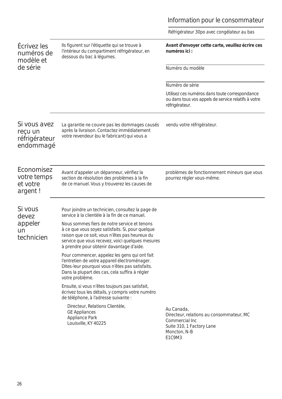## Information pour le consommateur

|                                                              |                                                                                                                                                                                                                                                    | Réfrigérateur 30po avec congélateur au bas                                                                                      |
|--------------------------------------------------------------|----------------------------------------------------------------------------------------------------------------------------------------------------------------------------------------------------------------------------------------------------|---------------------------------------------------------------------------------------------------------------------------------|
| Écrivez les<br>numéros de<br>modèle et                       | Ils figurent sur l'étiquette qui se trouve à<br>l'intérieur du compartiment réfrigérateur, en<br>dessous du bac à légumes.                                                                                                                         | Avant d'envoyer cette carte, veuillez écrire ces<br>numéros ici :                                                               |
| de série                                                     |                                                                                                                                                                                                                                                    | Numéro du modèle                                                                                                                |
|                                                              |                                                                                                                                                                                                                                                    | Numéro de série                                                                                                                 |
|                                                              |                                                                                                                                                                                                                                                    | Utilisez ces numéros dans toute correspondance<br>ou dans tous vos appels de service relatifs à votre<br>réfrigérateur.         |
| <i>Si vous avez</i><br>reçu un<br>réfrigérateur<br>endommagé | La garantie ne couvre pas les dommages causés<br>après la livraison. Contactez immédiatement<br>votre revendeur (ou le fabricant) qui vous a                                                                                                       | vendu votre réfrigérateur.                                                                                                      |
| Economisez<br><i>votre temps</i><br>et votre<br>argent!      | Avant d'appeler un dépanneur, vérifiez la<br>section de résolution des problèmes à la fin<br>de ce manuel. Vous y trouverez les causes de                                                                                                          | problèmes de fonctionnement mineurs que vous<br>pourrez régler vous-même.                                                       |
| <i>Si vous</i><br>devez                                      | Pour joindre un technicien, consultez la page de<br>service à la clientèle à la fin de ce manuel.                                                                                                                                                  |                                                                                                                                 |
| appeler<br>$U\cap$<br>technicien                             | Nous sommes fiers de notre service et tenons<br>à ce que vous soyez satisfaits. Si, pour quelque<br>raison que ce soit, vous n'êtes pas heureux du<br>service que vous recevez, voici quelques mesures<br>à prendre pour obtenir davantage d'aide. |                                                                                                                                 |
|                                                              | Pour commencer, appelez les gens qui ont fait<br>l'entretien de votre appareil électroménager.<br>Dites-leur pourquoi vous n'êtes pas satisfaits.<br>Dans la plupart des cas, cela suffira à régler<br>votre problème.                             |                                                                                                                                 |
|                                                              | Ensuite, si vous n'êtes toujours pas satisfait,<br>écrivez tous les détails, y compris votre numéro<br>de téléphone, à l'adresse suivante :                                                                                                        |                                                                                                                                 |
|                                                              | Directeur, Relations Clientèle,<br><b>GE Appliances</b><br>Appliance Park<br>Louisville, KY 40225                                                                                                                                                  | Au Canada,<br>Directeur, relations au consommateur, MC<br>Commercial Inc<br>Suite 310, 1 Factory Lane<br>Moncton, N-B<br>E1C9M3 |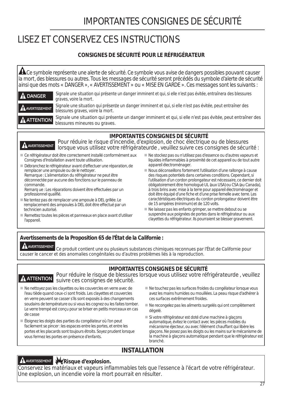## IMPORTANTES CONSIGNES DE SÉCURITÉ

## *LISEZ ET CONSERVEZ CES INSTRUCTIONS*

## **CONSIGNES DE SÉCURITÉ POUR LE RÉFRIGÉRATEUR**

ALCe symbole représente une alerte de sécurité. Ce symbole vous avise de dangers possibles pouvant causer la mort, des blessures ou autres. Tous les messages de sécurité seront précédés du symbole d'alerte de sécurité ainsi que des mots « DANGER », « AVERTISSEMENT » ou « MISE EN GARDE ». Ces messages sont les suivants :

> Signale une situation qui présente un danger imminent et qui, si elle n'est pas évitée, entraînera des blessures graves, voire la mort.



**DANGER**

Signale une situation qui présente un danger imminent et qui, si elle n'est pas évitée, peut entraîner des blessures graves, voire la mort. .

**ATTENTION**

Signale une situation qui présente un danger imminent et qui, si elle n'est pas évitée, peut entraîner des blessures mineures ou graves.



### **IMPORTANTES CONSIGNES DE SÉCURITÉ**

 Pour réduire le risque d'incendie, d'explosion, de choc électrique ou de blessures lorsque vous utilisez votre réfrigérateurde , veuillez suivre ces consignes de sécurité : **AVERTISSEMENT**

- Ce réfrigérateur doit être correctement installé conformément aux Consignes d'Installation avant toute utilisation.
- Débranchez le réfrigérateur avant d'effectuer une réparation, de remplacer une ampoule ou de le nettoyer. Remarque : L'alimentation du réfrigérateur ne peut être déconnectée par aucune des fonctions sur le panneau de commande. Remarq ue : Les réparations doivent être effectuées par un professionnel qualifié.
- Ne tentez pas de remplacer une ampoule à DEL grillée. Le remplacement des ampoules à DEL doit être effectué par un technicien autorisé.
- Remettez toutes les pièces et panneaux en place avant d'utiliser l'appareil.
- Ne stockez pas ou n'utilisez pas d'essence ou d'autres vapeurs et liquides inflammables à proximité de cet appareil ou de tout autre appareil électroménager.
- Nous déconseillons fortement l'utilisation d'une rallonge à cause des risques potentiels dans certaines conditions. Cependant, si l'utilisation d'un cordon prolongateur est nécessaire, ce dernier doit obligatoirement être homologué UL (aux USA) ou CSA (au Canada), à trois brins avec mise à la terre pour appareil électroménager et doit être équipé d'une fiche et d'une prise femelle avec terre. Les caractéristiques électriques du cordon prolongateur doivent être de 15 ampères (minimum) et de 120 volts.
- Ne laissez pas les enfants grimper, se mettre debout ou se suspendre aux poignées de portes dans le réfrigérateur ou aux clayettes du réfrigérateur. Ils pourraient se blesser gravement.

## **Avertissements de la Proposition 65 de l'État de la Californie :**

**AVERTISSEMENT** Ce produit contient une ou plusieurs substances chimiques reconnues par l'État de Californie pour causer le cancer et des anomalies congénitales ou d'autres problèmes liés à la reproduction.



## **IMPORTANTES CONSIGNES DE SÉCURITÉ**

A ATTENTION Pour réduire le risque de blessures lorsque vous utilisez votre réfrigérateurde, veuillez suivre ces consignes de sécurité.

- Ne nettoyez pas les clayettes ou les couvercles en verre avec de l'eau tiède quand ceux-ci sont froids. Les clayettes et couvercles en verre peuvent se casser s'ils sont exposés à des changements soudains de température ou si vous les cognez ou les faites tomber. Le verre trempé est conçu pour se briser en petits morceaux en cas de casse
- Éloignez les doigts des parties du congélateur où l'on peut facilement se pincer : les espaces entre les portes, et entre les portes et les placards sont toujours étroits. Soyez prudent lorsque vous fermez les portes en présence d'enfants.
- Ne touchez pas les surfaces froides du congélateur lorsque vous avez les mains humides ou mouillées. La peau risque d'adhérer à ces surfaces extrêmement froides.
- Ne recongelez pas les aliments surgelés qui ont complètement dégelé.
- Si votre réfrigérateur est doté d'une machine à glaçons automatique, évitez le contact avec les pièces mobiles du mécanisme éjecteur, ou avec l'élément chauffant qui libère les glaçons. Ne posez pas les doigts ou les mains sur le mécanisme de la machine à glaçons automatique pendant que le réfrigérateur est branché.

## **INSTALLATION**

## **A** AVERTISSEMENT **W** Risque d'explosion.

Conservez les matériaux et vapeurs inflammables tels que l'essence à l'écart de votre réfrigérateur. Une explosion, un incendie voire la mort pourrait en résulter.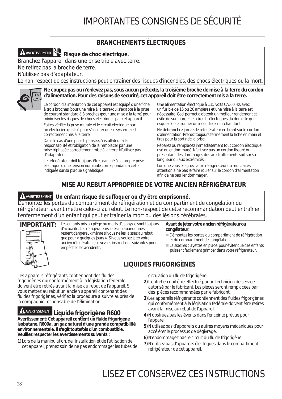## **BRANCHEMENTS ÉLECTRIQUES**

**AVERTISSEMENT Risque de choc électrique.** 

Branchez l'appareil dans une prise triple avec terre.

Ne retirez pas la broche de terre.

N'utilisez pas d'adaptateur.

Le non-respect de ces instructions peut entraîner des risques d'incendies, des chocs électriques ou la mort.



#### **Ne coupez pas ou n'enlevez pas, sous aucun prétexte, la troisième broche de mise à la terre du cordon d'alimentation. Pour des raisons de sécurité, cet appareil doit être correctement mis à la terre.**

Le cordon d'alimentation de cet appareil est équipé d'une fiche à trois broches (pour une mise à la terre) qui s'adapte à la prise de courant standard à 3 broches (pour une mise à la terre) pour minimiser les risques de chocs électriques par cet appareil.

Faites vérifier la prise murale et le circuit électrique par un électricien qualifié pour s'assurer que le système est correctement mis à la terre.

Dans le cas d'une prise biphasée, l'installateur a la responsabilité et l'obligation de la remplacer par une prise triphasée correctement mise à la terre. N'utilisez pas d'adaptateur.

Le réfrigérateur doit toujours être branché à sa propre prise électrique d'une tension nominale correspondant à celle indiquée sur sa plaque signalétique.

Une alimentation électrique à 115 volts CA, 60 Hz, avec un fusible de 15 ou 20 ampères et une mise à la terre est nécessaire. Ceci permet d'obtenir un meilleur rendement et évite de surcharger les circuits électriques du domicile qui risque d'occasionner un incendie en surchauffant.

Ne débranchez jamais le réfrigérateur en tirant sur le cordon d'alimentation. Prenez toujours fermement la fiche en main et tirez pour la sortir de la prise.

Réparez ou remplacez immédiatement tout cordon électrique usé ou endommagé. N'utilisez pas un cordon fissuré ou présentant des dommages dus aux frottements soit sur sa longueur ou aux extrémités.

Lorsque vous éloignez votre réfrigérateur du mur, faites attention à ne pas le faire rouler sur le cordon d'alimentation afin de ne pas l'endommager.

## **MISE AU REBUT APPROPRIÉE DE VOTRE ANCIEN RÉFRIGÉRATEUR**

## **AVERTISSEMENT Un enfant risque de suffoquer ou d'y être emprisonné.**

Démontez les portes du compartiment de réfrigération et du compartiment de congélation du réfrigérateur, avant mettre celui-ci au rebut. Le non-respect de cette recommandation peut entraîner l'enfermement d'un enfant qui peut entraîner la mort ou des lésions cérébrales.

### **IMPORTANT:**



Les enfants pris au piège ou morts d'asphyxie sont toujours d'actualité. Les réfrigérateurs jetés ou abandonnés restent dangereux même si vous ne les laissez au rebut que pour « quelques jours ». Si vous voulez jeter votre ancien réfrigérateur, suivez les instructions suivantes pour empêcher les accidents.

#### **Avant de jeter votre ancien réfrigérateur ou congélateur:**

- Démontez les portes du compartiment de réfrigération et du compartiment de congélation.
- Laissez les clayettes en place, pour éviter que des enfants puissent facilement grimper dans votre réfrigérateur.

## **LIQUIDES FRIGORIGÈNES**

Les appareils réfrigérants contiennent des fluides frigorigènes qui conformément à la législation fédérale doivent être retirés avant la mise au rebut de l'appareil. Si vous mettez au rebut un ancien appareil contenant des fluides frigorigènes, vérifiez la procédure à suivre auprès de la compagnie responsable de l'élimination.

## **AVERTISSEMENT Liquide frigorigène R600**

**Avertissement: Cet appareil contient un fluide frigorigène isobutane, R600a, un gaz naturel d'une grande compatibilité environnementale. Il s'agit toutefois d'un combustible. Veuillez respecter les avertissements suivants :**

**1)** Lors de la manipulation, de l'installation et de l'utilisation de cet appareil, prenez soin de ne pas endommager les tubes de circulation du fluide frigorigène.

- **2)** L'entretien doit être effectué par un technicien de service autorisé par le fabricant. Les pièces seront remplacées par des pièces recommandées par le fabricant.
- **3)** Les appareils réfrigérants contiennent des fluides frigorigènes qui conformément à la législation fédérale doivent être retirés avant la mise au rebut de l'appareil.
- **4)** N'obstruez pas les évents dans l'enceinte prévue pour l'appareil.
- **5)** N'utilisez pas d'appareils ou autres moyens mécaniques pour accélérer le processus de dégivrage.
- **6)** N'endommagez pas le circuit du fluide frigorigène.
- **7)** N'utilisez pas d'appareils électriques dans le compartiment réfrigérateur de cet appareil.

## *LISEZ ET CONSERVEZ CES INSTRUCTIONS*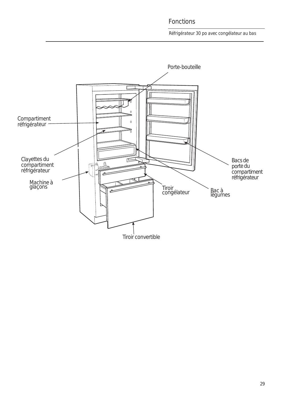## Fonctions

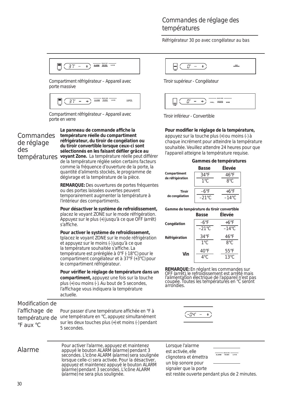## Commandes de réglage des températures

*Réfrigérateur 30 po avec congélateur au bas*



Compartiment réfrigérateur – Appareil avec porte massive



Compartiment réfrigérateur – Appareil avec porte en verre

*Commandes de réglage des températures* **voyant Zone.** La température réelle peut différer *Modification de l'affichage de température de °F aux °C* Pour passer d'une température affichée en °F à une température en °C, appuyez simultanément sur les deux touches plus (+) et moins (-) pendant 5 secondes. **Le panneau de commande affiche la température réelle du compartiment réfrigérateur, du tiroir de congélation ou du tiroir convertible lorsque ceux-ci sont sélectionnés en les faisant défiler grâce au**  de la température réglée selon certains facteurs comme la fréquence d'ouverture de la porte, la quantité d'aliments stockés, le programme de dégivrage et la température de la pièce. **REMARQUE:** Des ouvertures de portes fréquentes ou des portes laissées ouvertes peuvent temporairement augmenter la température à l'intérieur des compartiments. **Pour désactiver le système de refroidissement,** placez le voyant ZONE sur le mode réfrigération. Appuyez sur le plus (+) jusqu'à ce que OFF (arrêt) s'affiche. **Pour activer le système de refroidissement,** tplacez le voyant ZONE sur le mode réfrigération et appuyez sur le moins (-) jusqu'à ce que la température souhaitée s'affiche. La température est préréglée à 0°F (-18°C) pour le compartiment congélateur et à 37°F (+3°C) pour le compartiment réfrigérateur. **Pour vérifier le réglage de température dans un compartiment,** appuyez une fois sur la touche plus (+) ou moins (-). Au bout de 5 secondes, l'affichage vous indiquera la température actuelle.



Tiroir supérieur - Congélateur



Tiroir inférieur - Convertible

#### **Pour modifier le réglage de la température,**

appuyez sur la touche plus (+) ou moins (-) à chaque incrément pour atteindre la température souhaitée. Veuillez attendre 24 heures pour que l'appareil atteigne la température requise.

#### **Gammes de températures**

|                          | <b>Basse</b>           | Élevée                   |
|--------------------------|------------------------|--------------------------|
| Compartiment             | 34°F                   | 46°F                     |
| de réfrigération         | $1^{\circ}$ C          | 8°C                      |
| Tiroir<br>de congélation | 6°F<br>$-21^{\circ}$ C | $+6°F$<br>$-14\degree$ C |
|                          |                        |                          |

| Gamme de température du tiroir convertible |  |
|--------------------------------------------|--|
|                                            |  |

|               | Basse                             | Élevée                            |
|---------------|-----------------------------------|-----------------------------------|
| Congélation   | $-6^{\circ}$ F<br>$-21^{\circ}$ C | $+6^{\circ}$ F<br>$-14^{\circ}$ C |
| Réfrigération | $34^{\circ}F$<br>$1^{\circ}$ C    | 46°F<br>8°C                       |
| Vin           | $40^{\circ}$ F<br>$4^{\circ}$ C   | $55^{\circ}$ F<br>$13^{\circ}$ C  |

**REMARQUE:** En réglant les commandes sur OFF (arrêt), le refroidissement est arrêté mais l'alimentation électrique de l'appareil n'est pas coupée. Toutes les températures en °C seront arrondies.



Lorsque l'alarme est activée, elle clignotera et émettra un bip sonore pour

Pour activer l'alarme, appuyez et maintenez<br>2 *Alarme* appuyé le bouton ALARM (alarme) pendant 3 secondes. L'icône ALARM (alarme) sera soulignée lorsque celle-ci sera activée. Pour la désactiver, appuyez et maintenez appuyé le bouton ALARM (alarme) pendant 3 secondes. L'icône ALARM (alarme) ne sera plus soulignée.

signaler que la porte

est restée ouverte pendant plus de 2 minutes.

ALARM FILTER LOCK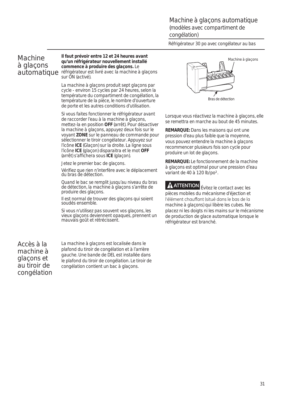## Machine à glaçons automatique (modèles avec compartiment de congélation)

*Réfrigérateur 30 po avec congélateur au bas*

*Machine à glaçons* 

automatique réfrigérateur est livré avec la machine à glaçons **Il faut prévoir entre 12 et 24 heures avant qu'un réfrigérateur nouvellement installé commence à produire des glaçons.** Le sur ON (activé).

> La machine à glaçons produit sept glaçons par cycle - environ 15 cycles par 24 heures, selon la température du compartiment de congélation, la température de la pièce, le nombre d'ouverture de porte et les autres conditions d'utilisation.

> Si vous faites fonctionner le réfrigérateur avant de raccorder l'eau à la machine à glaçons, mettez-la en position **OFF** (arrêt). Pour désactiver la machine à glaçons, appuyez deux fois sur le voyant **ZONE** sur le panneau de commande pour sélectionner le tiroir congélateur. Appuyez sur l'icône **ICE** (Glaçon) sur la droite. La ligne sous l'icône **ICE** (glaçon) disparaitra et le mot **OFF** (arrêt) s'affichera sous **ICE** (glaçon).

Jetez le premier bac de glaçons.

Vérifiez que rien n'interfère avec le déplacement du bras de détection.

Quand le bac se remplit jusqu'au niveau du bras de détection, la machine à glaçons s'arrête de produire des glaçons.

Il est normal de trouver des glaçons qui soient soudés ensemble.

Si vous n'utilisez pas souvent vos glaçons, les vieux glaçons deviennent opaques, prennent un mauvais goût et rétrécissent.

*Accès à la machine à glaçons et au tiroir de congélation* La machine à glaçons est localisée dans le plafond du tiroir de congélation et à l'arrière gauche. Une bande de DEL est installée dans le plafond du tiroir de congélation. Le tiroir de congélation contient un bac à glaçons.



Lorsque vous réactivez la machine à glaçons, elle se remettra en marche au bout de 45 minutes.

**REMARQUE:** Dans les maisons qui ont une pression d'eau plus faible que la moyenne, vous pouvez entendre la machine à glaçons recommencer plusieurs fois son cycle pour produire un lot de glaçons.

**REMARQUE:** Le fonctionnement de la machine à glaçons est optimal pour une pression d'eau variant de 40 à 120 lb/po².

**ATTENTION** Évitez le contact avec les pièces mobiles du mécanisme d'éjection et l'élément chauffant (situé dans le bas de la machine à glaçons) qui libère les cubes. Ne placez ni les doigts ni les mains sur le mécanisme de production de glace automatique lorsque le réfrigérateur est branché.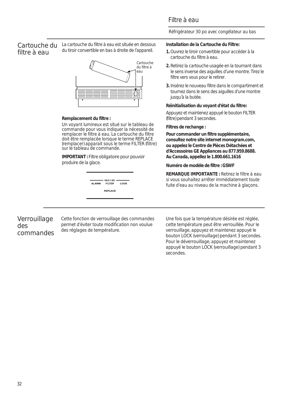*Réfrigérateur 30 po avec congélateur au bas*

#### La cartouche du filtre à eau est située en dessous du tiroir convertible en bas à droite de l'appareil. *Cartouche du filtre à eau*



#### **Remplacement du filtre :**

Un voyant lumineux est situé sur le tableau de commande pour vous indiquer la nécessité de remplacer le filtre à eau. La cartouche du filtre doit être remplacée lorsque le terme REPLACE (remplacer) apparait sous le terme FILTER (filtre) sur le tableau de commande.

**IMPORTANT :** Filtre obligatoire pour pouvoir produire de la glace.



#### **Installation de la Cartouche du Filtre:**

- **1.** Ouvrez le tiroir convertible pour accéder à la cartouche du filtre à eau.
- **2.** Retirez la cartouche usagée en la tournant dans le sens inverse des aiguilles d'une montre. Tirez le filtre vers vous pour le retirer.
- **3.** Insérez le nouveau filtre dans le compartiment et tournez dans le sens des aiguilles d'une montre jusqu'à la butée.

#### **Réinitialisation du voyant d'état du filtre:**

Appuyez et maintenez appuyé le bouton FILTER (filtre) pendant 3 secondes.

#### **Filtres de rechange :**

**Pour commander un filtre supplémentaire, consultez notre site internet monogram.com, ou appelez le Centre de Pièces Détachées et d'Accessoires GE Appliances au 877.959.8688. Au Canada, appellez le 1.800.661.1616**

#### **Numéro de modèle de filtre : GSWF**

**REMARQUE IMPORTANTE :** Retirez le filtre à eau si vous souhaitez arrêter immédiatement toute fuite d'eau au niveau de la machine à glaçons.

*Verrouillage des commandes* Cette fonction de verrouillage des commandes permet d'éviter toute modification non voulue des réglages de température.

Une fois que la température désirée est réglée, cette température peut être verrouillée. Pour le verrouillage, appuyez et maintenez appuyé le bouton LOCK (verrouillage) pendant 3 secondes. Pour le déverrouillage, appuyez et maintenez appuyé le bouton LOCK (verrouillage) pendant 3 secondes.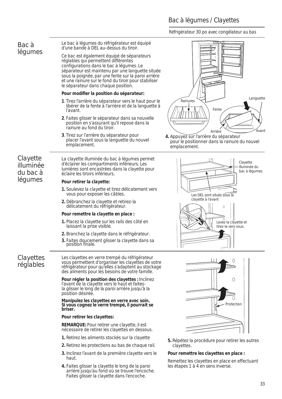| Bac à<br>légumes                             | Le bac à légumes du réfrigérateur est équipé<br>d'une bande à DEL au-dessus du tiroir.<br>Ce bac est également équipé de séparateurs<br>réglables qui permettent différentes<br>configurations dans le bac à légumes. Le<br>séparateur est maintenu par une languette située<br>sous la poignée, par une fente sur la paroi arrière<br>et une rainure sur le fond du tiroir pour stabiliser<br>le séparateur dans chaque position.                                                                                                                                                                                                                                                                                                                                                                                                                                                                                                                                            |                                                                                                                                                                                                             |
|----------------------------------------------|-------------------------------------------------------------------------------------------------------------------------------------------------------------------------------------------------------------------------------------------------------------------------------------------------------------------------------------------------------------------------------------------------------------------------------------------------------------------------------------------------------------------------------------------------------------------------------------------------------------------------------------------------------------------------------------------------------------------------------------------------------------------------------------------------------------------------------------------------------------------------------------------------------------------------------------------------------------------------------|-------------------------------------------------------------------------------------------------------------------------------------------------------------------------------------------------------------|
|                                              | Pour modifier la position du séparateur:<br>1. Tirez l'arrière du séparateur vers le haut pour le<br>libérer de la fente à l'arrière et de la languette à<br>l'avant.<br>2. Faites glisser le séparateur dans sa nouvelle<br>position en s'assurant qu'il repose dans la<br>rainure au fond du tiroir.<br>3. Tirez sur l'arrière du séparateur pour<br>placer l'avant sous la languette du nouvel<br>emplacement.                                                                                                                                                                                                                                                                                                                                                                                                                                                                                                                                                             | Languette<br>Rainures<br>Fente<br>Avant<br>Arrière<br>4. Appuyez sur l'arrière du séparateur<br>pour le positionner dans la rainure du nouvel<br>emplacement.                                               |
| Clayette<br>illuminée<br>du bac à<br>légumes | La clayette illuminée du bac à légumes permet<br>d'éclairer les compartiments inférieurs. Les<br>lumières sont encastrées dans la clayette pour<br>éclaire les tiroirs inférieurs.<br>Pour retirer la clayette:<br>1. Soulevez la clayette et tirez délicatement vers<br>vous pour exposer les câbles.<br>2. Débranchez la clayette et retirez-la<br>délicatement du réfrigérateur.<br>Pour remettre la clayette en place :<br>1. Placez la clayette sur les rails des côté en<br>laissant la prise visible.<br>2. Branchez la clayette dans le réfrigérateur.<br>3. Faites doucement glisser la clayette dans sa position finale.                                                                                                                                                                                                                                                                                                                                            | Clayette<br>illuminée du<br>bac à légumes<br>Les DEL sont situés sous la<br>clayette à l'avant<br>$\Omega$<br>Levez la clayette et<br>tirez-la vers vous.                                                   |
| Clayettes<br>réglables                       | Les clayettes en verre trempé du réfrigérateur<br>vous permettent d'organiser les clayettes de votre<br>réfrigérateur pour qu'elles s'adaptent au stockage<br>des aliments pour les besoins de votre famille.<br>Pour régler la position des clayettes : Inclinez<br>l'avant de la clayette vers le haut et faites-<br>la glisser le long de la paroi arrière jusqu'à la<br>position désirée.<br>Manipulez les clayettes en verre avec soin.<br>Si vous cognez le verre trempé, il pourrait se<br>briser.<br>Pour retirer les clayettes:<br><b>REMARQUE:</b> Pour retirer une clayette, il est<br>nécessaire de retirer les clayettes en dessous.<br>1. Retirez les aliments stockés sur la clayette<br>2. Retirez les protections au bas de chaque rail.<br>3. Inclinez l'avant de la première clayette vers le<br>haut.<br>4. Faites glisser la clayette le long de la paroi<br>arrière jusqu'au fond où se trouve l'encoche.<br>Faites glisser la clayette dans l'encoche. | Protection<br>5. Répétez la procédure pour retirer les autres<br>clayettes.<br>Pour remettre les clayettes en place :<br>Remettez les clayettes en place en effectuant<br>les étapes 1 à 4 en sens inverse. |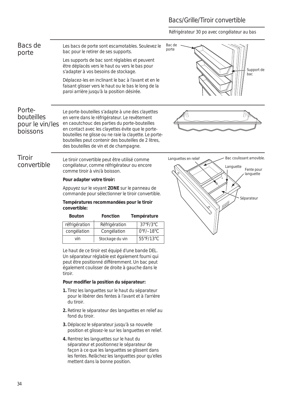## Bacs/Grille/Tiroir convertible

*Réfrigérateur 30 po avec congélateur au bas*

*Bacs de*  Bac de Les bacs de porte sont escamotables. Soulevez le porte bac pour le retirer de ses supports. *porte* Les supports de bac sont réglables et peuvent être déplacés vers le haut ou vers le bas pour Support de s'adapter à vos besoins de stockage. bac Déplacez-les en inclinant le bac à l'avant et en le faisant glisser vers le haut ou le bas le long de la paroi arrière jusqu'à la position désirée. *Porte-*Le porte-bouteilles s'adapte à une des clayettes *bouteilles*  en verre dans le réfrigérateur. Le revêtement en caoutchouc des parties du porte-bouteilles *pour le vin/les*  en contact avec les clayettes évite que le porte*boissons* bouteilles ne glisse ou ne raie la clayette. Le portebouteilles peut contenir des bouteilles de 2 litres, des bouteilles de vin et de champagne. *Tiroir*  Bac coulissant amovible. Languettes en relief Le tiroir convertible peut être utilisé comme *convertible* congélateur, comme réfrigérateur ou encore LanguetteFente pour comme tiroir à vin/à boisson. languette **Pour adapter votre tiroir:** Appuyez sur le voyant **ZONE** sur le panneau de commande pour sélectionner le tiroir convertible. Séparateur - 1111 **Températures recommandées pour le tiroir convertible: Bouton Fonction Température** réfrigération Réfrigération 37°F/3°C 0°F/–18°C congélation **Congélation** 

55°F/13°C

Le haut de ce tiroir est équipé d'une bande DEL. Un séparateur réglable est également fourni qui peut être positionné différemment. Un bac peut également coulisser de droite à gauche dans le tiroir.

Stockage du vin

#### **Pour modifier la position du séparateur:**

vin

- **1.** Tirez les languettes sur le haut du séparateur pour le libérer des fentes à l'avant et à l'arrière du tiroir.
- **2.** Retirez le séparateur des languettes en relief au fond du tiroir.
- **3.** Déplacez le séparateur jusqu'à sa nouvelle position et glissez-le sur les languettes en relief.
- **4.** Rentrez les languettes sur le haut du séparateur et positionnez le séparateur de façon à ce que les languettes se glissent dans les fentes. Relâchez les languettes pour qu'elles mettent dans la bonne position.

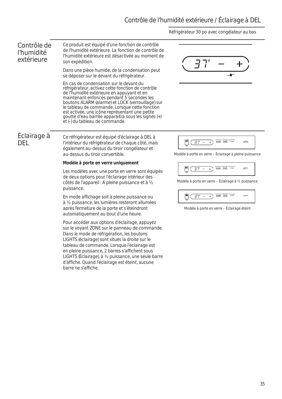*Réfrigérateur 30 po avec congélateur au bas*

*Contrôle de l'humidité extérieure*

Ce produit est équipé d'une fonction de contrôle de l'humidité extérieure. La fonction de contrôle de l'humidité extérieure est désactivée au moment de son expédition.

Dans une pièce humide, de la condensation peut se déposer sur le devant du réfrigérateur.

En cas de condensation sur le devant du réfrigérateur, activez cette fonction de contrôle de l'humidité extérieure en appuyant et en maintenant enfoncés pendant 5 secondes les boutons ALARM (alarme) et LOCK (verrouillage) sur le tableau de commande. Lorsque cette fonction est activée, une icône représentant une petite goutte d'eau barrée apparaitra sous les signes (+) et (-) du tableau de commande.

*Éclairage à DEL*

Ce réfrigérateur est équipé d'éclairage à DEL à l'intérieur du réfrigérateur de chaque côté, mais également au-dessus du tiroir congélateur et au-dessus du tiroir convertible.

#### **Modèle à porte en verre uniquement**

Les modèles avec une porte en verre sont équipés de deux options pour l'éclairage intérieur des côtés de l'appareil : A pleine puissance et à ½ puissance.

En mode affichage soit à pleine puissance ou à ½ puissance, les lumières resteront allumées après fermeture de la porte et s'éteindront automatiquement au bout d'une heure.

Pour accéder aux options d'éclairage, appuyez sur le voyant ZONE sur le panneau de commande. Dans le mode de réfrigération, les boutons LIGHTS (éclairage) sont situés la droite sur le tableau de commande. Lorsque l'éclairage est en pleine puissance, 2 barres s'affichent sous LIGHTS (Éclairage), à ½ puissance, une seule barre d'affiche. Quand l'éclairage est éteint, aucune barre ne s'affiche.





Modèle à porte en verre – Éclairage à pleine puissance



Modèle à porte en verre – Éclairage à ½ puissance



Modèle à porte en verre – Éclairage éteint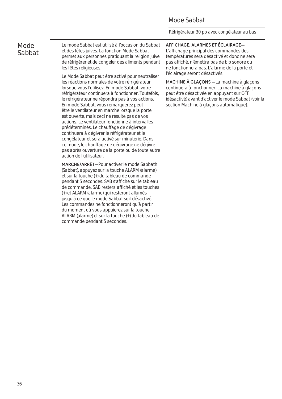## Mode Sabbat

*Réfrigérateur 30 po avec congélateur au bas*

## *Mode Sabbat*

Le mode Sabbat est utilisé à l'occasion du Sabbat et des fêtes juives. La fonction Mode Sabbat permet aux personnes pratiquant la religion juive de réfrigérer et de congeler des aliments pendant les fêtes religieuses.

Le Mode Sabbat peut être activé pour neutraliser les réactions normales de votre réfrigérateur lorsque vous l'utilisez. En mode Sabbat, votre réfrigérateur continuera à fonctionner. Toutefois, le réfrigérateur ne répondra pas à vos actions. En mode Sabbat, vous remarquerez peutêtre le ventilateur en marche lorsque la porte est ouverte, mais ceci ne résulte pas de vos actions. Le ventilateur fonctionne à intervalles prédéterminés. Le chauffage de dégivrage continuera à dégivrer le réfrigérateur et le congélateur et sera activé sur minuterie. Dans ce mode, le chauffage de dégivrage ne dégivre pas après ouverture de la porte ou de toute autre action de l'utilisateur.

**MARCHE/ARRÊT-Pour activer le mode Sabbath** (Sabbat), appuyez sur la touche ALARM (alarme) et sur la touche (+) du tableau de commande pendant 5 secondes. SAB s'affiche sur le tableau de commande. SAB restera affiché et les touches (+) et ALARM (alarme) qui resteront allumés jusqu'à ce que le mode Sabbat soit désactivé. Les commandes ne fonctionneront qu'à partir du moment où vous appuierez sur la touche ALARM (alarme) et sur la touche (+) du tableau de commande pendant 5 secondes.

 $AFFICHAGE, ALARMES ET ÉCLAIRAGE-$ 

L'affichage principal des commandes des températures sera désactivé et donc ne sera pas affiché, n'émettra pas de bip sonore ou ne fonctionnera pas. L'alarme de la porte et l'éclairage seront désactivés.

**MACHINE À GLAÇONS** — La machine à glaçons continuera à fonctionner. La machine à glaçons peut être désactivée en appuyant sur OFF (désactivé) avant d'activer le mode Sabbat (voir la section Machine à glaçons automatique).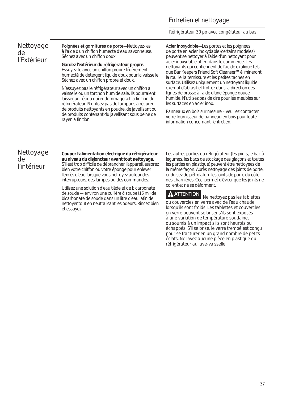## Entretien et nettoyage

*Réfrigérateur 30 po avec congélateur au bas*

## *Nettoyage de l'Extérieur*

Poignées et garnitures de porte-Nettoyez-les à l'aide d'un chiffon humecté d'eau savonneuse. Séchez avec un chiffon doux.

**Gardez l'extérieur du réfrigérateur propre.**  Essuyez-le avec un chiffon propre légèrement humecté de détergent liquide doux pour la vaisselle. Séchez avec un chiffon propre et doux.

N'essuyez pas le réfrigérateur avec un chiffon à vaisselle ou un torchon humide sale. Ils pourraient laisser un résidu qui endommagerait la finition du réfrigérateur. N'utilisez pas de tampons à récurer, de produits nettoyants en poudre, de javellisant ou de produits contenant du javellisant sous peine de rayer la finition.

Acier inoxydable-Les portes et les poignées de porte en acier inoxydable (certains modèles) peuvent se nettoyer à l'aide d'un nettoyant pour acier inoxydable offert dans le commerce. Les nettoyants qui contiennent de l'acide oxalique tels que Bar Keepers Friend Soft Cleanser™ élimineront la rouille, la ternissure et les petites taches en surface. Utilisez uniquement un nettoyant liquide exempt d'abrasif et frottez dans la direction des lignes de brosse à l'aide d'une éponge douce humide. N'utilisez pas de cire pour les meubles sur les surfaces en acier inox.

Panneaux en bois sur mesure – veuillez contacter votre fournisseur de panneau en bois pour toute information concernant l'entretien.

## *Nettoyage*   $d\rho$ *l'intérieur*

#### **Coupez l'alimentation électrique du réfrigérateur au niveau du disjoncteur avant tout nettoyage.**

S'il est trop difficile de débrancher l'appareil, essorez bien votre chiffon ou votre éponge pour enlever l'excès d'eau lorsque vous nettoyez autour des interrupteurs, des lampes ou des commandes.

Utilisez une solution d'eau tiède et de bicarbonate de soude — environ une cuillère à soupe (15 ml) de bicarbonate de soude dans un litre d'eau afin de nettoyer tout en neutralisant les odeurs. Rincez bien et essuyez.

Les autres parties du réfrigérateur (les joints, le bac à légumes, les bacs de stockage des glaçons et toutes les parties en plastique) peuvent être nettoyées de la même façon. Après nettoyage des joints de porte, enduisez de pétrolatum les joints de porte du côté des charnières. Ceci permet d'éviter que les joints ne collent et ne se déforment.

**ATTENTION** Ne nettoyez pas les tablettes ou couvercles en verre avec de l'eau chaude lorsqu'ils sont froids. Les tablettes et couvercles en verre peuvent se briser s'ils sont exposés à une variation de température soudaine, ou soumis à un impact s'ils sont heurtés ou échappés. S'il se brise, le verre trempé est conçu pour se fracturer en un grand nombre de petits éclats. Ne lavez aucune pièce en plastique du réfrigérateur au lave-vaisselle.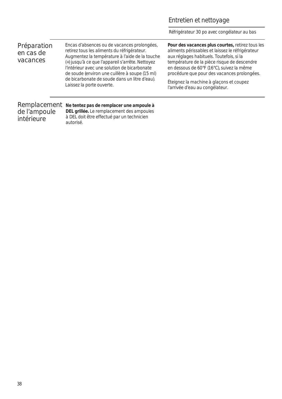## Entretien et nettoyage

|                                            |                                                                                                                                                                                                                                                                                                                                                     | Réfrigérateur 30 po avec congélateur au bas                                                                                                                                                                                                                                                 |
|--------------------------------------------|-----------------------------------------------------------------------------------------------------------------------------------------------------------------------------------------------------------------------------------------------------------------------------------------------------------------------------------------------------|---------------------------------------------------------------------------------------------------------------------------------------------------------------------------------------------------------------------------------------------------------------------------------------------|
| Préparation<br>en cas de<br>vacances       | Encas d'absences ou de vacances prolongées,<br>retirez tous les aliments du réfrigérateur.<br>Augmentez la température à l'aide de la touche<br>(+) jusqu'à ce que l'appareil s'arrête. Nettoyez<br>l'intérieur avec une solution de bicarbonate<br>de soude (environ une cuillère à soupe (15 ml)<br>de bicarbonate de soude dans un litre d'eau). | Pour des vacances plus courtes, retirez tous les<br>aliments périssables et laissez le réfrigérateur<br>aux réglages habituels. Toutefois, si la<br>température de la pièce risque de descendre<br>en dessous de 60°F (16°C), suivez la même<br>procédure que pour des vacances prolongées. |
|                                            | Laissez la porte ouverte.                                                                                                                                                                                                                                                                                                                           | Éteignez la machine à glaçons et coupez<br>l'arrivée d'eau au congélateur.                                                                                                                                                                                                                  |
| Remplacement<br>de l'ampoule<br>intérieure | Ne tentez pas de remplacer une ampoule à<br>DEL grillée. Le remplacement des ampoules<br>à DEL doit être effectué par un technicien<br>autorisé.                                                                                                                                                                                                    |                                                                                                                                                                                                                                                                                             |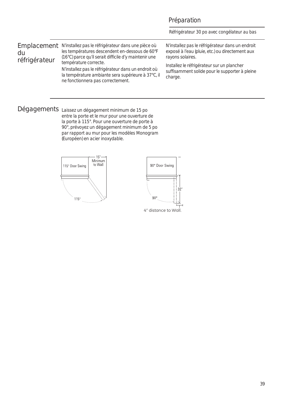## Préparation

 $32$ 

*Réfrigérateur 30 po avec congélateur au bas*

## *du réfrigérateur*

*Emplacement*  N'installez pas le réfrigérateur dans une pièce où les températures descendent en-dessous de 60°F (16°C) parce qu'il serait difficile d'y maintenir une température correcte. N'installez pas le réfrigérateur dans un endroit où

la température ambiante sera supérieure à 37°C, il ne fonctionnera pas correctement.

N'installez pas le réfrigérateur dans un endroit exposé à l'eau (pluie, etc.) ou directement aux rayons solaires.

Installez le réfrigérateur sur un plancher suffisamment solide pour le supporter à pleine charge.

*Dégagements* Laissez un dégagement minimum de 15 po entre la porte et le mur pour une ouverture de la porte à 115°. Pour une ouverture de porte à 90°, prévoyez un dégagement minimum de 5 po par rapport au mur pour les modèles Monogram (Européen) en acier inoxydable.

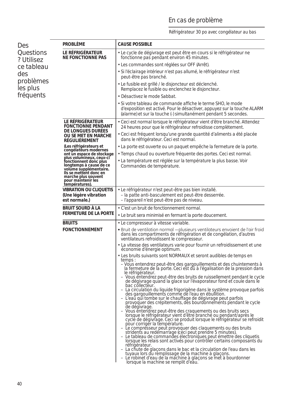## En cas de problème

| Des                            | <b>PROBLÈME</b>                                                                                                                                    | <b>CAUSE POSSIBLE</b>                                                                                                                                                                                                                                                                                                                                                                                                                                                                                                                                                                                                                                                                                                                                                                                                                                                                                                                                                                                                                                                                         |
|--------------------------------|----------------------------------------------------------------------------------------------------------------------------------------------------|-----------------------------------------------------------------------------------------------------------------------------------------------------------------------------------------------------------------------------------------------------------------------------------------------------------------------------------------------------------------------------------------------------------------------------------------------------------------------------------------------------------------------------------------------------------------------------------------------------------------------------------------------------------------------------------------------------------------------------------------------------------------------------------------------------------------------------------------------------------------------------------------------------------------------------------------------------------------------------------------------------------------------------------------------------------------------------------------------|
| Questions<br><i>? Utilisez</i> | LE RÉFRIGÉRATEUR<br><b>NE FONCTIONNE PAS</b>                                                                                                       | • Le cycle de dégivrage est peut être en cours si le réfrigérateur ne<br>fonctionne pas pendant environ 45 minutes.                                                                                                                                                                                                                                                                                                                                                                                                                                                                                                                                                                                                                                                                                                                                                                                                                                                                                                                                                                           |
| ce tableau                     |                                                                                                                                                    | • Les commandes sont réglées sur OFF (Arrêt).                                                                                                                                                                                                                                                                                                                                                                                                                                                                                                                                                                                                                                                                                                                                                                                                                                                                                                                                                                                                                                                 |
| des                            |                                                                                                                                                    | · Si l'éclairage intérieur n'est pas allumé, le réfrigérateur n'est<br>peut-être pas branché.                                                                                                                                                                                                                                                                                                                                                                                                                                                                                                                                                                                                                                                                                                                                                                                                                                                                                                                                                                                                 |
| problèmes<br>les plus          |                                                                                                                                                    | • Le fusible est grillé / le disjoncteur est déclenché.<br>Remplacez le fusible ou enclenchez le disjoncteur.                                                                                                                                                                                                                                                                                                                                                                                                                                                                                                                                                                                                                                                                                                                                                                                                                                                                                                                                                                                 |
| fréquents                      |                                                                                                                                                    | · Désactivez le mode Sabbat.                                                                                                                                                                                                                                                                                                                                                                                                                                                                                                                                                                                                                                                                                                                                                                                                                                                                                                                                                                                                                                                                  |
|                                |                                                                                                                                                    | • Si votre tableau de commande affiche le terme SHO, le mode<br>d'exposition est activé. Pour le désactiver, appuyez sur la touche ALARM<br>(alarme) et sur la touche (-) simultanément pendant 5 secondes.                                                                                                                                                                                                                                                                                                                                                                                                                                                                                                                                                                                                                                                                                                                                                                                                                                                                                   |
|                                | LE RÉFRIGÉRATEUR<br><b>FONCTIONNE PENDANT</b>                                                                                                      | • Ceci est normal lorsque le réfrigérateur vient d'être branché. Attendez<br>24 heures pour que le réfrigérateur refroidisse complètement.                                                                                                                                                                                                                                                                                                                                                                                                                                                                                                                                                                                                                                                                                                                                                                                                                                                                                                                                                    |
|                                | DE LONGUES DURÉES<br>OU SE MET EN MARCHE<br>RÉGULIÈREMENT                                                                                          | · Ceci est fréquent lorsqu'une grande quantité d'aliments a été placée<br>dans le réfrigérateur. Ceci est normal.                                                                                                                                                                                                                                                                                                                                                                                                                                                                                                                                                                                                                                                                                                                                                                                                                                                                                                                                                                             |
|                                | (Les réfrigérateurs et<br>congélateurs modernes                                                                                                    | • La porte est ouverte ou un paquet empêche la fermeture de la porte.                                                                                                                                                                                                                                                                                                                                                                                                                                                                                                                                                                                                                                                                                                                                                                                                                                                                                                                                                                                                                         |
|                                | ont un espace de stockage<br>plus volumineux, ceux-ci                                                                                              | · Temps chaud ou ouverture fréquente des portes. Ceci est normal.                                                                                                                                                                                                                                                                                                                                                                                                                                                                                                                                                                                                                                                                                                                                                                                                                                                                                                                                                                                                                             |
|                                | fonctionnent donc plus<br>longtemps à cause de ce<br>volume supplémentaire.<br>Ils se mettent donc en<br>marche plus souvent<br>pour maintenir les | • La température est réglée sur la température la plus basse. Voir<br>Commandes de température.                                                                                                                                                                                                                                                                                                                                                                                                                                                                                                                                                                                                                                                                                                                                                                                                                                                                                                                                                                                               |
|                                | températures).<br><b>VIBRATION OU CLIQUETIS</b>                                                                                                    | · Le réfrigérateur n'est peut-être pas bien installé.                                                                                                                                                                                                                                                                                                                                                                                                                                                                                                                                                                                                                                                                                                                                                                                                                                                                                                                                                                                                                                         |
|                                | (Une légère vibration<br>est normale.)                                                                                                             | - la patte anti-basculement est peut-être desserrée.<br>- l'appareil n'est peut-être pas de niveau.                                                                                                                                                                                                                                                                                                                                                                                                                                                                                                                                                                                                                                                                                                                                                                                                                                                                                                                                                                                           |
|                                | <b>BRUIT SOURD À LA</b>                                                                                                                            | • C'est un bruit de fonctionnement normal.                                                                                                                                                                                                                                                                                                                                                                                                                                                                                                                                                                                                                                                                                                                                                                                                                                                                                                                                                                                                                                                    |
|                                | <b>FERMETURE DE LA PORTE</b>                                                                                                                       | • Le bruit sera minimisé en fermant la porte doucement.                                                                                                                                                                                                                                                                                                                                                                                                                                                                                                                                                                                                                                                                                                                                                                                                                                                                                                                                                                                                                                       |
|                                | <b>BRUITS</b>                                                                                                                                      | • Le compresseur à vitesse variable.                                                                                                                                                                                                                                                                                                                                                                                                                                                                                                                                                                                                                                                                                                                                                                                                                                                                                                                                                                                                                                                          |
|                                | <b>FONCTIONNEMENT</b>                                                                                                                              | · Bruit de ventilation normal - plusieurs ventilateurs envoient de l'air froid<br>dans les compartiments de réfrigération et de congélation, d'autres<br>ventilateurs refroidissent le compresseur.                                                                                                                                                                                                                                                                                                                                                                                                                                                                                                                                                                                                                                                                                                                                                                                                                                                                                           |
|                                |                                                                                                                                                    | • La vitesse des ventilateurs varie pour fournir un refroidissement et une<br>économie d'énergie optimum.                                                                                                                                                                                                                                                                                                                                                                                                                                                                                                                                                                                                                                                                                                                                                                                                                                                                                                                                                                                     |
|                                |                                                                                                                                                    | • Les bruits suivants sont NORMAUX et seront audibles de temps en<br>temps :<br>- Vous entendrez peut-être des gargouillements et des chuintements à<br>la fermeture de la porte. Ceci est dû à l'égalisation de la pression dans<br>le réfrigérateur.<br>- Vous entendrez peut-être des bruits de ruissellement pendant le cycle<br>de dégivrage quand la glace sur l'évaporateur fond et coule dans le                                                                                                                                                                                                                                                                                                                                                                                                                                                                                                                                                                                                                                                                                      |
|                                |                                                                                                                                                    | bac collecteur.<br>- La circulation du liquide frigorigène dans le système provoque parfois<br>des gargouillements comme de l'eau en ébullition.<br>- L'eaŭ qui tombe sur le chauffage de dégivrage peut parfois<br>provoquer des crépitements, des bourdonnements pendant le cycle<br>de dégivrage.<br>Vous entendrez peut-être des craquements ou des bruits secs<br>lorsque le réfrigérateur vient d'être branché ou pendant/après le<br>cycle de dégivrage. Ceci se produit lorsque le réfrigérateur se refroidit<br>pour corriger la température.<br>- Le compresseur peut provoquer des claquements ou des bruits<br>stridents au redémarrage (ceci peut prendre 5 minutes).<br>- Le tableau de commandes électroniques peut émettre des cliquetis<br>lorsque les relais sont activés pour contrôler certains composants du<br>réfrigérateur.<br>- La chute de glaçons dans le bac et la circulation de l'eau dans les<br>tuyaux lors du remplissage de la machine à glaçons.<br>- Le robinet d'eau de la machine à glaçons se met à bourdonner<br>lorsque la machine se remplit d'eau. |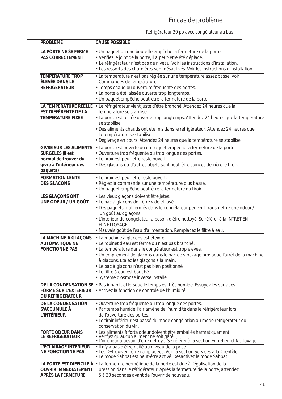|  | Réfrigérateur 30 po avec congélateur au bas |  |
|--|---------------------------------------------|--|
|--|---------------------------------------------|--|

|                                                                                                                  | Refrigerateur 30 po avec congelateur au bas                                                                                                                                                                                                                                                                                                                                                                   |
|------------------------------------------------------------------------------------------------------------------|---------------------------------------------------------------------------------------------------------------------------------------------------------------------------------------------------------------------------------------------------------------------------------------------------------------------------------------------------------------------------------------------------------------|
| <b>PROBLÈME</b>                                                                                                  | <b>CAUSE POSSIBLE</b>                                                                                                                                                                                                                                                                                                                                                                                         |
| LA PORTE NE SE FERME<br>PAS CORRECTEMENT                                                                         | · Un paquet ou une bouteille empêche la fermeture de la porte.<br>· Vérifiez le joint de la porte, il a peut-être été déplacé.<br>· Le réfrigérateur n'est pas de niveau. Voir les instructions d'installation.<br>· Les ressorts des charnières sont désactivés. Voir les instructions d'installation.                                                                                                       |
| <b>TEMPÉRATURE TROP</b><br>ÉLEVÉE DANS LE<br>RÉFRIGÉRATEUR                                                       | · La température n'est pas réglée sur une température assez basse. Voir<br>Commandes de température<br>· Temps chaud ou ouverture fréquente des portes.<br>· La porte a été laissée ouverte trop longtemps.<br>· Un paquet empêche peut-être la fermeture de la porte.                                                                                                                                        |
| LA TEMPÉRATURE RÉELLE<br>EST DIFFÉRENTE DE LA<br><b>TEMPÉRATURE FIXÉE</b>                                        | · Le réfrigérateur vient juste d'être branché. Attendez 24 heures que la<br>température se stabilise.<br>· La porte est restée ouverte trop longtemps. Attendez 24 heures que la température<br>se stabilise.<br>· Des aliments chauds ont été mis dans le réfrigérateur. Attendez 24 heures que<br>la température se stabilise.<br>· Dégivrage en cours. Attendez 24 heures que la température se stabilise. |
| <b>GIVRE SUR LES ALIMENTS</b><br>SURGELÉS (il est<br>normal de trouver du<br>givre à l'intérieur des<br>paquets) | · La porte est ouverte ou un paquet empêche la fermeture de la porte.<br>· Ouverture trop fréquente ou trop longue des portes.<br>· Le tiroir est peut-être resté ouvert.<br>· Des glaçons ou d'autres objets sont peut-être coincés derrière le tiroir.                                                                                                                                                      |
| <b>FORMATION LENTE</b><br><b>DES GLACONS</b>                                                                     | • Le tiroir est peut-être resté ouvert.<br>· Réglez la commande sur une température plus basse.<br>· Un paquet empêche peut-être la fermeture du tiroir.                                                                                                                                                                                                                                                      |
| LES GLAÇONS ONT<br>UNE ODEUR / UN GOÛT                                                                           | · Les vieux glaçons doivent être jetés.<br>· Le bac à glaçons doit être vidé et lavé.<br>· Des paquets mal fermés dans le congélateur peuvent transmettre une odeur /<br>un goût aux glaçons.<br>· L'intérieur du congélateur a besoin d'être nettoyé. Se référer à la NTRETIEN<br>Et NETTOYAGE.<br>· Mauvais goût de l'eau d'alimentation. Remplacez le filtre à eau.                                        |
| LA MACHINE À GLAÇONS<br><b>AUTOMATIQUE NE</b><br><b>FONCTIONNE PAS</b>                                           | · La machine à glaçons est éteinte.<br>· Le robinet d'eau est fermé ou n'est pas branché.<br>· La température dans le congélateur est trop élevée.<br>· Un empilement de glaçons dans le bac de stockage provoque l'arrêt de la machine<br>à glaçons. Etalez les glaçons à la main.<br>• Le bac à glaçons n'est pas bien positionné<br>• Le filtre à eau est bouché<br>· Système d'osmose inverse installé.   |
| DE LA CONDENSATION SE<br>FORME SUR L'EXTÉRIEUR<br>DU RÉFRIGÉRATEUR                                               | · Pas inhabituel lorsque le temps est très humide. Essuyez les surfaces.<br>• Activez la fonction de contrôle de l'humidité.                                                                                                                                                                                                                                                                                  |
| DE LA CONDENSATION<br>S'ACCUMULE À<br><b>L'INTÉRIEUR</b>                                                         | · Ouverture trop fréquente ou trop longue des portes.<br>· Par temps humide, l'air amène de l'humidité dans le réfrigérateur lors<br>de l'ouverture des portes.<br>· Le tiroir inférieur est passé du mode congélation au mode réfrigérateur ou<br>conservation du vin.                                                                                                                                       |
| <b>FORTE ODEUR DANS</b><br>LE RÉFRIGÉRATEUR                                                                      | • Les aliments à forte odeur doivent être emballés hermétiquement.<br>• Vérifiez qu'aucun aliment ne soit gâté.<br>• L'intérieur a besoin d'être nettoyé. Se référer à la section Entretien et Nettoyage                                                                                                                                                                                                      |
| L'ÉCLAIRAGE INTÉRIEUR<br>NE FONCTIONNE PAS                                                                       | · Il n'y a pas d'électricité au niveau de la prise.<br>• Les DEL doivent être remplacées. Voir la section Services à la Clientèle.<br>• Le mode Sabbat est peut-être activé. Désactivez le mode Sabbat.                                                                                                                                                                                                       |
| LA PORTE EST DIFFICILE À<br><b>OUVRIR IMMÉDIATEMENT</b><br>APRÈS LA FERMETURE                                    | • La fermeture hermétique de la porte est due à l'égalisation de la<br>pression dans le réfrigérateur. Après la fermeture de la porte, attendez<br>5 à 30 secondes avant de l'ouvrir de nouveau.                                                                                                                                                                                                              |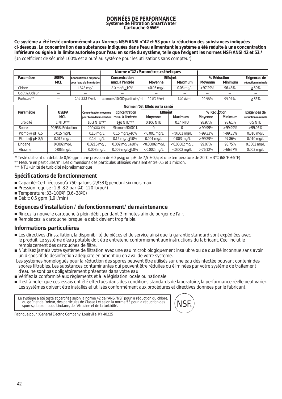## *DONNÉES DE PERFORMANCE Système de Filtration SmartWater Cartouche GSWF*

*Ce système a été testé conformément aux Normes NSF/ANSI n°42 et 53 pour la réduction des substances indiquées ci-dessous. La concentration des substances indiquées dans l'eau alimentant le système a été réduite à une concentration inférieure ou égale à la limite autorisée pour l'eau en sortie du système, telle que l'exigent les normes NSF/ANSI 42 et 53.\* (Un coefficient de sécurité 100% est ajouté au système pour les utilisations sans compteur)*

|              |                            |                                                    | Norme n°42 : Partamètres esthétiques |                            |             |            |                        |                                    |
|--------------|----------------------------|----------------------------------------------------|--------------------------------------|----------------------------|-------------|------------|------------------------|------------------------------------|
| Paramètre    | <b>USEPA</b><br><b>MCL</b> | Concentration moyenne<br>bour l'eau d'alimentation | Concentration<br>max. à l'entrée     | <b>Effluent</b><br>Moyenne | Maximum     | Movenne    | % Réduction<br>Minimum | Exigences de<br>réduction minimale |
| Chlore       |                            | 1.845 ma/L                                         | 2.0 mg/L $\pm$ 10%                   | $< 0.05$ mg/L              | $0.05$ mg/L | $>97.29\%$ | 96.43%                 | >50%                               |
| Goût & Odeur |                            |                                                    |                                      |                            |             |            |                        |                                    |
| Particule**  |                            | 143.333 #/mL                                       | au moins 10 000 particules/ml        | 29.83 #/mL                 | 140 #/mL    | 99.98%     | 99.91%                 | $>85\%$                            |
|              |                            |                                                    |                                      |                            |             |            |                        |                                    |

|                  |                  |                            |                            | Norme n°5B : Effets sur la santé |                  |             |            |                    |
|------------------|------------------|----------------------------|----------------------------|----------------------------------|------------------|-------------|------------|--------------------|
| Paramètre        | <b>USEPA</b>     | Concentration moyenne      | Concentration              | Effludnt                         |                  | % Réduction |            | Exigences de       |
|                  | <b>MCL</b>       | Ipour l'eau d'alimentation | max. à l'entrée            | Moyenne                          | <b>Maximum</b>   | Moyenne     | Minimum    | réduction minimale |
| Turbidité        | $1$ NTU***       | 10.3 NTU***                | $1+1$ NTU***               | 0.106 NTU                        | 0.14 NTU         | 98.97%      | 98.61%     | 0.5 NTU            |
| <b>Spores</b>    | 99.95% Réduction | 200.000 #/L                | Minimum 50,000 L           |                                  |                  | $>99.99\%$  | $>99.99\%$ | $>99.95\%$         |
| Plomb @ $pH 6.5$ | $0.015$ mg/L     | $0.15$ ma/L                | $0.15$ mg/L+10%            | $< 0.001$ mg/L                   | $< 0.001$ mg/L   | $>99.33\%$  | $>99.33\%$ | $0.010$ mg/L       |
| Plomb @ $pH 8.5$ | $0.015$ mg/L     | $0.14$ mg/L                | $0.15 \text{ mg/L} + 10\%$ | $0.001$ mg/L                     | $0.003$ mg/L     | $>99.29\%$  | 97.86%     | $0.010$ mg/L       |
| Lindane          | $0.0002$ mg/L    | 0.0216 mg/L                | 0.002 mg/L+10%             | $< 0.00002$ mg/L                 | $< 0.00002$ mg/L | 99.07%      | 98.75%     | 0.0002 mg/L        |
| Atrazine         | $0.003$ mg/L     | $0.008$ mg/L               | $0.009$ mg/L+10%           | $< 0.002$ ma/L                   | $< 0.002$ mg/L   | $>76.12\%$  | $>66.67\%$ | $0.003$ mg/L       |

*\* Testé utilisant un débit de 0,50 gpm; une pression de 60 psig; un pH de 7,5 ± 0,5; et une température de 20°C ± 3°C (68°F ± 5°F) \*\* Mesure en particules/ml. Les dimensions des particules utilisées variaient entre 0,5 et 1 micron.* 

*\*\*\* NTU=Unité de turbidité néphélométrique*

#### *Spécifications de fonctionnement*

- Capacité: Certifiée jusqu'à 750 gallons (2,838 l); pendant six mois max.
- Pression requise :  $2.8-8.2$  bar (40-120 lb/po<sup>2</sup>)
- $\blacksquare$  Température: 33-100°F (0,6-38°C)
- $\blacksquare$  Débit: 0,5 gpm (1,9 l/min)

#### *Exigences d'installation / de fonctionnement/ de maintenance*

- Rincez la nouvelle cartouche à plein débit pendant 3 minutes afin de purger de l'air.
- Remplacez la cartouche lorsque le débit devient trop faible.

#### *Informations particulières*

- Les directives d'installation, la disponibilité de pièces et de service ainsi que la garantie standard sont expédiées avec le produit. Le système d'eau potable doit être entretenu conformément aux instructions du fabricant. Ceci inclut le remplacement des cartouches de filtre.
- N'utilisez jamais votre système de filtration avec une eau microbiologiquement insalubre ou de qualité inconnue sans avoir un dispositif de désinfection adéquate en amont ou en aval de votre système.
- Les systèmes homologués pour la réduction des spores peuvent être utilisés sur une eau désinfectée pouvant contenir des spores filtrables. Les substances contaminantes qui peuvent être réduites ou éliminées par votre système de traitement d'eau ne sont pas obligatoirement présentes dans votre eau.
- Vérifiez la conformité aux règlements et à la législation locale ou nationale.
- Il est à noter que ces essais ont été effectués dans des conditions standards de laboratoire, la performance réelle peut varier. Les systèmes doivent être installés et utilisés conformément aux procédures et directives données par le fabricant.

Le système a été testé et certifiée selon la norme 42 de l'ANSI/NSF pour la réduction du chlore, du goût et de l'odeur, des particules de Classe I et selon la norme 53 pour la réduction des spores, du plomb, du Lindane, de l'Atrazine et de la turbidité.



Fabriqué pour : General Electric Company, Louisville, KY 40225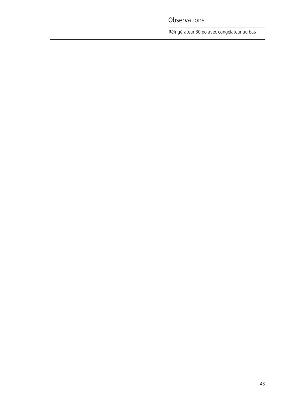**Observations**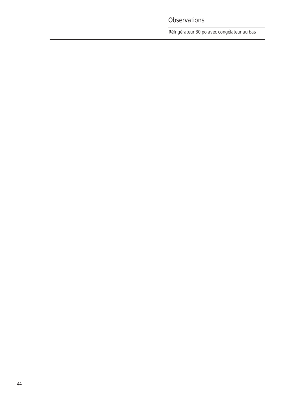**Observations**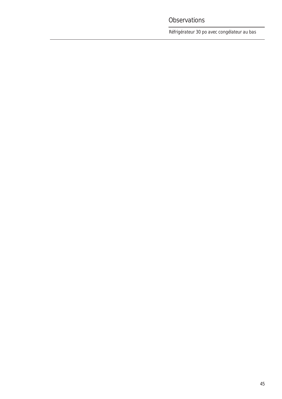**Observations**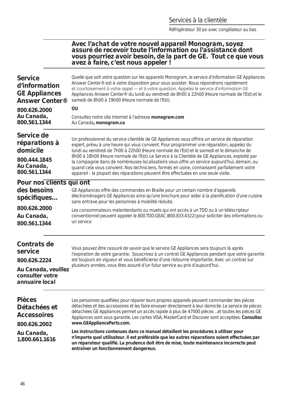Services à la clientèle

*Réfrigérateur 30 po avec congélateur au bas*

|                                                                                              | Avec l'achat de votre nouvel appareil Monogram, soyez<br>assuré de recevoir toute l'information ou l'assistance dont<br>vous pourriez avoir besoin, de la part de GE. Tout ce que vous<br>avez à faire, c'est nous appeler!                                                                                                                                                                                                                                                                                                                                                                                                                                                |
|----------------------------------------------------------------------------------------------|----------------------------------------------------------------------------------------------------------------------------------------------------------------------------------------------------------------------------------------------------------------------------------------------------------------------------------------------------------------------------------------------------------------------------------------------------------------------------------------------------------------------------------------------------------------------------------------------------------------------------------------------------------------------------|
| Service<br>d'information<br><b>GE Appliances</b><br>Answer Center®                           | Quelle que soit votre question sur les appareils Monogram, le service d'information GE Appliances<br>Answer Center® est à votre disposition pour vous assister. Nous répondrons rapidement<br>et courtoisement à votre appel — et à votre question. Appelez le service d'information GE<br>Appliances Answer Center® du lundi au vendredi de 8h00 à 22h00 (Heure normale de l'Est) et le<br>samedi de 8h00 à 19h00 (Heure normale de l'Est).                                                                                                                                                                                                                               |
| 800.626.2000<br>Au Canada,<br>800.561.1344                                                   | <b>OU</b><br>Consultez notre site Internet à l'adresse monogram.com<br>Au Canada, monogram.ca                                                                                                                                                                                                                                                                                                                                                                                                                                                                                                                                                                              |
| <i>Service de</i><br>réparations à<br>domicile<br>800.444.1845<br>Au Canada,<br>800.561.1344 | Un professionnel du service clientèle de GE Appliances vous offrira un service de réparation<br>expert, prévu à une heure qui vous convient. Pour programmer une réparation, appelez du<br>lundi au vendredi de 7h00 à 22h00 (Heure normale de l'Est) et le samedi et le dimanche de<br>8h00 à 18h00 (Heure normale de l'Est). Le Service à la Clientèle de GE Appliances, exploité par<br>la compagnie dans de nombreuses localisations vous offre un service aujourd'hui, demain, ou<br>quand cela vous convient. Nos techniciens, formés en usine, connaissent parfaitement votre<br>appareil - la plupart des réparations peuvent être effectuées en une seule visite. |
| Pour nos clients qui ont                                                                     |                                                                                                                                                                                                                                                                                                                                                                                                                                                                                                                                                                                                                                                                            |
| des besoins<br>spécifiques                                                                   | GE Appliances offre des commandes en Braille pour un certain nombre d'appareils<br>électroménagers GE Appliances ainsi qu'une brochure pour aider à la planification d'une cuisine<br>sans entrave pour les personnes à mobilité réduite.                                                                                                                                                                                                                                                                                                                                                                                                                                  |
| 800.626.2000<br>$\Delta U$ Canada                                                            | Les consommateurs malentendants ou muets qui ont accès à un TDD ou à un téléscripteur<br>conventionnel peuvent annoler le 900 IDD CEAC (900 922 1222) pour selliciter des informations ou                                                                                                                                                                                                                                                                                                                                                                                                                                                                                  |

Vous pouvez être rassuré de savoir que le service GE Appliances sera toujours là après

l'expiration de votre garantie. Souscrivez à un contrat GE Appliances pendant que votre garantie est toujours en vigueur et vous bénéficierez d'une ristourne importante. Avec un contrat sur

*800.626.2000 Au Canada, 800.561.1344* conventionnel peuvent appeler le 800.TDD.GEAC (800.833.4322) pour solliciter des informations ou un service

| <i>Contrats de</i> |
|--------------------|
| service            |

*800.626.2224*

*Au Canada, veuillez consulter votre annuaire local*

*Pièces Détachées et Accessoires 800.626.2002 Au Canada, 1.800.661.1616* Les personnes qualifiées pour réparer leurs propres appareils peuvent commander des pièces détachées et des accessoires et les faire envoyer directement à leur domicile. Le service de pièces détachées GE Appliances permet un accès rapide à plus de 47000 pièces …et toutes les pièces GE Appliances sont sous garantie. Les cartes VISA, MasterCard et Discover sont acceptées. **Consultez www.GEApplianceParts.com. Les instructions contenues dans ce manuel détaillent les procédures à utiliser pour n'importe quel utilisateur. Il est préférable que les autres réparations soient effectuées par un réparateur qualifié. La prudence doit être de mise, toute maintenance incorrecte peut** 

**entraîner un fonctionnement dangereux.**

plusieurs années, vous êtes assuré d'un futur service au prix d'aujourd'hui.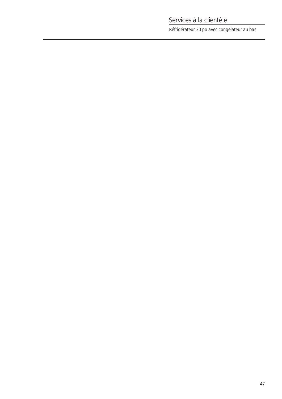## Services à la clientèle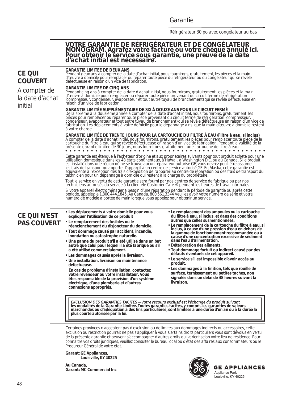Garantie

*Réfrigérateur 30 po avec congélateur au bas*

#### *VOTRE GARANTIE DE RÉFRIGÉRATEUR ET DE CONGÉLATEUR MONOGRAM. Agrafez votre facture ou votre chèque annulé ici. Pour obtenir le service sous garantie, une preuve de la date d'achat initial est nécessaire.*

## *CE QUI COUVERT*

*A compter de la date d'achat initial*

#### **GARANTIE LIMITEE DE DEUX ANS**

Pendant deux ans à compter de la date d'achat initial, nous fournirons, gratuitement, les pièces et la main d'œuvre à domicile pour remplacer ou réparer toute pièce du réfrigérateur ou du congélateur qui se révèle défectueuse en raison d'un vice de fabrication.

#### **GARANTIE LIMITEE DE CINQ ANS**

Pendant cinq ans à compter de la date d'achat initial, nous fournirons, gratuitement, les pièces et la main d'œuvre à domicile pour remplacer ou réparer toute pièce provenant du circuit fermé de réfrigération (compresseur, condenseur, évaporateur et tout autre tuyau de branchement) qui se révèle défectueuse en raison d'un vice de fabrication.

#### **GARANTIE LIMITÉE SUPPLÉMENTAIRE DE SIX À DOUZE ANS POUR LE CIRCUIT FERMÉ**

De la sixième à la douzième année à compter de la date d'achat initial, nous fournirons, gratuitement, les pièces pour remplacer ou réparer toute pièce provenant du circuit fermé de réfrigération (compresseur, condenseur, évaporateur et tout autre tuyau de branchement) qui se révèle défectueuse en raison d'un vice de fabrication. Les déplacements à votre domicile pour le dépannage ainsi que la main d'œuvre à domicile restent à votre charge.

**GARANTIE LIMITÉE DE TRENTE JOURS POUR LA CARTOUCHE DU FILTRE À EAU (Filtre à eau, si inclus)**  A compter de la date d'achat initial, nous fournirons, gratuitement, les pièces pour remplacer toute pièce de la cartouche du filtre à eau qui se révèle défectueuse en raison d'un vice de fabrication. Pendant la validité de la présente garantie limitée de 30 jours, nous fournirons gratuitement une cartouche de filtre à eau.

Cette garantie est étendue à l'acheteur d'origine et aux propriétaires suivants pour tout produit acheté pour une utilisation domestique dans les 48 états continentaux, à Hawaii, à Washington D.C. ou au Canada. Si le produit est installé dans une région où ne se trouve aucun réparateur autorisé GE, vous devrez peut-être assumer les frais de transport ou apporter l'appareil à un centre de service autorisé GE. En Alaska, cette garantie est équivalente à l'exception des frais d'expédition de l'appareil au centre de réparation ou des frais de transport du technicien pour un dépannage à domicile qui restent à la charge du propriétaire.

Tout le service en vertu de cette garantie sera fourni par nos centres de service de fabrique ou par nos techniciens autorisés du service à la clientèle Customer Care ® pendant les heures de travail normales.

Si votre appareil électroménager a besoin d'une réparation pendant la période de garantie ou après cette période, appelez le 1.800.444.1845. Au Canada, 800.561.3344 Veuillez avoir votre numéro de série et votre numéro de modèle à portée de main lorsque vous appelez pour obtenir un service.

*CE QUI N'EST PAS COUVERT*

- **Les déplacements à votre domicile pour vous expliquer l'utilisation de ce produit**
- **Le remplacement des fusibles ou le**
- **réenclenchement du disjoncteur du domicile. • Tout dommage causé par accident, incendie, inondation ou catastrophe naturelle.**
- **Une panne du produit s'il a été utilisé dans un but autre que celui pour lequel il a été fabriqué ou s'il a été utilisé commercialement.**
- **Les dommages causés après la livraison.**
- **Une installation, livraison ou maintenance défectueuse.**

**En cas de problème d'installation, contactez votre revendeur ou votre installateur. Vous êtes responsable de la provision d'un système électrique, d'une plomberie et d'autres connexions appropriés.**

- **Le remplacement des ampoules ou la cartouche du filtre à eau, si inclus, et dans des conditions autres que celles susmentionnées.**
- **Le remplacement de la cartouche du filtre à eau, si inclus, à cause d'une pression d'eau en dehors de la gamme de fonctionnement recommandée ou à cause d'une concentration excessive de sédiment dans l'eau d'alimentation.**
- **Détérioration des aliments.**
- **Tout dommage fortuit ou indirect causé par des défauts éventuels de cet appareil.**
- **Le service s'il est impossible d'avoir accès au produit.**
- **Les dommages à la finition, tels que rouille de surface, ternissement ou petites taches, non signalés dans un délai de 48 heures suivant la livraison.**

EXCLUSION DES GARANTIES TACITES —Votre recours exclusif est l'échange du produit suivant<br>les modalités de la Garantie Limitée. Toutes garanties tacites, y compris les garanties de valeurs *marchandes ou d'adéquation à des fins particulières, sont limitées à une durée d'un an ou à la durée la plus courte autorisée par la loi.*

Certaines provinces n'acceptent pas d'exclusion ou de limites aux dommages indirects ou accessoires, cette exclusion ou restriction pourrait ne pas s'appliquer à vous. Certains droits particuliers vous sont dévolus en vertu de la présente garantie et peuvent s'accompagner d'autres droits qui varient selon votre lieu de résidence. Pour connaître vos droits juridiques, veuillez consulter le bureau local ou d'état des affaires aux consommateurs ou le Procureur Général de votre état.

**Garant: GE Appliances, Louisville, KY 40225**

**Au Canada, Garant: MC Commercial Inc**



**GE APPLIANCES** Appliance Park Louisville, KY 40225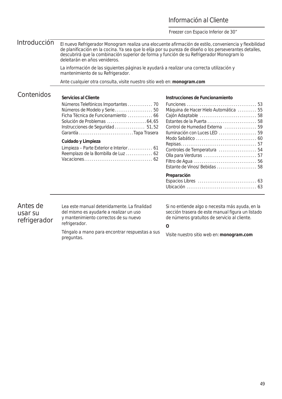## Información al Cliente

*Freezer con Espacio Inferior de 30"*

*Introducción* El nuevo Refrigerador Monogram realiza una elocuente afirmación de estilo, conveniencia y flexibilidad de planificación en la cocina. Ya sea que lo elija por su pureza de diseño o los perseverantes detalles, descubrirá que la combinación superior de forma y función de su Refrigerador Monogram lo deleitarán en años venideros.

> La información de las siguientes páginas le ayudará a realizar una correcta utilización y mantenimiento de su Refrigerador.

Ante cualquier otra consulta, visite nuestro sitio web en: **monogram.com**

## *Contenidos* **Servicios al Cliente**

| Ficha Técnica de Funcionamiento  66<br>Instrucciones de Seguridad 51,52<br>GarantíaTapa Trasera      |
|------------------------------------------------------------------------------------------------------|
| Cuidado y Limpieza<br>Limpieza – Parte Exterior e Interior 61<br>Reemplazo de la Bombilla de Luz  62 |
|                                                                                                      |

#### **Instrucciones de Funcionamiento**

| Máquina de Hacer Hielo Automática  55<br>Control de Humedad Externa  59<br>Iluminación con Luces LED  59<br>Controles de Temperatura  54 |
|------------------------------------------------------------------------------------------------------------------------------------------|
| Estante de Vinos/ Bebidas  58                                                                                                            |
|                                                                                                                                          |
|                                                                                                                                          |

## *Antes de usar su refrigerador*

Lea este manual detenidamente. La finalidad del mismo es ayudarle a realizar un uso y mantenimiento correctos de su nuevo refrigerador.

Si no entiende algo o necesita más ayuda, en la sección trasera de este manual figura un listado de números gratuitos de servicio al cliente.

#### **O**

Téngalo a mano para encontrar respuestas a sus preguntas.

Visite nuestro sitio web en: **monogram.com**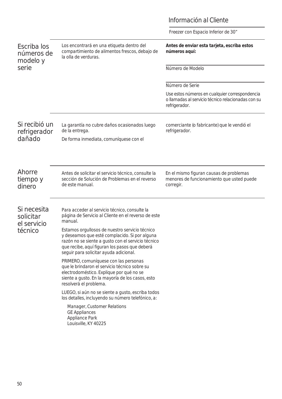## Información al Cliente

|                                                    |                                                                                                                                                                                                                                                                                                                                                                                                                                                                                                                                                                                                                                                                                                                                                                                                    | Freezer con Espacio Inferior de 30"                                                                                   |
|----------------------------------------------------|----------------------------------------------------------------------------------------------------------------------------------------------------------------------------------------------------------------------------------------------------------------------------------------------------------------------------------------------------------------------------------------------------------------------------------------------------------------------------------------------------------------------------------------------------------------------------------------------------------------------------------------------------------------------------------------------------------------------------------------------------------------------------------------------------|-----------------------------------------------------------------------------------------------------------------------|
| Escriba los<br>números de<br>modelo y              | Los encontrará en una etiqueta dentro del<br>compartimiento de alimentos frescos, debajo de<br>la olla de verduras.                                                                                                                                                                                                                                                                                                                                                                                                                                                                                                                                                                                                                                                                                | Antes de enviar esta tarjeta, escriba estos<br>números aquí:                                                          |
| serie                                              |                                                                                                                                                                                                                                                                                                                                                                                                                                                                                                                                                                                                                                                                                                                                                                                                    | Número de Modelo                                                                                                      |
|                                                    |                                                                                                                                                                                                                                                                                                                                                                                                                                                                                                                                                                                                                                                                                                                                                                                                    | Número de Serie                                                                                                       |
|                                                    |                                                                                                                                                                                                                                                                                                                                                                                                                                                                                                                                                                                                                                                                                                                                                                                                    | Use estos números en cualquier correspondencia<br>o llamadas al servicio técnico relacionadas con su<br>refrigerador. |
| Si recibió un<br>refrigerador                      | La garantía no cubre daños ocasionados luego<br>de la entrega.                                                                                                                                                                                                                                                                                                                                                                                                                                                                                                                                                                                                                                                                                                                                     | comerciante (o fabricante) que le vendió el<br>refrigerador.                                                          |
| dañado                                             | De forma inmediata, comuníquese con el                                                                                                                                                                                                                                                                                                                                                                                                                                                                                                                                                                                                                                                                                                                                                             |                                                                                                                       |
| Ahorre<br>tiempo y<br>dinero                       | Antes de solicitar el servicio técnico, consulte la<br>sección de Solución de Problemas en el reverso<br>de este manual.                                                                                                                                                                                                                                                                                                                                                                                                                                                                                                                                                                                                                                                                           | En el mismo figuran causas de problemas<br>menores de funcionamiento que usted puede<br>corregir.                     |
| Si necesita<br>solicitar<br>el servicio<br>técnico | Para acceder al servicio técnico, consulte la<br>página de Servicio al Cliente en el reverso de este<br>manual.<br>Estamos orgullosos de nuestro servicio técnico<br>y deseamos que esté complacido. Si por alguna<br>razón no se siente a gusto con el servicio técnico<br>que recibe, aquí figuran los pasos que deberá<br>seguir para solicitar ayuda adicional.<br>PRIMERO, comuníquese con las personas<br>que le brindaron el servicio técnico sobre su<br>electrodoméstico. Explique por qué no se<br>siente a gusto. En la mayoría de los casos, esto<br>resolverá el problema.<br>LUEGO, si aún no se siente a gusto, escriba todos<br>los detalles, incluyendo su número telefónico, a:<br>Manager, Customer Relations<br><b>GE Appliances</b><br>Appliance Park<br>Louisville, KY 40225 |                                                                                                                       |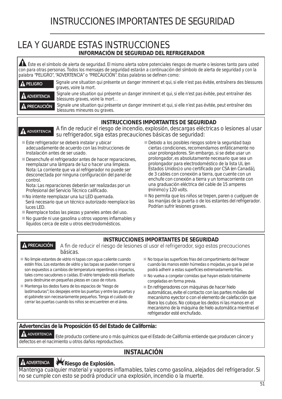## *LEA Y GUARDE ESTAS INSTRUCCIONES* **INFORMACIÓN DE SEGURIDAD DEL REFRIGERADOR**

Éste es el símbolo de alerta de seguridad. El mismo alerta sobre potenciales riesgos de muerte o lesiones tanto para usted con para otras personas. Todos los mensajes de seguridad estarán a continuación del símbolo de alerta de seguridad y con la palabra "PELIGRO", "ADVERTENCIA" o "PRECAUCIÓN". Estas palabras se definen como:

PELIGRO Signale une situation qui présente un danger imminent et qui, si elle n'est pas évitée, entraînera des blessures graves, voire la mort.

**ADVERTENCIA** Signale une situation qui présente un danger imminent et qui, si elle n'est pas évitée, peut entraîner des blessures graves, voire la mort. .

**PRECAUCIÓN** Signale une situation qui présente un danger imminent et qui, si elle n'est pas évitée, peut entraîner des blessures mineures ou graves.

## **INSTRUCCIONES IMPORTANTES DE SEGURIDAD**

 A fin de reducir el riesgo de incendio, explosión, descargas eléctricas o lesiones al usar **A ADVERTENCIA**<br>Su refrigerador, siga estas precauciones básicas de seguridad:

- Este refrigerador se deberá instalar y ubicar adecuadamente de acuerdo con las Instrucciones de Instalación antes de ser usado.
- Desenchufe el refrigerador antes de hacer reparaciones, reemplazar una lámpara de luz o hacer una limpieza. Nota: La corriente que va al refrigerador no puede ser desconectada por ninguna configuración del panel de control.

Nota: Las reparaciones deberán ser realizadas por un Profesional del Servicio Técnico calificado.

- No intente reemplazar una luz LED quemada. Será necesario que un técnico autorizado reemplace las luces LED.
- Reemplace todas las piezas y paneles antes del uso.
- $\blacksquare$  No guarde ni use gasolina u otros vapores inflamables y líquidos cerca de este u otros electrodomésticos.
- Debido a los posibles riesgos sobre la seguridad bajo ciertas condiciones, recomendamos enfáticamente no usar prolongadores. Sin embargo, si se debe usar un prolongador, es absolutamente necesario que sea un prolongador para electrodoméstico de la lista UL (en Estados Unidos) o uno certificado por CSA (en Canadá), de 3 cables con conexión a tierra, que cuente con un enchufe con conexión a tierra y un tomacorriente con una graduación eléctrica del cable de 15 amperes (mínimo) y 120 volts.
- No permita que los niños se trepen, paren o cuelguen de las manijas de la puerta o de los estantes del refrigerador. Podrían sufrir lesiones graves.

## **INSTRUCCIONES IMPORTANTES DE SEGURIDAD**

## **A** PRECAUCIÓN

A fin de reducir el riesgo de lesiones al usar el refrigerador, siga estas precauciones básicas.

- No limpie estantes de vidrio ni tapas con agua caliente cuando estén fríos. Los estantes de vidrio y las tapas se pueden romper si son expuestos a cambios de temperatura repentinos o impactos, tales como sacudones o caídas. El vidrio templado está diseñado para destruirse en pequeñas piezas en caso de rotura.
- Mantenga los dedos fuera de los espacios de "riesgo de lastimaduras"; los despejes entre las puertas y entre las puertas y el gabinete son necesariamente pequeños. Tenga el cuidado de cerrar las puertas cuando los niños se encuentren en el área.
- No toque las superficies frías del compartimiento del freezer cuando las manos estén húmedas o mojadas, ya que la piel se podrá adherir a estas superficies extremadamente frías.
- $\blacksquare$  No vuelva a congelar comidas que hayan estado totalmente congeladas en forma previa.
- En refrigeradores con máquinas de hacer hielo automáticas, evite el contacto con las partes móviles del mecanismo eyector o con el elemento de calefacción que libera los cubos. No coloque los dedos ni las manos en el mecanismo de la máquina de hielo automática mientras el refrigerador esté enchufado.

### **Advertencias de la Proposición 65 del Estado de California:**

**A ADVERTENCIA** Este producto contiene uno o más químicos que el Estado de California entiende que producen cáncer y defectos en el nacimiento u otros daños reproductivos.

## **INSTALACIÓN**

## **ADVERTENCIA Riesgo de Explosión.**

Mantenga cualquier material y vapores inflamables, tales como gasolina, alejados del refrigerador. Si no se cumple con esto se podrá producir una explosión, incendio o la muerte.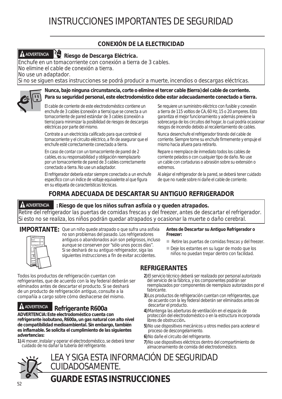## **CONEXIÓN DE LA ELECTRICIDAD**

# **ADVERTENCIA Riesgo de Descarga Eléctrica.**

Enchufe en un tomacorriente con conexión a tierra de 3 cables.

No elimine el cable de conexión a tierra.

No use un adaptador.

Si no se siguen estas instrucciones se podrá producir a muerte, incendios o descargas eléctricas.



#### **Nunca, bajo ninguna circunstancia, corte o elimine el tercer cable (tierra) del cable de corriente. Para su seguridad personal, este electrodoméstico debe estar adecuadamente conectado a tierra.**

El cable de corriente de este electrodoméstico contiene un enchufe de 3 cables (conexión a tierra) que se conecta a un tomacorriente de pared estándar de 3 cables (conexión a tierra) para minimizar la posibilidad de riesgos de descargas eléctricas por parte del mismo.

Contrate a un electricista calificado para que controle el tomacorriente y el circuito eléctrico, a fin de asegurar que el enchufe esté correctamente conectado a tierra.

En caso de contar con un tomacorriente de pared de 2 cables, es su responsabilidad y obligación reemplazarlo por un tomacorriente de pared de 3 cables correctamente conectado a tierra. No use un adaptador.

El refrigerador debería estar siempre conectado a un enchufe específico con un índice de voltaje equivalente al que figura en su etiqueta de características técnicas.

Se requiere un suministro eléctrico con fusible y conexión a tierra de 115 voltios de CA, 60 Hz, 15 o 20 amperes. Esto garantiza el mejor funcionamiento y además previene la sobrecarga de los circuitos del hogar, lo cual podría ocasionar riesgos de incendio debido al recalentamiento de cables.

Nunca desenchufe el refrigerador tirando del cable de corriente. Siempre tome su enchufe firmemente y empuje el mismo hacia afuera para retirarlo.

Repare o reemplace de inmediato todos los cables de corriente pelados o con cualquier tipo de daño. No use un cable con cortaduras o abrasión sobre su extensión o extremos.

Al alejar el refrigerador de la pared, se deberá tener cuidado de que no ruede sobre ni dañe el cable de corriente.

## **FORMA ADECUADA DE DESCARTAR SU ANTIGUO REFRIGERADOR**

**ADVERTENCIA : Riesgo de que los niños sufran asfixia o y queden atrapados.** Retire del refrigerador las puertas de comidas frescas y del freezer, antes de descartar el refrigerador. Si esto no se realiza, los niños podrán quedar atrapados y ocasionar la muerte o daño cerebral.



IMPORTANTE: Que un niño quede atrapado o que sufra una asfixia no son problemas del pasado. Los refrigeradores antiguos o abandonados aún son peligrosos, incluso aunque se conserven por "sólo unos pocos días". Si se deshará de su antiguo refrigerador, siga las siguientes instrucciones a fin de evitar accidentes.

Todos los productos de refrigeración cuentan con refrigerantes, que de acuerdo con la ley federal deberán ser eliminados antes de descartar el producto. Si se deshará de un producto de refrigeración antiguo, consulte a la compañía a cargo sobre cómo deshacerse del mismo.

## **ADVERTENCIA Refrigerante R600a**

**ADVERTENCIA: Este electrodoméstico cuenta con refrigerante isobutano, R600a, un gas natural con alto nivel de compatibilidad medioambiental. Sin embargo, también es inflamable. Se solicita el cumplimiento de las siguientes advertencias:**

**1)** Al mover, instalar y operar el electrodoméstico, se deberá tener cuidado de no dañar la tubería del refrigerante.

#### **Antes de Descartar su Antiguo Refrigerador o Freezer:**

- Retire las puertas de comidas frescas y del freezer.
- Deje los estantes en su lugar de modo que los niños no puedan trepar dentro con facilidad.

## **REFRIGERANTES**

- **2)** El servicio técnico deberá ser realizado por personal autorizado del servicio de la fábrica, y los componentes podrán ser reemplazados por componentes de reemplazo autorizados por el fabricante.
- **3)** Los productos de refrigeración cuentan con refrigerantes, que de acuerdo con la ley federal deberán ser eliminados antes de descartar el producto.
- **4)** Mantenga las aberturas de ventilación en el espacio de protección del electrodoméstico o en la estructura incorporada libres de obstrucción**.**
- **5)** No use dispositivos mecánicos u otros medios para acelerar el proceso de descongelamiento.
- **6)** No dañe el circuito del refrigerante.
- **7)** No use dispositivos eléctricos dentro del compartimiento de almacenamiento de comida del electrodoméstico.



*LEA Y SIGA ESTA INFORMACIÓN DE SEGURIDAD CUIDADOSAMENTE.*

## *GUARDE ESTAS INSTRUCCIONES*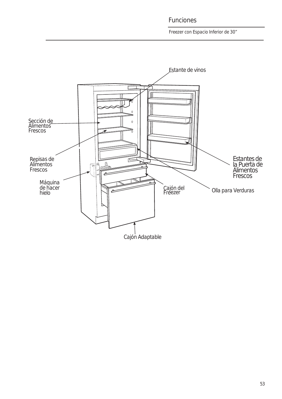Funciones

*Freezer con Espacio Inferior de 30"*

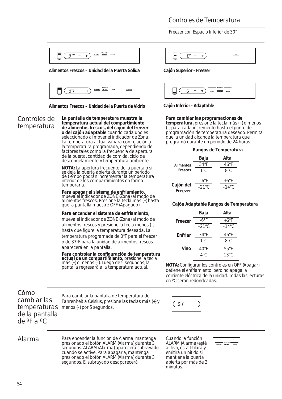## Controles de Temperatura

*Freezer con Espacio Inferior de 30"*







*Controles de temperatura* **La pantalla de temperatura muestra la temperatura actual del compartimiento de alimentos frescos, del cajón del freezer o del cajón adaptable** cuando cada uno es seleccionado al mover el indicador de Zona. La temperatura actual variará con relación a la temperatura programada, dependiendo de factores tales como la frecuencia de apertura de la puerta, cantidad de comida, ciclo de descongelamiento y temperatura ambiente.

**NOTA:** La apertura frecuente de la puerta o si se deja la puerta abierta durante un período de tiempo podrán incrementar la temperatura interior de los compartimientos en forma temporaria.

**Para apagar el sistema de enfriamiento,** mueva el indicador de ZONE (Zona) al modo de alimentos frescos. Presione la tecla más (+) hasta que la pantalla muestre OFF (Apagado).

#### **Para encender el sistema de enfriamiento,**

mueva el indicador de ZONE (Zona) al modo de alimentos frescos y presione la tecla menos (–) hasta que figure la temperatura deseada. La temperatura programada de 0°F para el freezer o de 37°F para la unidad de alimentos frescos aparecerá en la pantalla.

**Para controlar la configuración de temperatura actual de un compartimiento,** presione la tecla más (+) o menos (–). Luego de 5 segundos, la pantalla regresará a la temperatura actual.

| ZONE |
|------|
|------|

*Cajón Superior - Freezer*





**Para cambiar las programaciones de temperatura,** presione la tecla más (+) o menos (–) para cada incremento hasta el punto de programación de temperatura deseado. Permita que la unidad alcance la temperatura que programó durante un período de 24 horas.

|                      |                 | Rangos de Temperatura |
|----------------------|-----------------|-----------------------|
|                      | Baja            | Alta                  |
| Alimentos            | $34^{\circ}F$   | 46°F                  |
| Frescos              | $1^{\circ}$ C   | 8°C                   |
|                      | –6°F            | $+6°$ F               |
| Cajón del<br>Freezer | $-21^{\circ}$ C | $-14^{\circ}$ C       |

#### **Cajón Adaptable Rangos de Temperatura**

|                 | Baja            | Alta            |
|-----------------|-----------------|-----------------|
| Freezer         | -6°F            | $+6^{\circ}$ F  |
|                 | $-21^{\circ}$ C | $-14^{\circ}$ C |
| <b>F</b> nfriar | $34^{\circ}$ F  | $46^{\circ}$ F  |
|                 | $1^{\circ}$ C   | $8^{\circ}$ C   |
| Vino            | $40^{\circ}$ F  | $55^{\circ}$ F  |
|                 | 4°C             | $13^{\circ}$ C  |

**NOTA:** Configurar los controles en OFF (Apagar) detiene el enfriamiento, pero no apaga la corriente eléctrica de la unidad. Todas las lecturas en ºC serán redondeadas.

*Cómo cambiar las de la pantalla de ºF a ºC*

*temperaturas*  menos (–) por 5 segundos. Para cambiar la pantalla de temperatura de Fahrenheit a Celsius, presione las teclas más (+) y



*Alarma* Para encender la función de Alarma, mantenga presionado el botón ALARM (Alarma) durante 3 segundos. ALARM (Alarma) aparecerá subrayado cuando se active. Para apagarla, mantenga presionado el botón ALARM (Alarma) durante 3 segundos. El subrayado desaparecerá

Cuando la función ALARM (Alarma) esté activa, ésta titilará y emitirá un pitido si mantiene la puerta abierta por más de 2 minutos.

ALARM FILTER LOCK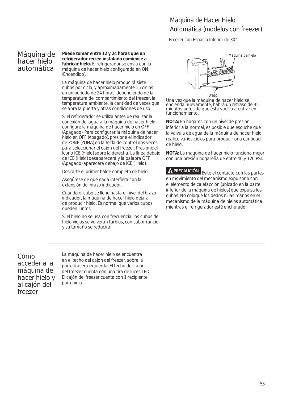## Máquina de Hacer Hielo Automática (modelos con freezer)

*Freezer con Espacio Inferior de 30"*

*Máquina de hacer hielo automática*

#### **Puede tomar entre 12 y 24 horas que un refrigerador recién instalado comience a fabricar hielo.** El refrigerador se envía con la máquina de hacer hielo configurada en ON (Encendido).

La máquina de hacer hielo producirá siete cubos por ciclo, y aproximadamente 15 ciclos en un período de 24 horas, dependiendo de la temperatura del compartimiento del freezer, la temperatura ambiente, la cantidad de veces que se abra la puerta y otras condiciones de uso.

Si el refrigerador se utiliza antes de realizar la conexión del agua a la máquina de hacer hielo, configure la máquina de hacer hielo en OFF (Apagado). Para configurar la máquina de hacer hielo en OFF (Apagado), presione el indicador de ZONE (ZONA) en la tecla de control dos veces para seleccionar el cajón del freezer. Presione el ícono ICE (Hielo) sobre la derecha. La línea debajo de ICE (Hielo) desaparecerá y la palabra OFF (Apagado) aparecerá debajo de ICE (Hielo).

Descarte el primer balde completo de hielo.

Asegúrese de que nada interfiera con la extensión del brazo indicador.

Cuando el cubo se llene hasta el nivel del brazo indicador, la máquina de hacer hielo dejará de producir hielo. Es normal que varios cubos queden juntos.

Si el hielo no se usa con frecuencia, los cubos de hielo viejos se volverán turbios, con sabor rancio y su tamaño se reducirá.



Una vez que la máquina de hacer hielo se encienda nuevamente, habrá un retraso de 45 minutos antes de que ésta vuelva a entrar en funcionamiento.

**NOTA:** En hogares con un nivel de presión inferior a la normal, es posible que escuche que la válvula de agua de la máquina de hacer hielo realice varios ciclos para producir una cantidad de hielo.

**NOTA:** La máquina de hacer hielo funciona mejor con una presión hogareña de entre 40 y 120 PSI.

**PRECAUCIÓN** Evite el contacto con las partes

en movimiento del mecanismo expulsor o con el elemento de calefacción (ubicado en la parte inferior de la máquina de hielos) que expulsa los cubos. No coloque los dedos ni las manos en el mecanismo de la máquina de hielos automática mientras el refrigerador esté enchufado.

*Cómo acceder a la máquina de hacer hielo y al cajón del freezer*

La máquina de hacer hielo se encuentra en el techo del cajón del freezer, sobre la parte trasera izquierda. El techo del cajón del freezer cuenta con una tira de luces LED. El cajón del freezer cuenta con 1 recipiente para hielo.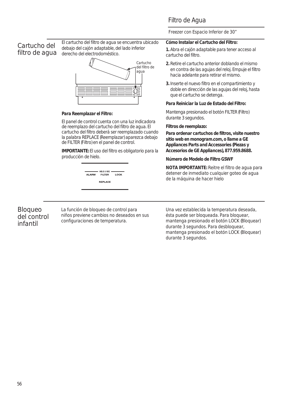## Filtro de Agua

*Cartucho del filtro de agua*

El cartucho del filtro de agua se encuentra ubicado debajo del cajón adaptable, del lado inferior derecho del electrodoméstico.



#### **Para Reemplazar el Filtro:**

El panel de control cuenta con una luz indicadora de reemplazo del cartucho del filtro de agua. El cartucho del filtro deberá ser reemplazado cuando la palabra REPLACE (Reemplazar) aparezca debajo de FILTER (Filtro) en el panel de control.

**IMPORTANTE:** El uso del filtro es obligatorio para la producción de hielo.

> uni n o eco **ALARM** LOCK **FILTER REPLACE**

*Freezer con Espacio Inferior de 30"*

#### **Cómo Instalar el Cartucho del Filtro:**

**1.** Abra el cajón adaptable para tener acceso al cartucho del filtro.

- **2.** Retire el cartucho anterior doblando el mismo en contra de las agujas del reloj. Empuje el filtro hacia adelante para retirar el mismo.
- **3.** Inserte el nuevo filtro en el compartimiento y doble en dirección de las agujas del reloj, hasta que el cartucho se detenga.

#### **Para Reiniciar la Luz de Estado del Filtro:**

Mantenga presionado el botón FILTER (Filtro) durante 3 segundos.

#### **Filtros de reemplazo:**

**Para ordenar cartuchos de filtros, visite nuestro sitio web en monogram.com, o llame a GE Appliances Parts and Accessories (Piezas y Accesorios de GE Appliances), 877.959.8688.**

#### **Número de Modelo de Filtro GSWF**

**NOTA IMPORTANTE:** Reitre el filtro de agua para detener de inmediato cualquier goteo de agua de la máquina de hacer hielo

*Bloqueo del control infantil*

La función de bloqueo de control para niños previene cambios no deseados en sus configuraciones de temperatura.

Una vez establecida la temperatura deseada, ésta puede ser bloqueada. Para bloquear, mantenga presionado el botón LOCK (Bloquear) durante 3 segundos. Para desbloquear, mantenga presionado el botón LOCK (Bloquear) durante 3 segundos.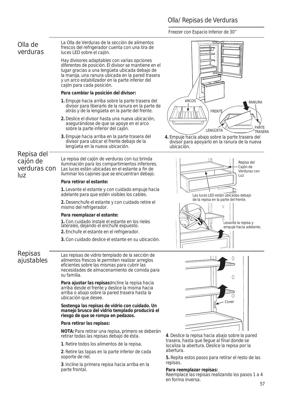## Olla/ Repisas de Verduras

*Freezer con Espacio Inferior de 30"*

| Olla de<br>verduras                                        | La Olla de Verduras de la sección de alimentos<br>frescos del refrigerador cuenta con una tira de<br>luces LED sobre el cajón.<br>Hay divisores adaptables con varias opciones<br>diferentes de posición. El divisor se mantiene en el<br>lugar gracias a una lengüeta ubicada debajo de<br>la manija, una ranura ubicada en la pared trasera<br>y un arco estabilizador en la parte inferior del<br>cajón para cada posición. |                                                                                                                  |
|------------------------------------------------------------|--------------------------------------------------------------------------------------------------------------------------------------------------------------------------------------------------------------------------------------------------------------------------------------------------------------------------------------------------------------------------------------------------------------------------------|------------------------------------------------------------------------------------------------------------------|
|                                                            | Para cambiar la posición del divisor:                                                                                                                                                                                                                                                                                                                                                                                          |                                                                                                                  |
|                                                            | 1. Empuje hacia arriba sobre la parte trasera del<br>divisor para liberarlo de la ranura en la parte de<br>atrás y de la lengüeta en la parte del frente.                                                                                                                                                                                                                                                                      | ARCOS<br>RANURA<br>FRENTE                                                                                        |
|                                                            | 2. Deslice el divisor hasta una nueva ubicación,<br>asegurándose de que se apoye en el arco<br>sobre la parte inferior del cajón.                                                                                                                                                                                                                                                                                              | <b>PARTE</b><br>LENGÜETA<br>TRASERA                                                                              |
|                                                            | 3. Empuje hacia arriba en la parte trasera del<br>divisor para ubicar el frente debajo de la<br>lengüeta en la nueva ubicación.                                                                                                                                                                                                                                                                                                | 4. Empuje hacia abajo sobre la parte trasera del<br>divisor para apoyarlo en la ranura de la nueva<br>ubicación. |
| Repisa del <sup>-</sup><br>cajón de<br>verduras con<br>luz | La repisa del cajón de verduras con luz brinda<br>iluminación para los compartimientos inferiores.<br>Las luces están ubicadas en el estante a fin de<br>iluminar los cajones que se encuentran debajo.                                                                                                                                                                                                                        | Repisa del<br>Cajón de<br>Verduras con<br>Luz                                                                    |
|                                                            | Para retirar el estante:                                                                                                                                                                                                                                                                                                                                                                                                       |                                                                                                                  |
|                                                            | 1. Levante el estante y con cuidado empuje hacia<br>adelante para que estén visibles los cables.                                                                                                                                                                                                                                                                                                                               | Las luces LED están ubicadas debajo                                                                              |
|                                                            | 2. Desenchufe el estante y con cuidado retire el<br>mismo del refrigerador.                                                                                                                                                                                                                                                                                                                                                    | de la repisa en la parte del frente.<br>Ω                                                                        |
|                                                            | Para reemplazar el estante:                                                                                                                                                                                                                                                                                                                                                                                                    |                                                                                                                  |
|                                                            | 1. Con cuidado instale el estante en los rieles<br>laterales, dejando el enchufe expuesto.<br>2. Enchufe el estante en el refrigerador.                                                                                                                                                                                                                                                                                        | Levante la repisa y<br>empuje hacia adelante.                                                                    |
|                                                            | 3. Con cuidado deslice el estante en su ubicación.                                                                                                                                                                                                                                                                                                                                                                             |                                                                                                                  |
| Repisas<br>ajustables                                      | Las repisas de vidrio templado de la sección de<br>alimentos frescos le permiten realizar arreglos<br>eficientes sobre las mismas para cubrir las<br>necesidades de almacenamiento de comida para<br>su familia.                                                                                                                                                                                                               |                                                                                                                  |
|                                                            | Para ajustar las repisas: Incline la repisa hacia<br>arriba desde el frente y deslice la misma hacia<br>arriba o abajo sobre la pared trasera hasta la<br>ubicación que desee.                                                                                                                                                                                                                                                 |                                                                                                                  |
|                                                            | Sostenga las repisas de vidrio con cuidado. Un<br>manejo brusco del vidrio templado producirá el<br>riesgo de que se rompa en pedazos.                                                                                                                                                                                                                                                                                         | Cover                                                                                                            |
|                                                            | Para retirar las repisas:                                                                                                                                                                                                                                                                                                                                                                                                      |                                                                                                                  |
|                                                            | NOTA: Para retirar una repisa, primero se deberán<br>retirar todas las repisas debajo de ésta.                                                                                                                                                                                                                                                                                                                                 | 4. Deslice la repisa hacia abajo sobre la pared                                                                  |
|                                                            | 1. Retire todos los alimentos de la repisa.                                                                                                                                                                                                                                                                                                                                                                                    | trasera, hasta que llegue al final donde se<br>localiza la abertura. Deslice la repisa por la                    |
|                                                            | 2. Retire las tapas en la parte inferior de cada<br>soporte de riel.                                                                                                                                                                                                                                                                                                                                                           | abertura.<br>5. Repita estos pasos para retirar el resto de las                                                  |
|                                                            | 3. Incline la primera repisa hacia arriba en la<br>parte frontal.                                                                                                                                                                                                                                                                                                                                                              | repisas.<br>Para reemplazar repisas:<br>Reemplace las repisas realizando los pasos 1 a 4<br>en forma inversa.    |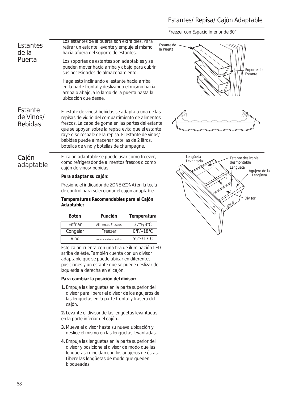## Estantes/ Repisa/ Cajón Adaptable

*Freezer con Espacio Inferior de 30"*

| Estantes<br>de la               | Los estantes de la puerta son extraíbles. Para<br>Estante de<br>retirar un estante, levante y empuje el mismo<br>la Puerta<br>hacia afuera del soporte de estantes.                                                                                                                                                                                                       |
|---------------------------------|---------------------------------------------------------------------------------------------------------------------------------------------------------------------------------------------------------------------------------------------------------------------------------------------------------------------------------------------------------------------------|
| Puerta                          | Los soportes de estantes son adaptables y se<br>pueden mover hacia arriba y abajo para cubrir<br>Soporte del<br>sus necesidades de almacenamiento.<br>Estante                                                                                                                                                                                                             |
|                                 | Haga esto inclinando el estante hacia arriba<br>en la parte frontal y deslizando el mismo hacia<br>arriba o abajo, a lo largo de la puerta hasta la<br>ubicación que desee.                                                                                                                                                                                               |
| Estante<br>de Vinos/<br>Bebidas | El estate de vinos/ bebidas se adapta a una de las<br>repisas de vidrio del compartimiento de alimentos<br>frescos. La capa de goma en las partes del estante<br>que se apoyan sobre la repisa evita que el estante<br>raye o se resbale de la repisa. El estante de vinos/<br>bebidas puede almacenar botellas de 2 litros,<br>botellas de vino y botellas de champagne. |
| Cajón<br>adaptable              | El cajón adaptable se puede usar como freezer,<br>Lengüeta<br>Estante deslizable<br>Levantada<br>como refrigerador de alimentos frescos o como<br>desmontable<br>Lengüeta<br>cajón de vinos/ bebidas.<br>Agujero de la                                                                                                                                                    |
|                                 | Lengüeta<br>Para adaptar su cajón:                                                                                                                                                                                                                                                                                                                                        |
|                                 | Presione el indicador de ZONE (ZONA) en la tecla<br>de control para seleccionar el cajón adaptable.                                                                                                                                                                                                                                                                       |
|                                 | Divisor<br>Temperaturas Recomendables para el Cajón<br>Adaptable:                                                                                                                                                                                                                                                                                                         |
|                                 | <b>Botón</b><br>Función<br>Temperatura                                                                                                                                                                                                                                                                                                                                    |

| <b>Botón</b>    | Función                  | Temperatura                    |  |  |
|-----------------|--------------------------|--------------------------------|--|--|
| <b>F</b> nfriar | <b>Alimentos Frescos</b> | $37^\circ$ F/3 $^\circ$ C      |  |  |
| Congelar        | Freezer                  | $0^{\circ}$ F/ $-18^{\circ}$ C |  |  |
| Vino            | Almacenamiento de Vino   | 55°F/13°C                      |  |  |

Este cajón cuenta con una tira de iluminación LED arriba de éste. También cuenta con un divisor adaptable que se puede ubicar en diferentes posiciones y un estante que se puede deslizar de izquierda a derecha en el cajón.

#### **Para cambiar la posición del divisor:**

**1.** Empuje las lengüetas en la parte superior del divisor para liberar el divisor de los agujeros de las lengüetas en la parte frontal y trasera del cajón.

**2.** Levante el divisor de las lengüetas levantadas en la parte inferior del cajón..

- **3.** Mueva el divisor hasta su nueva ubicación y deslice el mismo en las lengüetas levantadas.
- **4.** Empuje las lengüetas en la parte superior del divisor y posicione el divisor de modo que las lengüetas coincidan con los agujeros de éstas. Libere las lengüetas de modo que queden bloqueadas.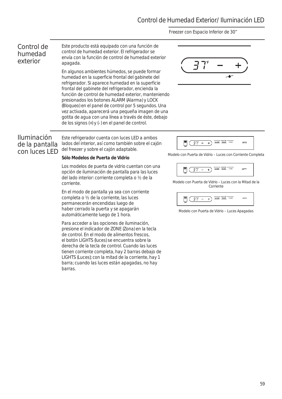*Freezer con Espacio Inferior de 30"*

## *Control de humedad exterior*

Este producto está equipado con una función de control de humedad exterior. El refrigerador se envía con la función de control de humedad exterior apagada.

En algunos ambientes húmedos, se puede formar humedad en la superficie frontal del gabinete del refrigerador. Si aparece humedad en la superficie frontal del gabinete del refrigerador, encienda la función de control de humedad exterior, manteniendo presionados los botones ALARM (Alarma) y LOCK (Bloqueo) en el panel de control por 5 segundos. Una vez activada, aparecerá una pequeña imagen de una gotita de agua con una línea a través de éste, debajo de los signos (+) y (–) en el panel de control.

*Iluminación de la pantalla con luces LED*

Este refrigerador cuenta con luces LED a ambos lados del interior, así como también sobre el cajón del freezer y sobre el cajón adaptable.

#### **Sólo Modelos de Puerta de Vidrio**

Los modelos de puerta de vidrio cuentan con una opción de iluminación de pantalla para las luces del lado interior: corriente completa o ½ de la corriente.

En el modo de pantalla ya sea con corriente completa o ½ de la corriente, las luces permanecerán encendidas luego de haber cerrado la puerta y se apagarán automáticamente luego de 1 hora.

Para acceder a las opciones de iluminación, presione el indicador de ZONE (Zona) en la tecla de control. En el modo de alimentos frescos, el botón LIGHTS (luces) se encuentra sobre la derecha de la tecla de control. Cuando las luces tienen corriente completa, hay 2 barras debajo de LIGHTS (Luces); con la mitad de la corriente, hay 1 barra; cuando las luces están apagadas, no hay barras.





Modelo con Puerta de Vidrio – Luces con Corriente Completa



Modelo con Puerta de Vidrio – Luces con la Mitad de la Corriente



Modelo con Puerta de Vidrio – Luces Apagadas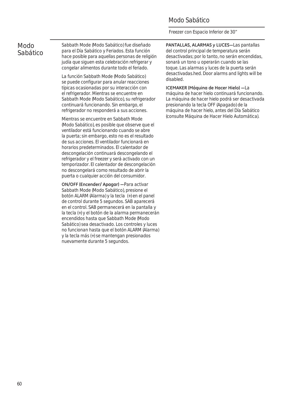## Modo Sabático

*Freezer con Espacio Inferior de 30"*

## *Modo Sabático*

Sabbath Mode (Modo Sabático) fue diseñado para el Día Sabático y Feriados. Esta función hace posible para aquellas personas de religión judía que siguen esta celebración refrigerar y congelar alimentos durante todo el feriado.

La función Sabbath Mode (Modo Sabático) se puede configurar para anular reacciones típicas ocasionadas por su interacción con el refrigerador. Mientras se encuentre en Sabbath Mode (Modo Sabático), su refrigerador continuará funcionando. Sin embargo, el refrigerador no responderá a sus acciones.

Mientras se encuentre en Sabbath Mode (Modo Sabático), es posible que observe que el ventilador está funcionando cuando se abre la puerta; sin embargo, esto no es el resultado de sus acciones. El ventilador funcionará en horarios predeterminados. El calentador de descongelación continuará descongelando el refrigerador y el freezer y será activado con un temporizador. El calentador de descongelación no descongelará como resultado de abrir la puerta o cualquier acción del consumidor.

**212) 212 2212 2212 222 222 222 222 222 222 222 222 222 222 222 222 222 222 222 222 222 222 222 222 222 222 222 222 222 222 222 222 222 222 222 222 22** Sabbath Mode (Modo Sabático), presione el botón ALARM (Alarma) y la tecla (+) en el panel de control durante 5 segundos. SAB aparecerá en el control. SAB permanecerá en la pantalla y la tecla (+) y el botón de la alarma permanecerán encendidos hasta que Sabbath Mode (Modo Sabático) sea desactivado. Los controles y luces no funcionan hasta que el botón ALARM (Alarma) y la tecla más (+) se mantengan presionados nuevamente durante 5 segundos.

PANTALLAS, ALARMAS y LUCES-Las pantallas del control principal de temperatura serán desactivadas; por lo tanto, no serán encendidas, sonará un tono u operarán cuando se las toque. Las alarmas y luces de la puerta serán desactivadas.hed. Door alarms and lights will be disabled.

**ICEMAKER (Máquina de Hacer Hielo)** - La máquina de hacer hielo continuará funcionando. La máquina de hacer hielo podrá ser desactivada presionando la tecla OFF (Apagado) de la máquina de hacer hielo, antes del Día Sabático (consulte Máquina de Hacer Hielo Automática).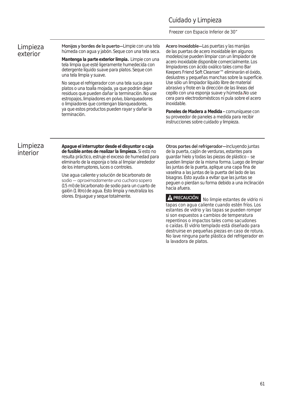## Cuidado y Limpieza

*Freezer con Espacio Inferior de 30"*

## *Limpieza exterior*

**Manijas y bordes de la puerta**—Limpie con una tela húmeda con agua y jabón. Seque con una tela seca.

**Mantenga la parte exterior limpia.** Limpie con una tela limpia que esté ligeramente humedecida con detergente líquido suave para platos. Seque con una tela limpia y suave.

No seque el refrigerador con una tela sucia para platos o una toalla mojada, ya que podrán dejar residuos que pueden dañar la terminación. No use estropajos, limpiadores en polvo, blanqueadores o limpiadores que contengan blanqueadores, ya que estos productos pueden rayar y dañar la terminación.

**Acero Inoxidable-Las puertas y las manijas** de las puertas de acero inoxidable (en algunos modelos) se pueden limpiar con un limpiador de acero inoxidable disponible comercialmente. Los limpiadores con ácido oxálico tales como Bar Keepers Friend Soft Cleanser™ eliminarán el óxido, deslustres y pequeñas manchas sobre la superficie. Use sólo un limpiador líquido libre de material abrasivo y frote en la dirección de las líneas del cepillo con una esponja suave y húmeda**.**No use cera para electrodomésticos ni pula sobre el acero inoxidable.

**Paneles de Madera a Medida -** comuníquese con su proveedor de paneles a medida para recibir instrucciones sobre cuidado y limpieza.

## *Limpieza interior*

**Apague el interruptor desde el disyuntor o caja de fusible antes de realizar la limpieza.** Si esto no resulta práctico, estruje el exceso de humedad para eliminarlo de la esponja o tela al limpiar alrededor de los interruptores, luces o controles.

Use agua caliente y solución de bicarbonato de sodio — aproximadamente una cuchara sopera (15 ml) de bicarbonato de sodio para un cuarto de galón (1 litro) de agua. Esto limpia y neutraliza los olores. Enjuague y seque totalmente.

**2tras partes del refrigerador**-incluyendo juntas de la puerta, cajón de verduras, estantes para guardar hielo y todas las piezas de plástico – se pueden limpiar de la misma forma. Luego de limpiar las juntas de la puerta, aplique una capa fina de vaselina a las juntas de la puerta del lado de las bisagras. Esto ayuda a evitar que las juntas se peguen o pierdan su forma debido a una inclinación hacia afuera.

**A PRECAUCIÓN** No limpie estantes de vidrio ni tapas con agua caliente cuando estén fríos. Los estantes de vidrio y las tapas se pueden romper si son expuestos a cambios de temperatura repentinos o impactos tales como sacudones o caídas. El vidrio templado está diseñado para destruirse en pequeñas piezas en caso de rotura. No lave ninguna parte plástica del refrigerador en la lavadora de platos.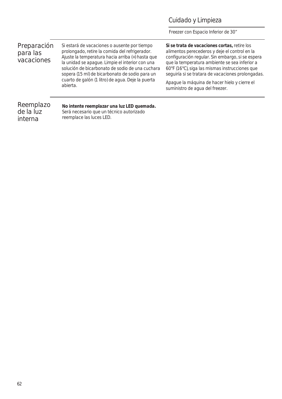## Cuidado y Limpieza

*Freezer con Espacio Inferior de 30"*

## *Preparación para las vacaciones*

Si estará de vacaciones o ausente por tiempo prolongado, retire la comida del refrigerador. Ajuste la temperatura hacia arriba (+) hasta que la unidad se apague. Limpie el interior con una solución de bicarbonato de sodio de una cuchara sopera (15 ml) de bicarbonato de sodio para un cuarto de galón (1 litro) de agua. Deje la puerta abierta.

**Si se trata de vacaciones cortas,** retire los alimentos perecederos y deje el control en la configuración regular. Sin embargo, si se espera que la temperatura ambiente se sea inferior a 60°F (16°C), siga las mismas instrucciones que seguiría si se tratara de vacaciones prolongadas.

Apague la máquina de hacer hielo y cierre el suministro de agua del freezer.

*Reemplazo de la luz interna*

#### **No intente reemplazar una luz LED quemada.**  Será necesario que un técnico autorizado

reemplace las luces LED.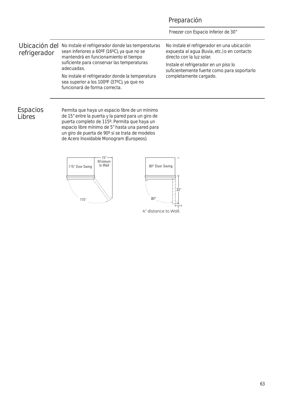## Preparación

*Freezer con Espacio Inferior de 30"*

#### *Ubicación del*  No instale el refrigerador donde las temperaturas *refrigerador* sean inferiores a 60ºF (16ºC), ya que no se mantendrá en funcionamiento el tiempo suficiente para conservar las temperaturas adecuadas. No instale el refrigerador donde la temperatura sea superior a los 100ºF (37ºC), ya que no funcionará de forma correcta. No instale el refrigerador en una ubicación expuesta al agua (lluvia, etc.) o en contacto directo con la luz solar. Instale el refrigerador en un piso lo suficientemente fuerte como para soportarlo completamente cargado.

## *Espacios Libres*

Permita que haya un espacio libre de un mínimo de 15" entre la puerta y la pared para un giro de puerta completo de 115º. Permita que haya un espacio libre mínimo de 5" hasta una pared para un giro de puerta de 90º si se trata de modelos de Acero Inoxidable Monogram (Europeos).

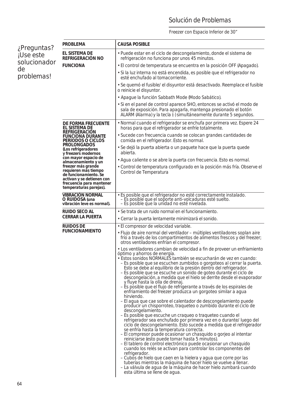## Solución de Problemas

*Freezer con Espacio Inferior de 30"*

| <i>Preguntas?</i><br>¡Use este<br>solucionador<br>de | <b>PROBLEMA</b>                                                                                                                                        | <b>CAUSA POSIBLE</b>                                                                                                                                                                                                                                                                                                                                                                                                                                                                                                                                                                                                                                                                                                                                                                                                                                                                                                                                                                                                                                                                                                                                                                                                                                                                                                                                                                                                                                                                                                                                                                                              |  |  |
|------------------------------------------------------|--------------------------------------------------------------------------------------------------------------------------------------------------------|-------------------------------------------------------------------------------------------------------------------------------------------------------------------------------------------------------------------------------------------------------------------------------------------------------------------------------------------------------------------------------------------------------------------------------------------------------------------------------------------------------------------------------------------------------------------------------------------------------------------------------------------------------------------------------------------------------------------------------------------------------------------------------------------------------------------------------------------------------------------------------------------------------------------------------------------------------------------------------------------------------------------------------------------------------------------------------------------------------------------------------------------------------------------------------------------------------------------------------------------------------------------------------------------------------------------------------------------------------------------------------------------------------------------------------------------------------------------------------------------------------------------------------------------------------------------------------------------------------------------|--|--|
|                                                      | EL SISTEMA DE<br>REFRIGERACIÓN NO                                                                                                                      | · Puede estar en el ciclo de descongelamiento, donde el sistema de<br>refrigeración no funciona por unos 45 minutos.                                                                                                                                                                                                                                                                                                                                                                                                                                                                                                                                                                                                                                                                                                                                                                                                                                                                                                                                                                                                                                                                                                                                                                                                                                                                                                                                                                                                                                                                                              |  |  |
|                                                      | <b>FUNCIONA</b>                                                                                                                                        | · El control de temperatura se encuentra en la posición OFF (Apagado).                                                                                                                                                                                                                                                                                                                                                                                                                                                                                                                                                                                                                                                                                                                                                                                                                                                                                                                                                                                                                                                                                                                                                                                                                                                                                                                                                                                                                                                                                                                                            |  |  |
| problemas!                                           |                                                                                                                                                        | · Si la luz interna no está encendida, es posible que el refrigerador no<br>esté enchufado al tomacorriente.                                                                                                                                                                                                                                                                                                                                                                                                                                                                                                                                                                                                                                                                                                                                                                                                                                                                                                                                                                                                                                                                                                                                                                                                                                                                                                                                                                                                                                                                                                      |  |  |
|                                                      |                                                                                                                                                        | · Se quemó el fusible/ el disyuntor está desactivado. Reemplace el fusible<br>o reinicie el disyuntor.                                                                                                                                                                                                                                                                                                                                                                                                                                                                                                                                                                                                                                                                                                                                                                                                                                                                                                                                                                                                                                                                                                                                                                                                                                                                                                                                                                                                                                                                                                            |  |  |
|                                                      |                                                                                                                                                        | · Apague la función Sabbath Mode (Modo Sabático).                                                                                                                                                                                                                                                                                                                                                                                                                                                                                                                                                                                                                                                                                                                                                                                                                                                                                                                                                                                                                                                                                                                                                                                                                                                                                                                                                                                                                                                                                                                                                                 |  |  |
|                                                      |                                                                                                                                                        | · Si en el panel de control aparece SHO, entonces se activó el modo de<br>sala de exposición. Para apagarla, mantenga presionado el botón<br>ALARM (Alarma) y la tecla (-) simultáneamente durante 5 segundos.                                                                                                                                                                                                                                                                                                                                                                                                                                                                                                                                                                                                                                                                                                                                                                                                                                                                                                                                                                                                                                                                                                                                                                                                                                                                                                                                                                                                    |  |  |
|                                                      | DE FORMA FRECUENTE<br>EL SISTEMA DE                                                                                                                    | • Normal cuando el refrigerador se enchufa por primera vez. Espere 24<br>horas para que el refrigerador se enfríe totalmente.                                                                                                                                                                                                                                                                                                                                                                                                                                                                                                                                                                                                                                                                                                                                                                                                                                                                                                                                                                                                                                                                                                                                                                                                                                                                                                                                                                                                                                                                                     |  |  |
|                                                      | <b>REFRIGERACION</b><br><b>FUNCIONA DURANTE</b><br>PERÍODOS O CICLOS                                                                                   | · Sucede con frecuencia cuando se colocan grandes cantidades de<br>comida en el refrigerador. Esto es normal.                                                                                                                                                                                                                                                                                                                                                                                                                                                                                                                                                                                                                                                                                                                                                                                                                                                                                                                                                                                                                                                                                                                                                                                                                                                                                                                                                                                                                                                                                                     |  |  |
|                                                      | <b>PROLONGADOS</b><br>(Los refrigeradores<br>y freezers modernos                                                                                       | · Se dejó la puerta abierta o un paquete hace que la puerta quede<br>abierta.                                                                                                                                                                                                                                                                                                                                                                                                                                                                                                                                                                                                                                                                                                                                                                                                                                                                                                                                                                                                                                                                                                                                                                                                                                                                                                                                                                                                                                                                                                                                     |  |  |
|                                                      | con mayor espacio de<br>almacenamiento y un                                                                                                            | · Agua caliente o se abre la puerta con frecuencia. Esto es normal.                                                                                                                                                                                                                                                                                                                                                                                                                                                                                                                                                                                                                                                                                                                                                                                                                                                                                                                                                                                                                                                                                                                                                                                                                                                                                                                                                                                                                                                                                                                                               |  |  |
|                                                      | freezer más grande<br>requieren más tiempo<br>de funcionamiento. Se<br>activan y se detienen con<br>frecuencia para mantener<br>temperaturas parejas). | · Control de temperatura configurado en la posición más fría. Observe el<br>Control de Temperatura                                                                                                                                                                                                                                                                                                                                                                                                                                                                                                                                                                                                                                                                                                                                                                                                                                                                                                                                                                                                                                                                                                                                                                                                                                                                                                                                                                                                                                                                                                                |  |  |
|                                                      | <b>VIBRACIÓN NORMAL</b><br>O RUIDOSA (una<br>vibración leve es normal).                                                                                | · Es posible que el refrigerador no esté correctamente instalado.<br>- És posible que el soporte anti-volcaduras esté suelto.<br>- Es posible que la unidad no esté nivelada.                                                                                                                                                                                                                                                                                                                                                                                                                                                                                                                                                                                                                                                                                                                                                                                                                                                                                                                                                                                                                                                                                                                                                                                                                                                                                                                                                                                                                                     |  |  |
|                                                      | RUIDO SECO AL<br><b>CERRAR LA PUERTA</b>                                                                                                               | · Se trata de un ruido normal en el funcionamiento.                                                                                                                                                                                                                                                                                                                                                                                                                                                                                                                                                                                                                                                                                                                                                                                                                                                                                                                                                                                                                                                                                                                                                                                                                                                                                                                                                                                                                                                                                                                                                               |  |  |
|                                                      |                                                                                                                                                        | · Cerrar la puerta lentamente minimizará el sonido.                                                                                                                                                                                                                                                                                                                                                                                                                                                                                                                                                                                                                                                                                                                                                                                                                                                                                                                                                                                                                                                                                                                                                                                                                                                                                                                                                                                                                                                                                                                                                               |  |  |
|                                                      | <b>RUIDOS DE</b><br><b>FUNCIONAMIENTO</b>                                                                                                              | · El compresor de velocidad variable.                                                                                                                                                                                                                                                                                                                                                                                                                                                                                                                                                                                                                                                                                                                                                                                                                                                                                                                                                                                                                                                                                                                                                                                                                                                                                                                                                                                                                                                                                                                                                                             |  |  |
|                                                      |                                                                                                                                                        | · Flujo de aire normal del ventilador – múltiples ventiladores soplan aire<br>frío a través de los compartimientos de alimentos frescos y del freezer;<br>otros ventiladores enfrían el compresor.                                                                                                                                                                                                                                                                                                                                                                                                                                                                                                                                                                                                                                                                                                                                                                                                                                                                                                                                                                                                                                                                                                                                                                                                                                                                                                                                                                                                                |  |  |
|                                                      |                                                                                                                                                        | • Los ventiladores cambian de velocidad a fin de proveer un enfriamiento<br>óptimo y ahorros de energía.<br>• Estos sonidos NORMALES también se escucharán de vez en cuando:<br>- Es posible que se escuchen zumbidos o gorgoteos al cerrar la puerta.<br>Esto se debe al equilibrio de la presión dentro del refrigerador.<br>- Es posible que se escuche un sonido de goteo durante el ciclo de<br>descongelación, a medida que el hielo se derrite desde el evaporador<br>y fluye hasta la olla de drenaj.<br>- Es posible que el flujo de refrigerante a través de los espirales de<br>enfriamiento del freezer produzca un gorgoteo similar a agua<br>hirviendo.<br>- El agua que cae sobre el calentador de descongelamiento puede<br>producir un chisporroteo, traqueteo o zumbido durante el ciclo de<br>descongelamiento.<br>- Es posible que escuche un craqueo o traqueteo cuando el<br>refrigerador sea enchufado por primera vez en o durante/luego del<br>ciclo de descongelamiento. Esto sucede a medida que el refrigerador<br>se enfría hasta la temperatura correcta.<br>- El compresor puede ocasionar un chasquido o gorjeo al intentar<br>reiniciarse (esto puede tomar hasta 5 minutos).<br>- El tablero de control electrónico puede ocasionar un chasquido<br>cuando los relés se activan para controlar los componentes del<br>refrigerador.<br>- Cubos de hielo que caen en la hielera y agua que corre por las<br>tuberías mientras la máquina de hacer hielo se vuelve a llenar.<br>- La válvula de agua de la máquina de hacer hielo zumbará cuando<br>esta última se llene de agua. |  |  |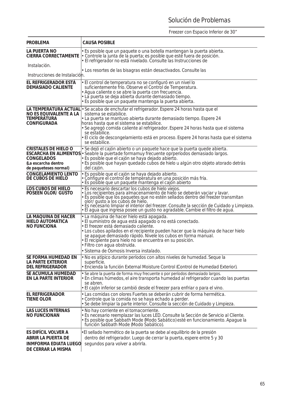*Freezer con Espacio Inferior de 30"*

| <b>PROBLEMA</b>                                                                                        | <b>CAUSA POSIBLE</b>                                                                                                                                                                                                                                                                                                                                                                                                                                     |
|--------------------------------------------------------------------------------------------------------|----------------------------------------------------------------------------------------------------------------------------------------------------------------------------------------------------------------------------------------------------------------------------------------------------------------------------------------------------------------------------------------------------------------------------------------------------------|
| LA PUERTA NO<br><b>CIERRA CORRECTAMENTE</b>                                                            | • Es posible que un paquete o una botella mantengan la puerta abierta.<br>Controle la junta de la puerta; es posible que esté fuera de posición.<br>• El refrigerador no está nivelado. Consulte las Instrucciones de                                                                                                                                                                                                                                    |
| Instalación.                                                                                           | • Los resortes de las bisagras están desactivados. Consulte las                                                                                                                                                                                                                                                                                                                                                                                          |
| Instrucciones de Instalación.                                                                          |                                                                                                                                                                                                                                                                                                                                                                                                                                                          |
| EL REFRIGERADOR ESTA<br><b>DEMASIADO CALIENTE</b>                                                      | • El control de temperatura no se configuró en un nivel lo<br>suficientemente frío. Observe el Control de Temperatura.<br>• Agua caliente o se abre la puerta con frecuencia.<br>• La puerta se deja abierta durante demasiado tiempo.<br>· Es posible que un paquete mantenga la puerta abierta.                                                                                                                                                        |
| NO ES EQUIVALENTE A LA<br><b>TEMPERATURA</b><br>CONFIGURADA                                            | LA TEMPERATURA ACTUAL • Se acaba de enchufar el refrigerador. Espere 24 horas hasta que el<br>sistema se estabilice.<br>• La puerta se mantuvo abierta durante demasiado tiempo. Espere 24<br>horas hasta que el sistema se estabilice.<br>· Se agregó comida caliente al refrigerador. Espere 24 horas hasta que el sistema<br>se estabilice.<br>· El ciclo de descongelamiento está en proceso. Espere 24 horas hasta que el sistema<br>se estabilice. |
| <b>CRISTALES DE HIELO O</b><br><b>CONGELADOS</b><br>(La escarcha dentro<br>de paqueteses normal)       | · Se dejó el cajón abierto o un paquete hace que la puerta quede abierta.<br><b>ESCARCHA EN ALIMENTOS</b> • Seabre la puertade formamuy frecuente oprperíodos demasiado largos.<br>· Es posible que el cajón se haya dejado abierto.<br>• Es posible que hayan quedado cubos de hielo u algún otro objeto atorado detrás<br>del cajón.                                                                                                                   |
| <b>CONGELAMIENTO LENTO</b><br>DE CUBOS DE HIELO                                                        | · Es posible que el cajón se haya dejado abierto.<br>• Configure el control de temperatura en una posición más fría.<br>• Es posible que un paquete mantenga el cajón abierto                                                                                                                                                                                                                                                                            |
| LOS CUBOS DE HIELO<br>POSEEN OLOR/ GUSTO                                                               | . Es necesario descartar los cubos de hielo viejos.<br>• Los recipientes para almacenamiento de hielo se deberán vaciar y lavar.<br>• Es posible que los paquetes que no estén sellados dentro del freezer transmitan<br>• olor/ gusto a los cubos de hielo.<br>· Es necesario limpiar el interior del freezer. Consulte la sección de Cuidado y Limpieza.<br>• El agua que ingresa posee un gusto no agradable. Cambie el filtro de agua.               |
| LA MÁQUINA DE HACER<br><b>HIELO AUTOMÁTICA</b><br><b>NO FUNCIONA</b>                                   | · La máquina de hacer hielo está apagada.<br>· El suministro de agua está apagado o no está conectado.<br>· El freezer está demasiado caliente.<br>· Los cubos apilados en el recipiente pueden hacer que la máquina de hacer hielo<br>se apague demasiado rápido. Nivele los cubos en forma manual.<br>· El recipiente para hielo no se encuentra en su posición.<br>· Filtro con agua obstruida.<br>Sistema de Ósmosis Inversa instalado.              |
| SE FORMA HUMEDAD EN<br><b>LA PARTE EXTERIOR</b><br><b>DEL REFRIGERADOR</b>                             | · No es atípico durante períodos con altos niveles de humedad. Seque la<br>superficie.<br>· Encienda la función External Moisture Control (Control de Humedad Exterior).                                                                                                                                                                                                                                                                                 |
| SE ACUMULA HUMEDAD<br>EN LA PARTE INTERIOR                                                             | · Se abre la puerta de forma muy frecuente o por períodos demasiado largos.<br>· En climas húmedos, el aire transporta humedad al refrigerador cuando las puertas<br>se abren.<br>· El cajón inferior se cambió desde el freezer para enfriar o para el vino.                                                                                                                                                                                            |
| <b>EL REFRIGERADOR</b><br><b>TIENE OLOR</b>                                                            | · Las comidas con olores Fuertes se deberán cubrir de forma hermética.<br>• Controle que la comida no se haya echado a perder.<br>· Se debe limpiar la parte interior. Consulte la sección de Cuidado y Limpieza.                                                                                                                                                                                                                                        |
| <b>LAS LUCES INTERNAS</b><br><b>NO FUNCIONAN</b>                                                       | . No hay corriente en el tomacorriente.<br>· Es necesario reemplazar las luces LED. Consulte la Sección de Servicio al Cliente.<br>· Es posible que Sabbath Mode (Modo Sabático) esté en funcionamiento. Apague la<br>función Sabbath Mode (Modo Sabático).                                                                                                                                                                                              |
| ES DIFÍCIL VOLVER A<br><b>ABRIR LA PUERTA DE</b><br><b>INMFORMA EDIATA LUEGO</b><br>DE CERRAR LA MISMA | ·El sellado hermético de la puerta se debe al equilibrio de la presión<br>dentro del refrigerador. Luego de cerrar la puerta, espere entre 5 y 30<br>segundos para volver a abrirla.                                                                                                                                                                                                                                                                     |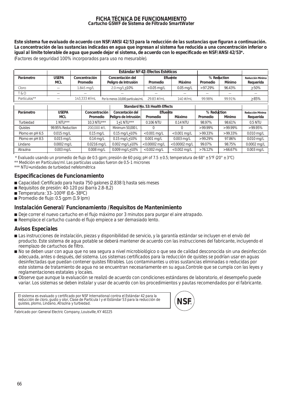#### *FICHA TÉCNICA DE FUNCIONAMIENTO Cartucho GSWF de Sistema de Filtrado SmartWater*

*Este sistema fue evaluado de acuerdo con NSF/ANSI 42/53 para la reducción de las sustancias que figuran a continuación. La concentración de las sustancias indicadas en agua que ingresan al sistema fue reducida a una concentración inferior o igual al límite tolerable de agua que puede dejar el sistema, de acuerdo con lo especificado en NSF/ANSI 42/53\*. (Factores de seguridad 100% incorporados para uso no mesurable).*

|              |                            |                           |                                          | Estándar Nº 42: Efectos Estéticos |             |                         |        |                               |
|--------------|----------------------------|---------------------------|------------------------------------------|-----------------------------------|-------------|-------------------------|--------|-------------------------------|
| Parámetro    | <b>USEPA</b><br><b>MCL</b> | Concentración<br>Promedio | Concentación del<br>Peligro de Intrusión | Efluente<br>Promedio              | Máximo      | % Reduction<br>Promedio | Mínimo | Reducción Mínima<br>Requerida |
| Cloro        |                            | 1.845 mg/L                | 2.0 mg/L+10%                             | $< 0.05$ mg/L                     | $0.05$ mg/L | $>97.29\%$              | 96.43% | $> 50\%$                      |
| T & O        |                            |                           |                                          |                                   |             |                         |        |                               |
| Partículas** |                            | 143.333 #/mL              | Por lo menos 10,000 partículas/mL        | 29.83 #/mL                        | 140 #/mL    | 99.98%                  | 99.91% | >85%                          |

|                 |                  |               |                               | Standard No. 53: Health Effects |                  |             |            |                  |
|-----------------|------------------|---------------|-------------------------------|---------------------------------|------------------|-------------|------------|------------------|
| Parámetro       | <b>USEPA</b>     | Concentración | Concentación del              | Efluente                        |                  | % Reduction |            | Reducción Mínima |
|                 | <b>MCL</b>       | Promedio      | Peligro de Intrusión          | Promedio                        | Máximo           | Promedio    | Mínimo     | Requerida        |
| Turbiedad       | $1$ NTU***       | 10.3 NTU***   | $1+1$ NTU***                  | 0.106 NTU                       | 0.14 NTU         | 98.97%      | 98.61%     | 0.5 NTU          |
| Quistes         | 99.95% Reduction | 200.000 #/L   | Minimum 50,000 L              |                                 |                  | $>99.99\%$  | $>99.99\%$ | $>99.95\%$       |
| Plomo en pH 6.5 | $0.015$ mg/L     | $0.15$ mg/L   | $0.15$ mg/L+10%               | $< 0.001$ mg/L                  | $< 0.001$ mg/L   | $>99.33\%$  | $>99.33\%$ | $0.010$ mg/L     |
| Plomo en pH 8.5 | $0.015$ mg/L     | $0.14$ mg/L   | $0.15 \,\mathrm{mq/L} + 10\%$ | $0.001$ mg/L                    | $0.003$ mg/L     | $>99.29\%$  | 97.86%     | $0.010$ mg/L     |
| Lindano         | $0.0002$ mg/L    | 0.0216 mg/L   | 0.002 mg/L $_{\pm}$ 10%       | $< 0.00002$ mg/L                | $< 0.00002$ mg/L | 99.07%      | 98.75%     | $0.0002$ mg/L    |
| Atrazina        | $0.003$ mg/L     | $0.008$ mg/L  | $0.009$ mg/L+10%              | $< 0.002$ mg/L                  | $< 0.002$ mg/L   | $>76.12\%$  | $>66.67\%$ | $0.003$ mg/L     |

*\* Evaluado usando un promedio de flujo de 0.5 gpm; presión de 60 psig; pH of 7.5 ± 0.5; temperatura de 68° ± 5°F (20° ± 3°C) \*\* Medición en Partículas/ml. Las partículas usadas fueron de 0.5-1 micrones*

*\*\*\* NTU=unidades de turbiedad nefelométrica*

#### *Especificaciones de Funcionamiento*

- Capacidad: Certificado para hasta 750 galones (2.838 l); hasta seis meses
- Requisitos de presión: 40-120 psi (barra 2.8-8,2)
- $\blacksquare$  Temperatura: 33-100°F (0.6-38°C)
- Promedio de flujo: 0.5 gpm (1.9 lpm)

#### *Instalación General/ Funcionamiento /Requisitos de Mantenimiento*

- Deje correr el nuevo cartucho en el flujo máximo por 3 minutos para purgar el aire atrapado.
- Reemplace el cartucho cuando el flujo empiece a ser demasiado lento.

#### *Avisos Especiales*

- Las instrucciones de instalación, piezas y disponibilidad de servicio, y la garantía estándar se incluyen en el envío del producto. Este sistema de agua potable se deberá mantener de acuerdo con las instrucciones del fabricante, incluyendo el reemplazo de cartuchos de filtro.
- No se deben usar con agua que no sea segura a nivel microbiológico o que sea de calidad desconocida sin una desinfección adecuada, antes o después, del sistema. Los sistemas certificados para la reducción de quistes se podrían usar en aguas desinfectadas que puedan contener quistes filtrables. Los contaminantes u otras sustancias eliminadas o reducidas por este sistema de tratamiento de agua no se encuentran necesariamente en su agua.Controle que se cumpla con las leyes y reglamentaciones estatales y locales.
- Observe que aunque la evaluación se realizó de acuerdo con condiciones estándares de laboratorio, el desempeño puede variar. Los sistemas se deben instalar y usar de acuerdo con los procedimientos y pautas recomendados por el fabricante.

El sistema es evaluado y certificado por NSF International contra el Estándar 42 para la reducción de cloro, gusto y olor, Clase de Partícula I y el Estándar 53 para la reducción de quistes, plomo, Lindano, Atrazina y turbiedad.



Fabricado por: General Electric Company, Louisville, KY 40225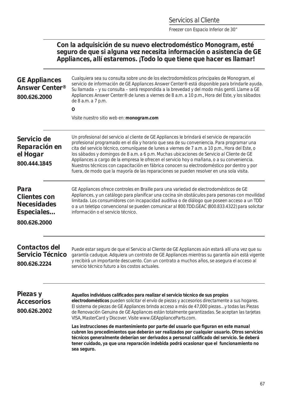Servicios al Cliente

*Con la adquisición de su nuevo electrodoméstico Monogram, esté seguro de que si alguna vez necesita información o asistencia de GE* 

*Freezer con Espacio Inferior de 30"*

|                                                          | Appliances, allí estaremos. ¡Todo lo que tiene que hacer es llamar!                                                                                                                                                                                                                                                                                                                                                                                                                                                                                                                                                                                                                |
|----------------------------------------------------------|------------------------------------------------------------------------------------------------------------------------------------------------------------------------------------------------------------------------------------------------------------------------------------------------------------------------------------------------------------------------------------------------------------------------------------------------------------------------------------------------------------------------------------------------------------------------------------------------------------------------------------------------------------------------------------|
| <b>GE Appliances</b><br>Answer Center®<br>800.626.2000   | Cualquiera sea su consulta sobre uno de los electrodomésticos principales de Monogram, el<br>servicio de información de GE Appliances Answer Center® está disponible para brindarle ayuda.<br>Su llamada - y su consulta - será respondida a la brevedad y del modo más gentil. Llame a GE<br>Appliances Answer Center® de lunes a viernes de 8 a.m. a 10 p.m., Hora del Este, y los sábados<br>de 8 a.m. a 7 p.m.<br>$\Omega$                                                                                                                                                                                                                                                     |
|                                                          | Visite nuestro sitio web en: monogram.com                                                                                                                                                                                                                                                                                                                                                                                                                                                                                                                                                                                                                                          |
| Servicio de<br>Reparación en<br>el Hogar<br>800.444.1845 | Un profesional del servicio al cliente de GE Appliances le brindará el servicio de reparación<br>profesional programado en el día y horario que sea de su conveniencia. Para programar una<br>cita del servicio técnico, comuníquese de lunes a viernes de 7 a.m. a 10 p.m., Hora del Este, o<br>los sábados y domingos de 8 a.m. a 6 p.m. Muchas ubicaciones de Servicio al Cliente de GE<br>Appliances a cargo de la empresa le ofrecen el servicio hoy o mañana, o a su conveniencia.<br>Nuestros técnicos con capacitación en fábrica conocen su electrodoméstico por dentro y por<br>fuera, de modo que la mayoría de las reparaciones se pueden resolver en una sola visita. |
| Para<br>Clientes con<br><b>Necesidades</b><br>Especiales | GE Appliances ofrece controles en Braille para una variedad de electrodomésticos de GE<br>Appliances, y un catálogo para planificar una cocina sin obstáculos para personas con movilidad<br>limitada. Los consumidores con incapacidad auditiva o de diálogo que poseen acceso a un TDD<br>o a un teletipo convencional se pueden comunicar al 800.TDD.GEAC (800.833.4322) para solicitar<br>información o el servicio técnico.                                                                                                                                                                                                                                                   |
| 800.626.2000                                             |                                                                                                                                                                                                                                                                                                                                                                                                                                                                                                                                                                                                                                                                                    |
| Contactos del<br>Servicio Técnico<br>800.626.2224        | Puede estar seguro de que el Servicio al Cliente de GE Appliances aún estará allí una vez que su<br>garantía caduque. Adquiera un contrato de GE Appliances mientras su garantía aún está vigente<br>y recibirá un importante descuento. Con un contrato a muchos años, se asegura el acceso al<br>servicio técnico futuro a los costos actuales.                                                                                                                                                                                                                                                                                                                                  |
| Piezas y<br><b>Accesorios</b><br>800.626.2002            | Aquellos individuos calificados para realizar el servicio técnico de sus propios<br>electrodomésticos pueden solicitar el envío de piezas y accesorios directamente a sus hogares.<br>El sistema de piezas de GE Appliances brinda acceso a más de 47,000 piezas y todas las Piezas<br>de Renovación Genuina de GE Appliances están totalmente garantizadas. Se aceptan las tarjetas<br>VISA, MasterCard y Discover. Visite www.GEApplianceParts.com.                                                                                                                                                                                                                              |
|                                                          | Las instrucciones de mantenimiento por parte del usuario que figuran en este manual<br>cubren los procedimientos que deberán ser realizados por cualquier usuario. Otros servicios<br>técnicos generalmente deberían ser derivados a personal calificado del servicio. Se deberá<br>tener cuidado, ya que una reparación indebida podrá ocasionar que el funcionamiento no<br>sea seguro.                                                                                                                                                                                                                                                                                          |
|                                                          | 67                                                                                                                                                                                                                                                                                                                                                                                                                                                                                                                                                                                                                                                                                 |